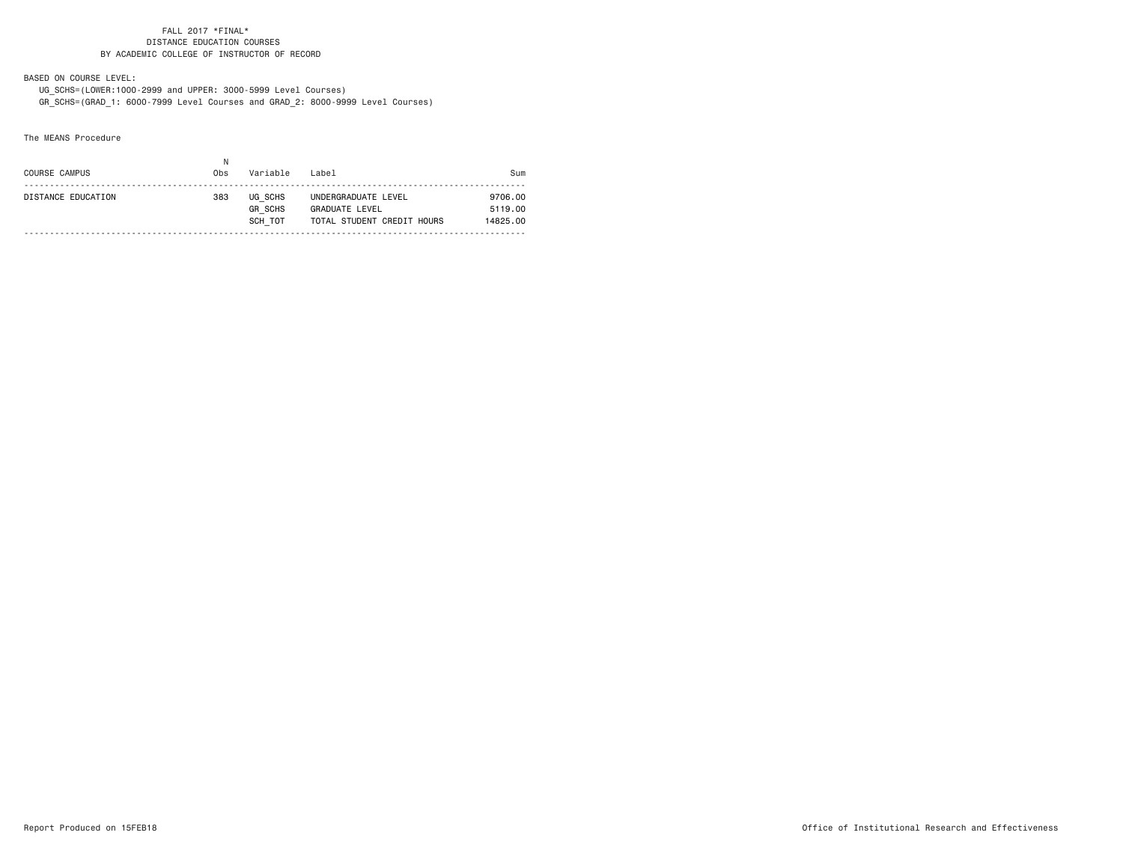BASED ON COURSE LEVEL:

 UG\_SCHS=(LOWER:1000-2999 and UPPER: 3000-5999 Level Courses) GR\_SCHS=(GRAD\_1: 6000-7999 Level Courses and GRAD\_2: 8000-9999 Level Courses)

The MEANS Procedure

| COURSE CAMPUS      | Obs | Variable                             | Label                                                               | Sum                            |
|--------------------|-----|--------------------------------------|---------------------------------------------------------------------|--------------------------------|
| DISTANCE EDUCATION | 383 | UG SCHS<br><b>GR SCHS</b><br>SCH TOT | UNDERGRADUATE LEVEL<br>GRADUATE LEVEL<br>TOTAL STUDENT CREDIT HOURS | 9706.00<br>5119.00<br>14825.00 |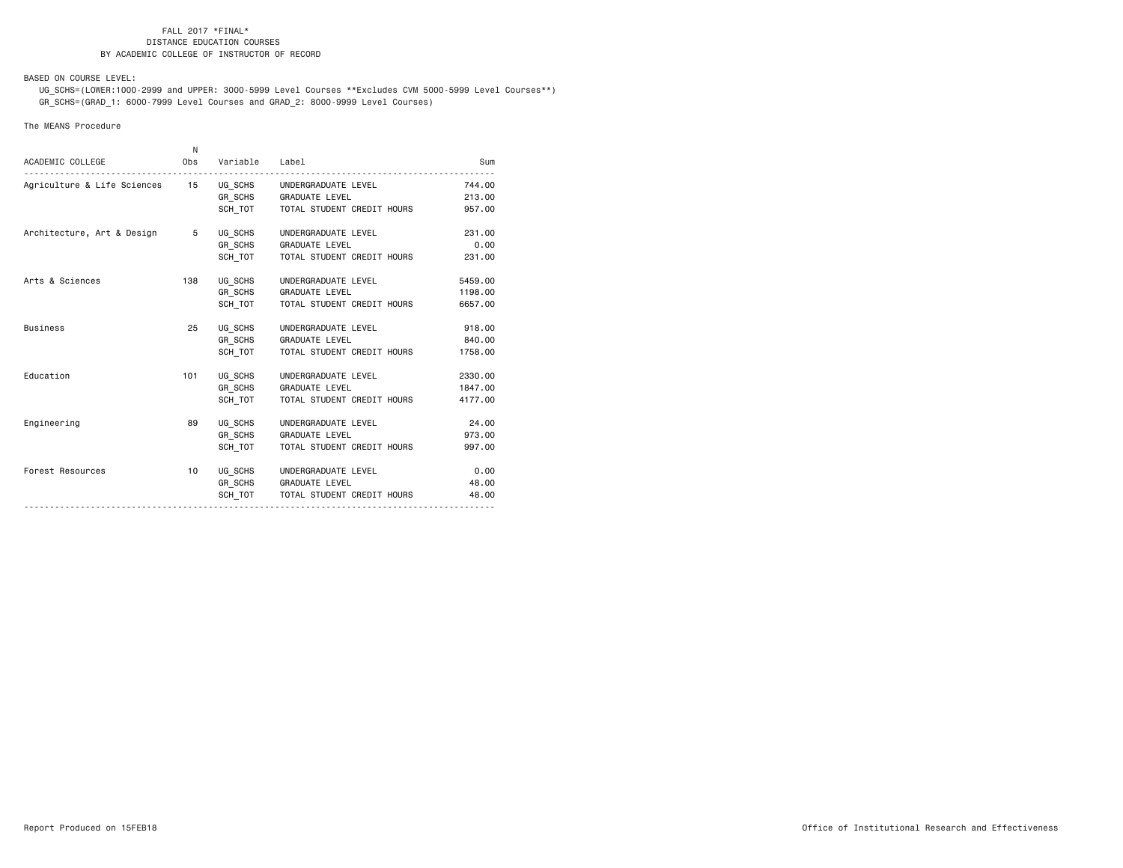BASED ON COURSE LEVEL:

 UG\_SCHS=(LOWER:1000-2999 and UPPER: 3000-5999 Level Courses \*\*Excludes CVM 5000-5999 Level Courses\*\*) GR\_SCHS=(GRAD\_1: 6000-7999 Level Courses and GRAD\_2: 8000-9999 Level Courses)

## The MEANS Procedure

| ACADEMIC COLLEGE             | N   | Obs Variable Label            |                                                                                       | Sum                           |
|------------------------------|-----|-------------------------------|---------------------------------------------------------------------------------------|-------------------------------|
|                              |     |                               | GR SCHS GRADUATE LEVEL<br>SCH_TOT TOTAL STUDENT CREDIT HOURS                          | 744.00<br>213.00<br>957.00    |
| Architecture, Art & Design 5 |     | UG SCHS<br>GR SCHS<br>SCH TOT | UNDERGRADUATE LEVEL<br><b>GRADUATE LEVEL</b><br>TOTAL STUDENT CREDIT HOURS            | 231.00<br>0.00<br>231.00      |
| Arts & Sciences              | 138 | UG SCHS                       | UNDERGRADUATE LEVEL<br>GR_SCHS GRADUATE LEVEL<br>SCH TOT   TOTAL STUDENT CREDIT HOURS | 5459.00<br>1198.00<br>6657.00 |
| <b>Business</b>              | 25  | UG SCHS<br>SCH TOT            | UNDERGRADUATE LEVEL<br>GR_SCHS GRADUATE LEVEL<br>TOTAL STUDENT CREDIT HOURS           | 918.00<br>840.00<br>1758.00   |
| Education                    | 101 | UG SCHS<br>GR SCHS<br>SCH TOT | UNDERGRADUATE LEVEL<br><b>GRADUATE LEVEL</b><br>TOTAL STUDENT CREDIT HOURS            | 2330.00<br>1847.00<br>4177.00 |
| Engineering                  | 89  | UG SCHS<br>GR SCHS<br>SCH TOT | UNDERGRADUATE LEVEL<br><b>GRADUATE LEVEL</b><br>TOTAL STUDENT CREDIT HOURS            | 24.00<br>973.00<br>997.00     |
| Forest Resources             | 10  | SCH TOT                       | UG SCHS UNDERGRADUATE LEVEL<br>GR SCHS GRADUATE LEVEL<br>TOTAL STUDENT CREDIT HOURS   | 0.00<br>48.00<br>48.00        |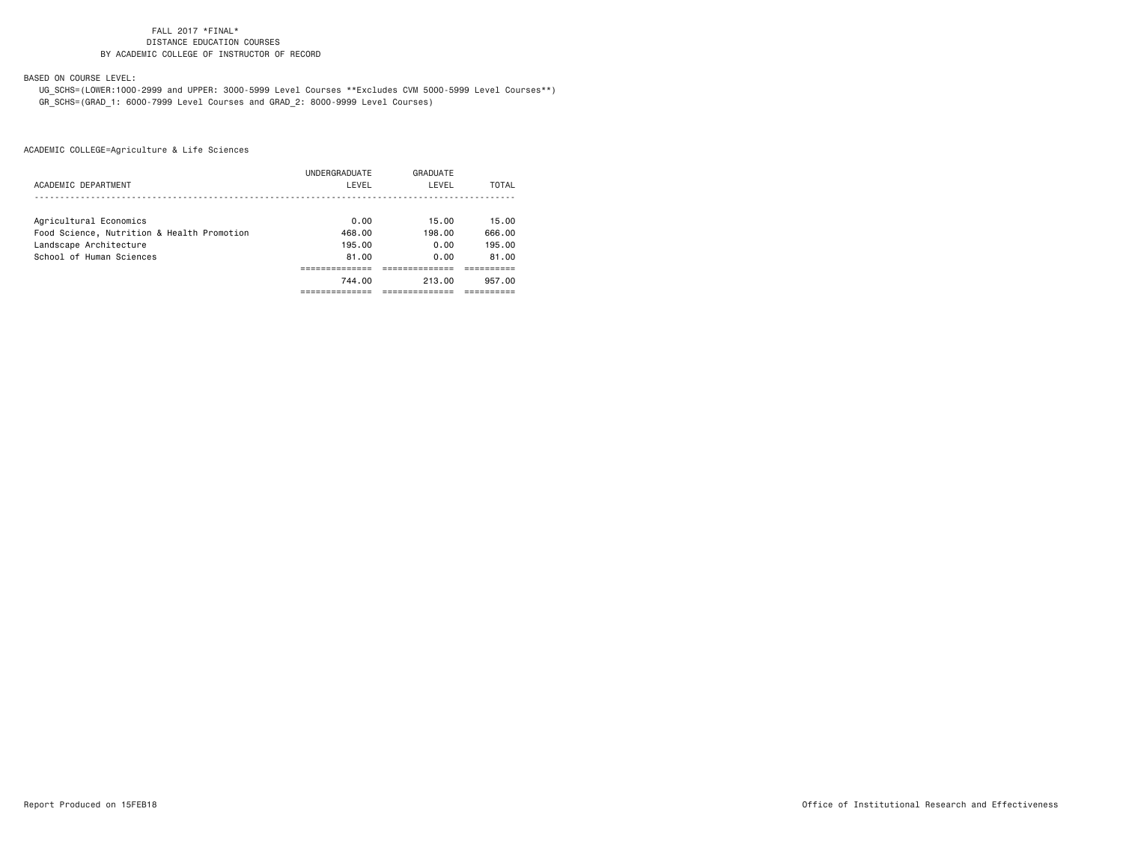BASED ON COURSE LEVEL:

 UG\_SCHS=(LOWER:1000-2999 and UPPER: 3000-5999 Level Courses \*\*Excludes CVM 5000-5999 Level Courses\*\*) GR\_SCHS=(GRAD\_1: 6000-7999 Level Courses and GRAD\_2: 8000-9999 Level Courses)

|                                            | UNDERGRADUATE | GRADUATE |        |
|--------------------------------------------|---------------|----------|--------|
| ACADEMIC DEPARTMENT                        | LEVEL         | LEVEL    | TOTAL  |
|                                            |               |          |        |
| Agricultural Economics                     | 0.00          | 15.00    | 15.00  |
| Food Science, Nutrition & Health Promotion | 468.00        | 198.00   | 666.00 |
| Landscape Architecture                     | 195.00        | 0.00     | 195.00 |
| School of Human Sciences                   | 81.00         | 0.00     | 81.00  |
|                                            |               |          |        |
|                                            | 744.00        | 213.00   | 957.00 |
|                                            |               |          |        |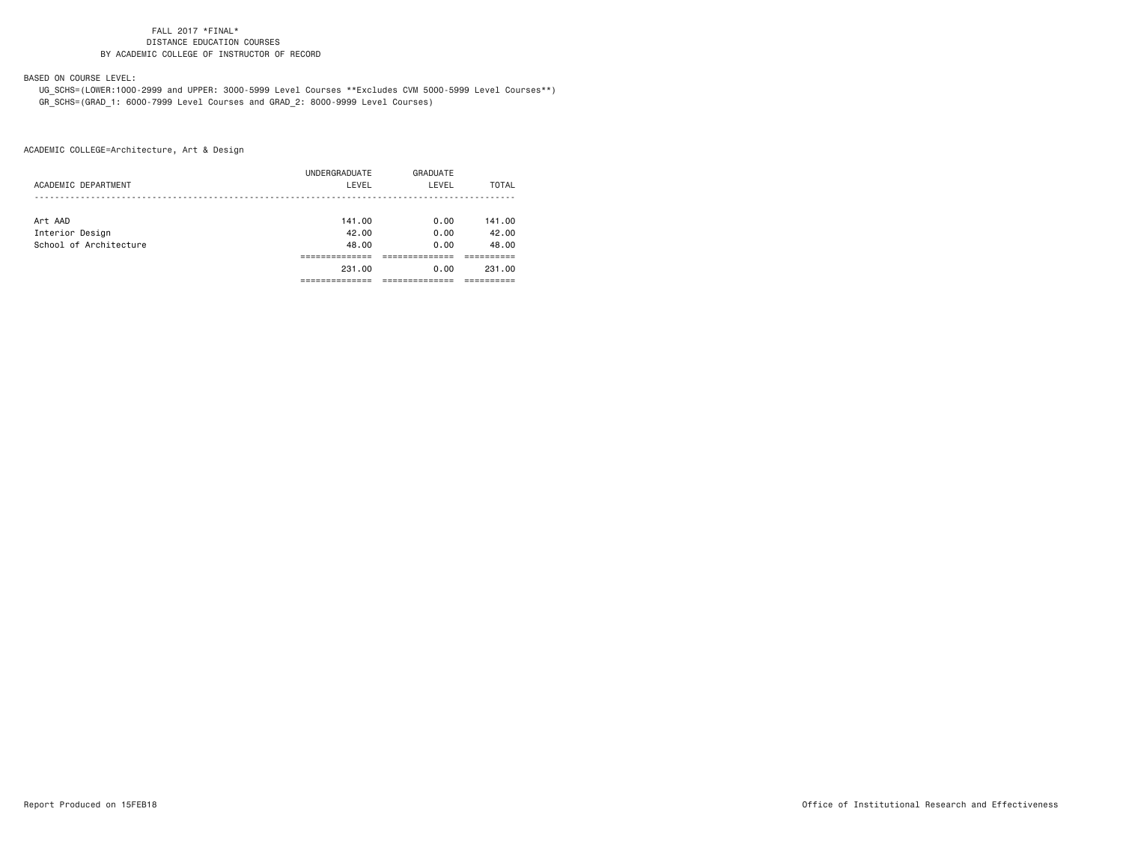BASED ON COURSE LEVEL:

 UG\_SCHS=(LOWER:1000-2999 and UPPER: 3000-5999 Level Courses \*\*Excludes CVM 5000-5999 Level Courses\*\*) GR\_SCHS=(GRAD\_1: 6000-7999 Level Courses and GRAD\_2: 8000-9999 Level Courses)

|                        | UNDERGRADUATE | GRADUATE |        |
|------------------------|---------------|----------|--------|
| ACADEMIC DEPARTMENT    | LEVEL         | LEVEL    | TOTAL  |
|                        |               |          |        |
| Art AAD                | 141.00        | 0.00     | 141.00 |
| Interior Design        | 42.00         | 0.00     | 42.00  |
| School of Architecture | 48.00         | 0.00     | 48.00  |
|                        |               |          |        |
|                        | 231.00        | 0.00     | 231.00 |
|                        |               |          |        |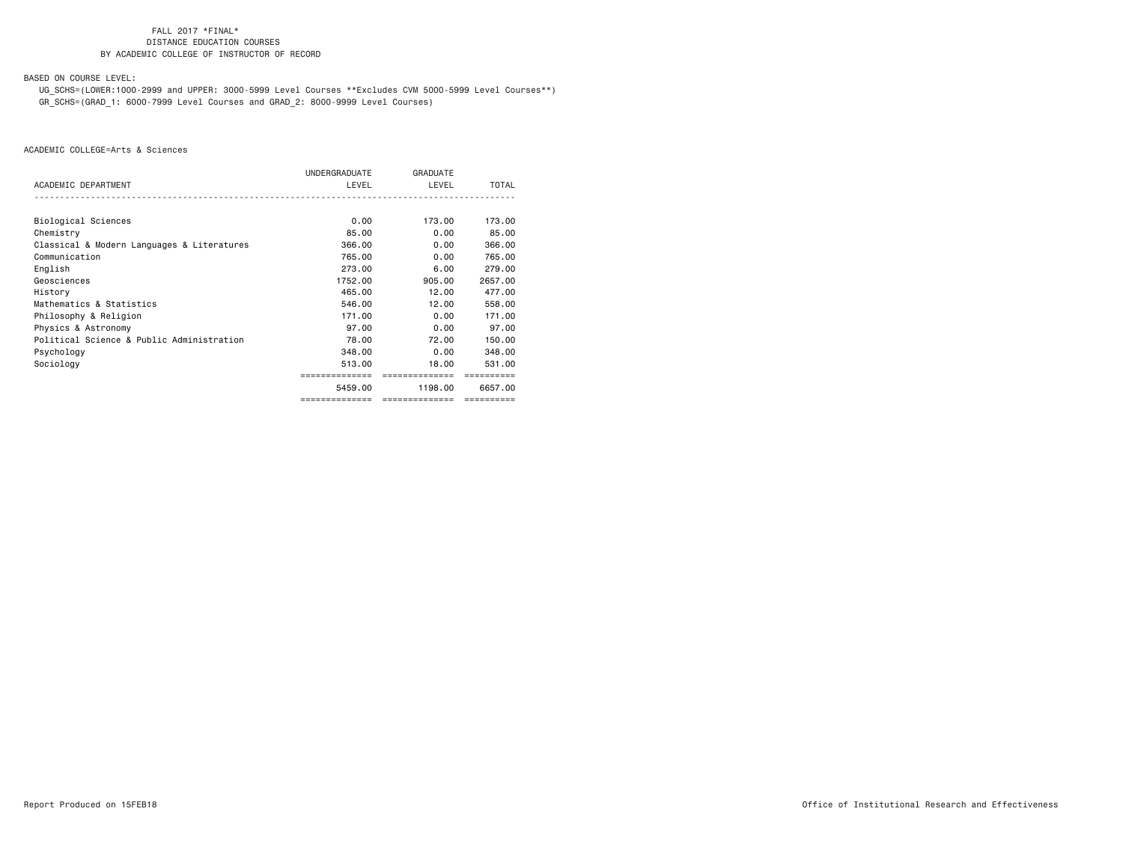BASED ON COURSE LEVEL:

 UG\_SCHS=(LOWER:1000-2999 and UPPER: 3000-5999 Level Courses \*\*Excludes CVM 5000-5999 Level Courses\*\*) GR\_SCHS=(GRAD\_1: 6000-7999 Level Courses and GRAD\_2: 8000-9999 Level Courses)

|                                            | UNDERGRADUATE  | <b>GRADUATE</b> |            |
|--------------------------------------------|----------------|-----------------|------------|
| ACADEMIC DEPARTMENT                        | LEVEL          | LEVEL           | TOTAL      |
|                                            |                |                 |            |
| Biological Sciences                        | 0.00           | 173.00          | 173.00     |
| Chemistry                                  | 85.00          | 0.00            | 85.00      |
| Classical & Modern Languages & Literatures | 366,00         | 0.00            | 366,00     |
| Communication                              | 765,00         | 0.00            | 765.00     |
| English                                    | 273.00         | 6.00            | 279,00     |
| Geosciences                                | 1752.00        | 905.00          | 2657.00    |
| History                                    | 465,00         | 12.00           | 477.00     |
| Mathematics & Statistics                   | 546.00         | 12.00           | 558.00     |
| Philosophy & Religion                      | 171.00         | 0.00            | 171.00     |
| Physics & Astronomy                        | 97.00          | 0.00            | 97.00      |
| Political Science & Public Administration  | 78.00          | 72.00           | 150.00     |
| Psychology                                 | 348.00         | 0.00            | 348,00     |
| Sociology                                  | 513.00         | 18.00           | 531.00     |
|                                            | ============== | ==============  |            |
|                                            | 5459.00        | 1198.00         | 6657,00    |
|                                            | ============== | ==============  | ========== |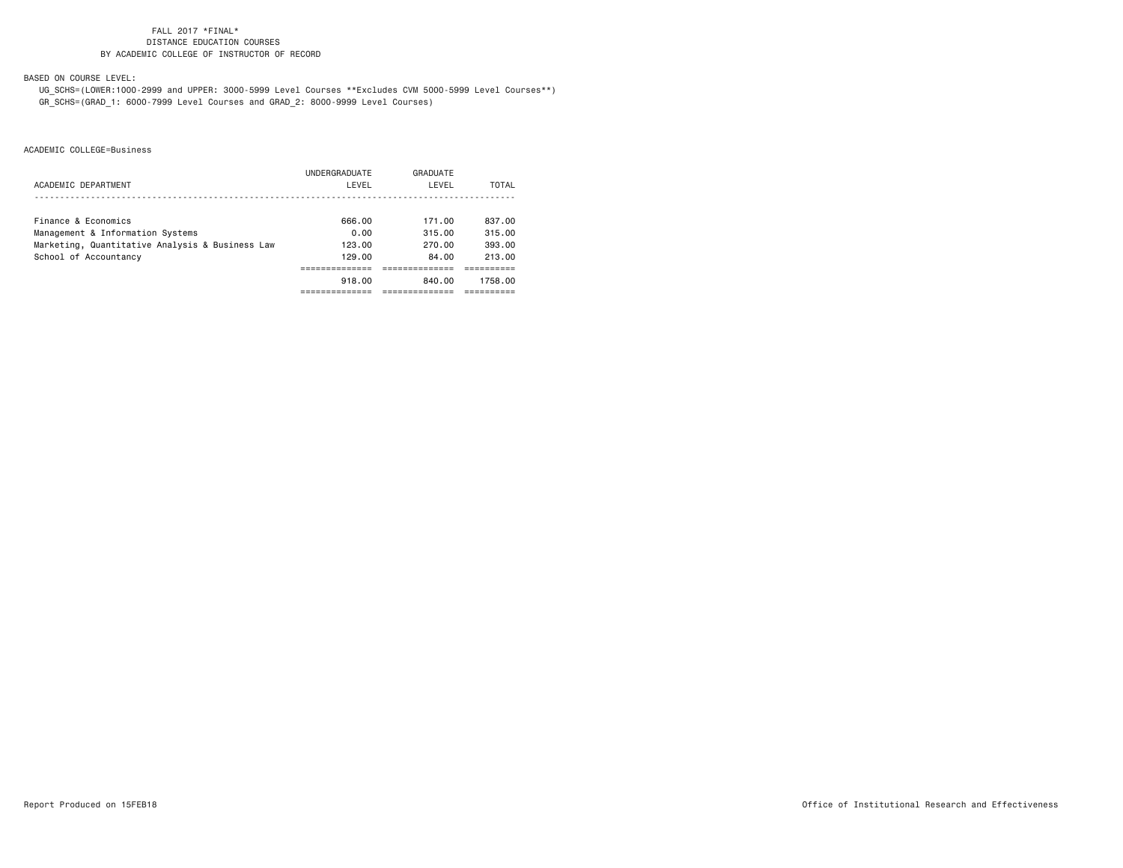BASED ON COURSE LEVEL:

 UG\_SCHS=(LOWER:1000-2999 and UPPER: 3000-5999 Level Courses \*\*Excludes CVM 5000-5999 Level Courses\*\*) GR\_SCHS=(GRAD\_1: 6000-7999 Level Courses and GRAD\_2: 8000-9999 Level Courses)

|                                                 | UNDERGRADUATE | GRADUATE |         |
|-------------------------------------------------|---------------|----------|---------|
| ACADEMIC DEPARTMENT                             | LEVEL         | LEVEL    | TOTAL   |
|                                                 |               |          |         |
| Finance & Economics                             | 666.00        | 171.00   | 837.00  |
| Management & Information Systems                | 0.00          | 315.00   | 315.00  |
| Marketing, Quantitative Analysis & Business Law | 123.00        | 270.00   | 393.00  |
| School of Accountancy                           | 129.00        | 84.00    | 213.00  |
|                                                 |               |          |         |
|                                                 | 918.00        | 840.00   | 1758.00 |
|                                                 |               |          |         |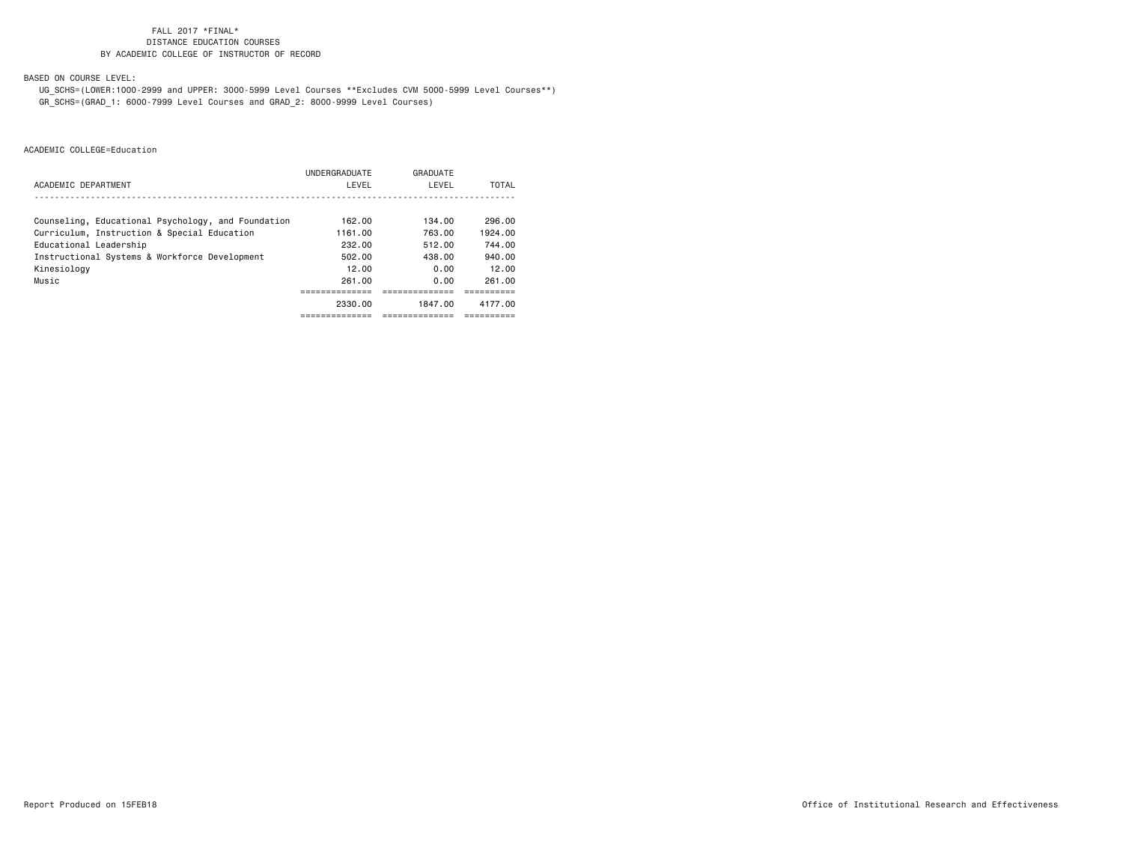BASED ON COURSE LEVEL:

 UG\_SCHS=(LOWER:1000-2999 and UPPER: 3000-5999 Level Courses \*\*Excludes CVM 5000-5999 Level Courses\*\*) GR\_SCHS=(GRAD\_1: 6000-7999 Level Courses and GRAD\_2: 8000-9999 Level Courses)

|                                                    | UNDERGRADUATE | GRADUATE |         |
|----------------------------------------------------|---------------|----------|---------|
| ACADEMIC DEPARTMENT                                | LEVEL         | LEVEL    | TOTAL   |
|                                                    |               |          |         |
| Counseling, Educational Psychology, and Foundation | 162.00        | 134.00   | 296.00  |
| Curriculum, Instruction & Special Education        | 1161.00       | 763.00   | 1924.00 |
| Educational Leadership                             | 232.00        | 512.00   | 744.00  |
| Instructional Systems & Workforce Development      | 502.00        | 438.00   | 940.00  |
| Kinesiology                                        | 12.00         | 0.00     | 12.00   |
| Music                                              | 261.00        | 0.00     | 261.00  |
|                                                    |               |          |         |
|                                                    | 2330.00       | 1847.00  | 4177.00 |
|                                                    |               |          |         |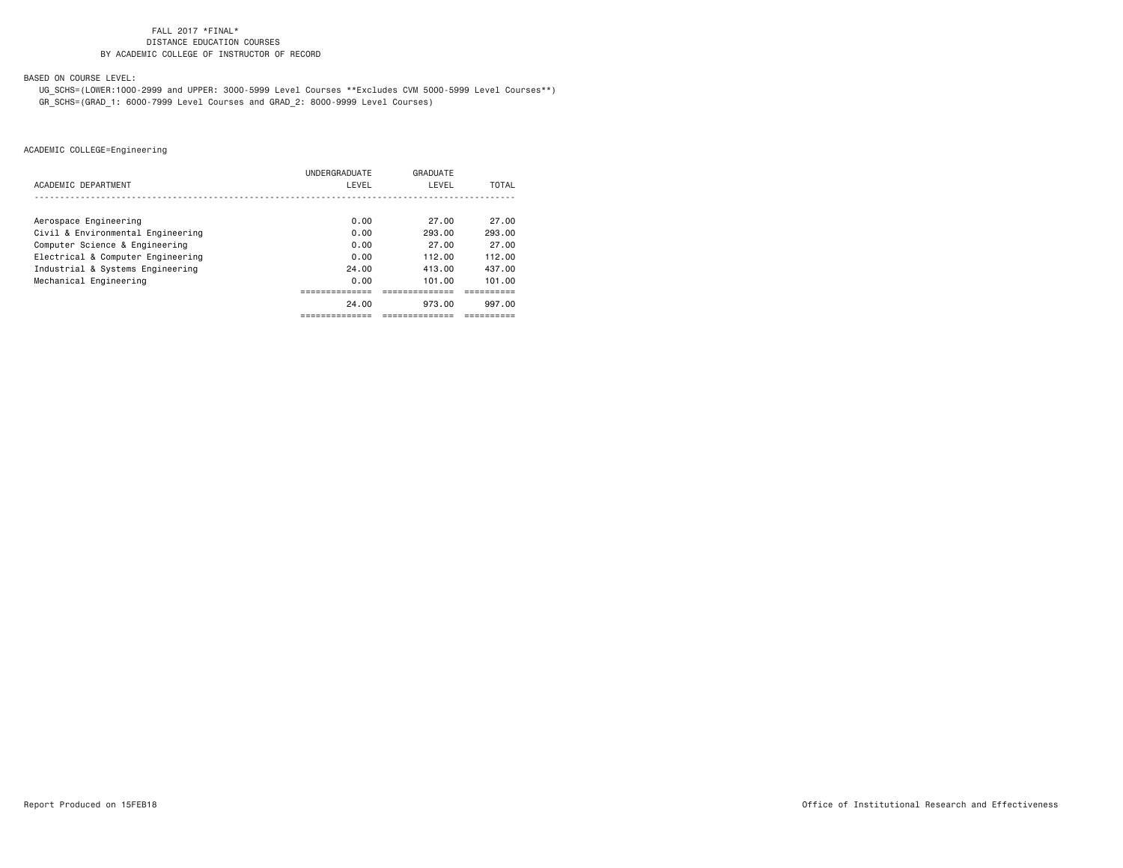BASED ON COURSE LEVEL:

 UG\_SCHS=(LOWER:1000-2999 and UPPER: 3000-5999 Level Courses \*\*Excludes CVM 5000-5999 Level Courses\*\*) GR\_SCHS=(GRAD\_1: 6000-7999 Level Courses and GRAD\_2: 8000-9999 Level Courses)

|                                   | <b>UNDERGRADUATE</b> | GRADUATE |        |
|-----------------------------------|----------------------|----------|--------|
| ACADEMIC DEPARTMENT               | LEVEL                | LEVEL    | TOTAL  |
|                                   |                      |          |        |
| Aerospace Engineering             | 0.00                 | 27.00    | 27.00  |
| Civil & Environmental Engineering | 0.00                 | 293.00   | 293.00 |
| Computer Science & Engineering    | 0.00                 | 27.00    | 27.00  |
| Electrical & Computer Engineering | 0.00                 | 112.00   | 112.00 |
| Industrial & Systems Engineering  | 24.00                | 413.00   | 437.00 |
| Mechanical Engineering            | 0.00                 | 101.00   | 101.00 |
|                                   |                      |          |        |
|                                   | 24.00                | 973.00   | 997.00 |
|                                   |                      |          |        |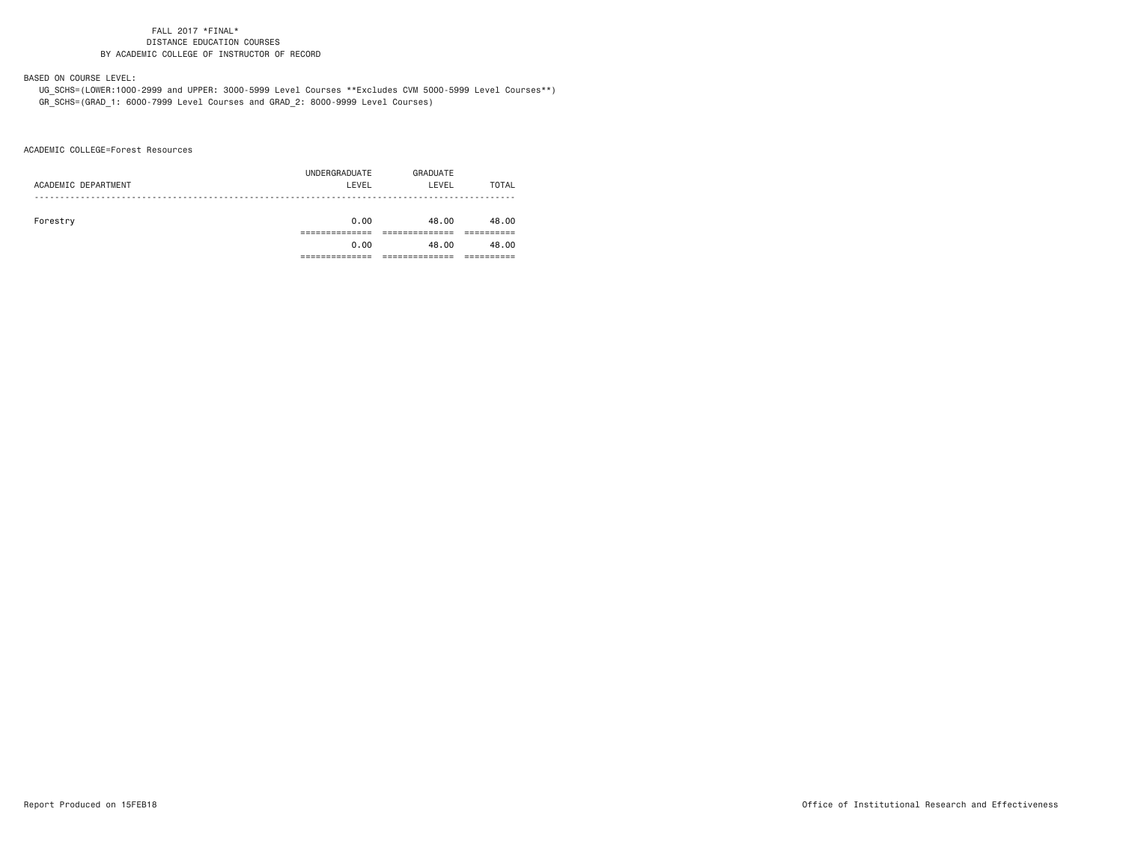BASED ON COURSE LEVEL:

 UG\_SCHS=(LOWER:1000-2999 and UPPER: 3000-5999 Level Courses \*\*Excludes CVM 5000-5999 Level Courses\*\*) GR\_SCHS=(GRAD\_1: 6000-7999 Level Courses and GRAD\_2: 8000-9999 Level Courses)

ACADEMIC COLLEGE=Forest Resources

|                     | UNDERGRADUATE | GRADUATE |       |
|---------------------|---------------|----------|-------|
| ACADEMIC DEPARTMENT | LEVEL         | LEVEL    | TOTAL |
|                     |               |          |       |
|                     |               |          |       |
| Forestry            | 0.00          | 48.00    | 48.00 |
|                     |               |          |       |
|                     | 0.00          | 48.00    | 48.00 |
|                     |               |          |       |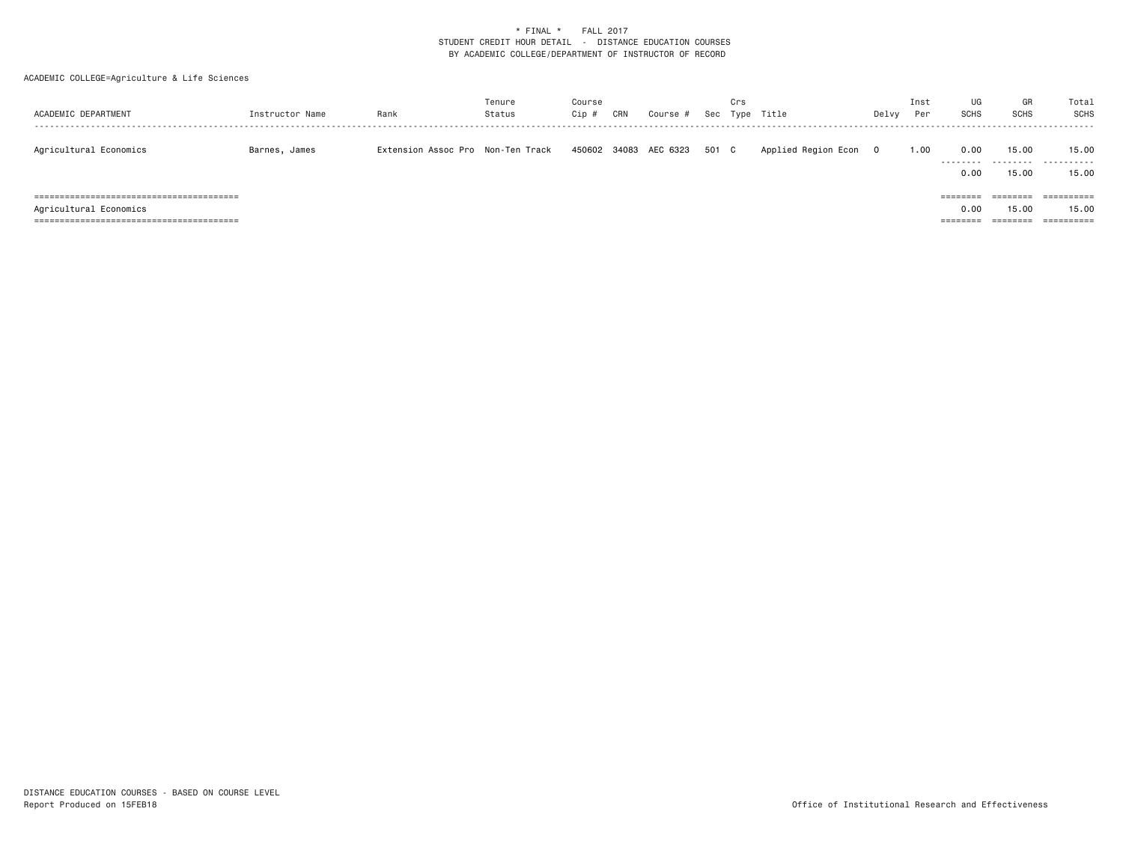| ACADEMIC DEPARTMENT    | Instructor Name | Rank                              | Tenure<br>Status | Course<br>Cip # | CRN | Course #                    | Sec | Crs | Type Title          | Delvy    | Inst<br>Per | UG<br><b>SCHS</b>                     | GR<br><b>SCHS</b>             | Total<br><b>SCHS</b>              |
|------------------------|-----------------|-----------------------------------|------------------|-----------------|-----|-----------------------------|-----|-----|---------------------|----------|-------------|---------------------------------------|-------------------------------|-----------------------------------|
| Agricultural Economics | Barnes, James   | Extension Assoc Pro Non-Ten Track |                  |                 |     | 450602 34083 AEC 6323 501 C |     |     | Applied Region Econ | $\Omega$ | 1.00        | 0.00<br>.<br>0.00                     | 15.00<br>.<br>15.00           | 15.00<br>.<br>15.00               |
| Agricultural Economics |                 |                                   |                  |                 |     |                             |     |     |                     |          |             | $=$ = = = = = = =<br>0.00<br>======== | ========<br>15.00<br>======== | ==========<br>15.00<br>========== |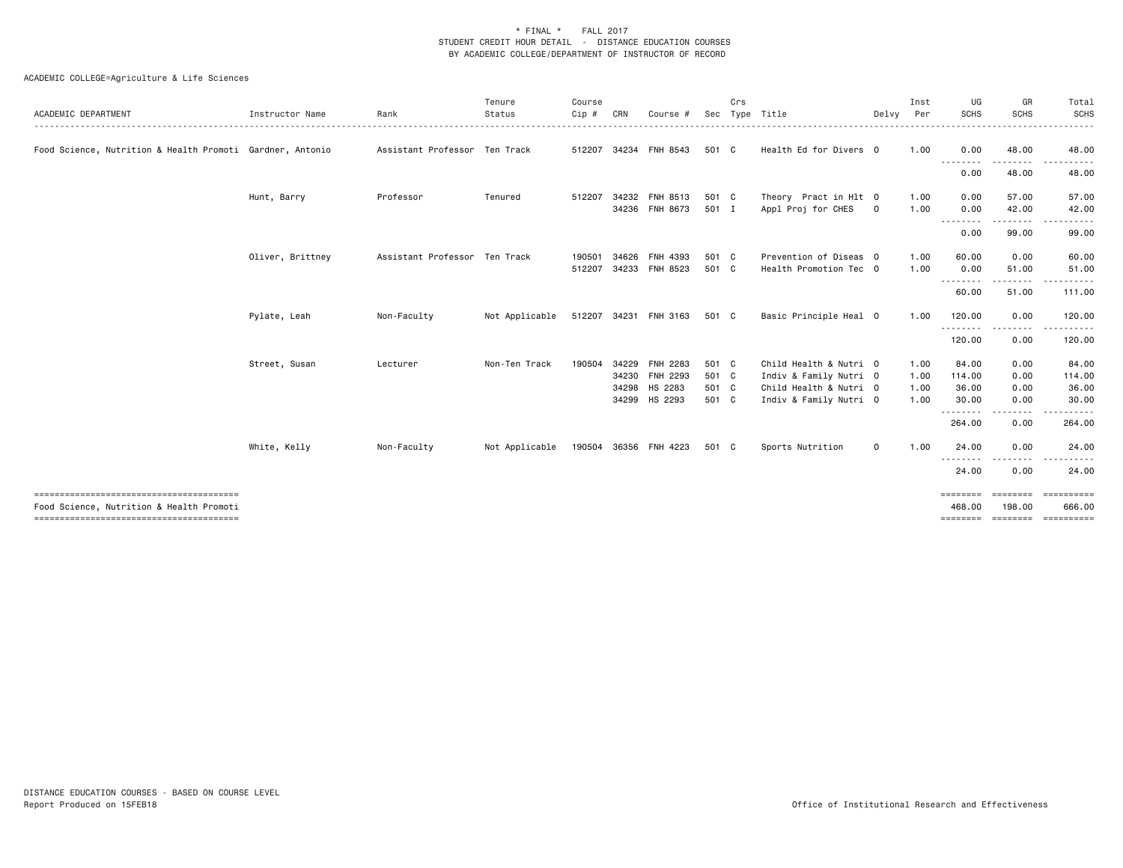| ACADEMIC DEPARTMENT                                       | Instructor Name  | Rank                          | Tenure<br>Status | Course<br>Cip # | CRN   | Course                | Sec   | Crs          | Type Title             | Delvy        | Inst<br>Per | UG<br><b>SCHS</b>  | GR<br><b>SCHS</b>                                                                                                                                             | Total<br><b>SCHS</b> |
|-----------------------------------------------------------|------------------|-------------------------------|------------------|-----------------|-------|-----------------------|-------|--------------|------------------------|--------------|-------------|--------------------|---------------------------------------------------------------------------------------------------------------------------------------------------------------|----------------------|
| Food Science, Nutrition & Health Promoti Gardner, Antonio |                  | Assistant Professor Ten Track |                  | 512207          |       | 34234 FNH 8543        | 501   | $\mathbf{C}$ | Health Ed for Divers 0 |              | 1.00        | 0.00               | 48.00                                                                                                                                                         | 48.00                |
|                                                           |                  |                               |                  |                 |       |                       |       |              |                        |              |             | --------<br>0.00   | 48.00                                                                                                                                                         | 48.00                |
|                                                           | Hunt, Barry      | Professor                     | Tenured          | 512207          |       | 34232 FNH 8513        | 501 C |              | Theory Pract in Hlt 0  |              | 1.00        | 0.00               | 57.00                                                                                                                                                         | 57.00                |
|                                                           |                  |                               |                  |                 |       | 34236 FNH 8673        | 501 I |              | Appl Proj for CHES     | $\mathbf 0$  | 1.00        | 0.00               | 42.00                                                                                                                                                         | 42.00                |
|                                                           |                  |                               |                  |                 |       |                       |       |              |                        |              |             | .<br>0.00          | $\frac{1}{2} \left( \frac{1}{2} \right) \left( \frac{1}{2} \right) \left( \frac{1}{2} \right) \left( \frac{1}{2} \right) \left( \frac{1}{2} \right)$<br>99.00 | 99.00                |
|                                                           | Oliver, Brittney | Assistant Professor Ten Track |                  | 190501          | 34626 | <b>FNH 4393</b>       | 501 C |              | Prevention of Diseas 0 |              | 1.00        | 60.00              | 0.00                                                                                                                                                          | 60.00                |
|                                                           |                  |                               |                  | 512207          |       | 34233 FNH 8523        | 501 C |              | Health Promotion Tec 0 |              | 1.00        | 0.00               | 51.00                                                                                                                                                         | 51.00                |
|                                                           |                  |                               |                  |                 |       |                       |       |              |                        |              |             | .<br>60.00         | -----<br>51.00                                                                                                                                                | 111.00               |
|                                                           | Pylate, Leah     | Non-Faculty                   | Not Applicable   |                 |       | 512207 34231 FNH 3163 | 501 C |              | Basic Principle Heal 0 |              | 1.00        | 120.00             | 0.00                                                                                                                                                          | 120.00               |
|                                                           |                  |                               |                  |                 |       |                       |       |              |                        |              |             | .<br>120.00        | .<br>0.00                                                                                                                                                     | 120.00               |
|                                                           | Street, Susan    | Lecturer                      | Non-Ten Track    | 190504          |       | 34229 FNH 2283        | 501 C |              | Child Health & Nutri 0 |              | 1.00        | 84.00              | 0.00                                                                                                                                                          | 84.00                |
|                                                           |                  |                               |                  |                 |       | 34230 FNH 2293        | 501 C |              | Indiv & Family Nutri 0 |              | 1.00        | 114.00             | 0.00                                                                                                                                                          | 114.00               |
|                                                           |                  |                               |                  |                 |       | 34298 HS 2283         | 501 C |              | Child Health & Nutri 0 |              | 1.00        | 36.00              | 0.00                                                                                                                                                          | 36.00                |
|                                                           |                  |                               |                  |                 |       | 34299 HS 2293         | 501 C |              | Indiv & Family Nutri 0 |              | 1.00        | 30.00              | 0.00                                                                                                                                                          | 30.00                |
|                                                           |                  |                               |                  |                 |       |                       |       |              |                        |              |             | .<br>264.00        | 0.00                                                                                                                                                          | 264.00               |
|                                                           | White, Kelly     | Non-Faculty                   | Not Applicable   |                 |       | 190504 36356 FNH 4223 | 501 C |              | Sports Nutrition       | $\mathsf{o}$ | 1.00        | 24,00              | 0.00                                                                                                                                                          | 24.00                |
|                                                           |                  |                               |                  |                 |       |                       |       |              |                        |              |             | .<br>24.00         | . <b>.</b><br>0.00                                                                                                                                            | 24.00                |
| --------------------------------------                    |                  |                               |                  |                 |       |                       |       |              |                        |              |             | ========           | ========                                                                                                                                                      | ==========<br>666.00 |
| Food Science, Nutrition & Health Promoti                  |                  |                               |                  |                 |       |                       |       |              |                        |              |             | 468.00<br>======== | 198.00<br>========                                                                                                                                            | ==========           |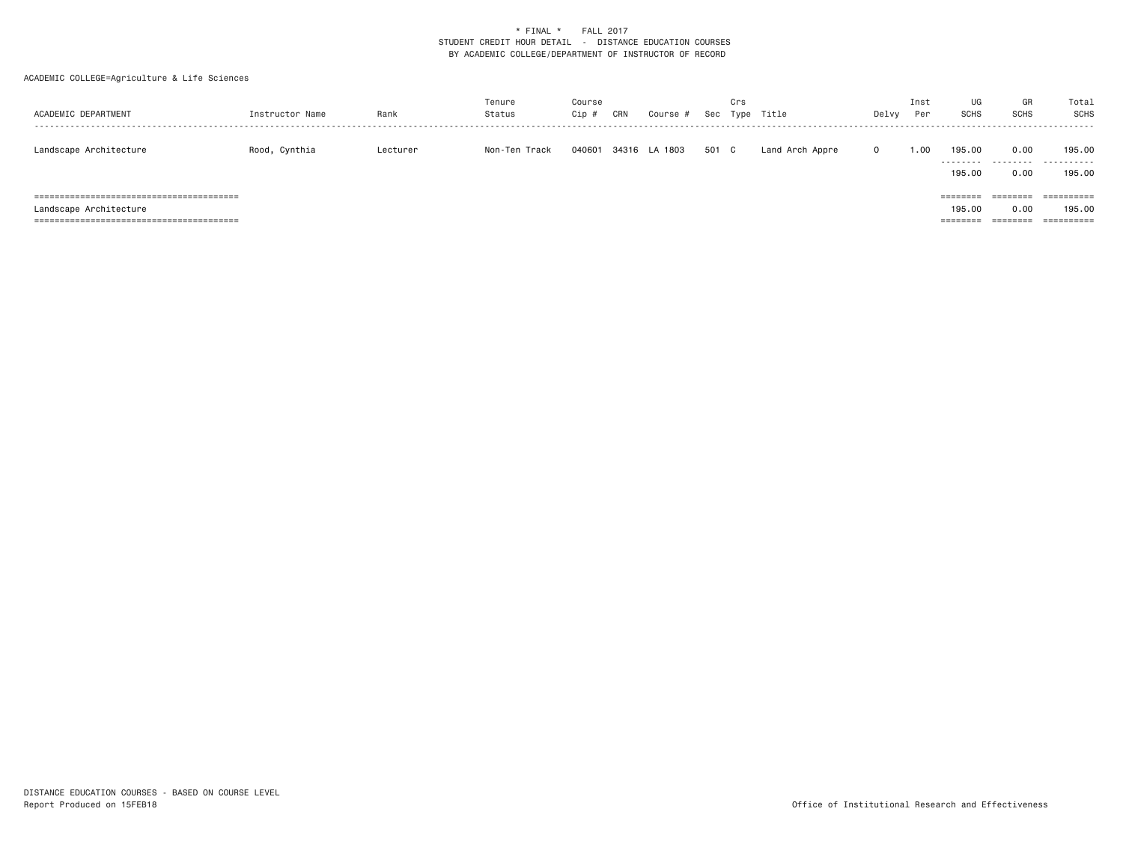| ACADEMIC DEPARTMENT    | Instructor Name | Rank     | Tenure<br>Status | Course<br>Cip # | CRN | Course #      |       | Crs | Sec Type Title  | Delvy    | Inst<br>Per | UG<br>SCHS        | GR<br><b>SCHS</b> | Total<br><b>SCHS</b> |
|------------------------|-----------------|----------|------------------|-----------------|-----|---------------|-------|-----|-----------------|----------|-------------|-------------------|-------------------|----------------------|
| Landscape Architecture | Rood, Cynthia   | Lecturer | Non-Ten Track    | 040601          |     | 34316 LA 1803 | 501 C |     | Land Arch Appre | $\Omega$ | 1.00        | 195.00<br>.       | 0.00<br>.         | 195,00<br>.          |
|                        |                 |          |                  |                 |     |               |       |     |                 |          |             | 195.00            | 0.00              | 195,00               |
|                        |                 |          |                  |                 |     |               |       |     |                 |          |             | $=$ = = = = = = = | ========          | ==========           |
| Landscape Architecture |                 |          |                  |                 |     |               |       |     |                 |          |             | 195,00            | 0.00              | 195.00               |
|                        |                 |          |                  |                 |     |               |       |     |                 |          |             | ========          | ========          | ==========           |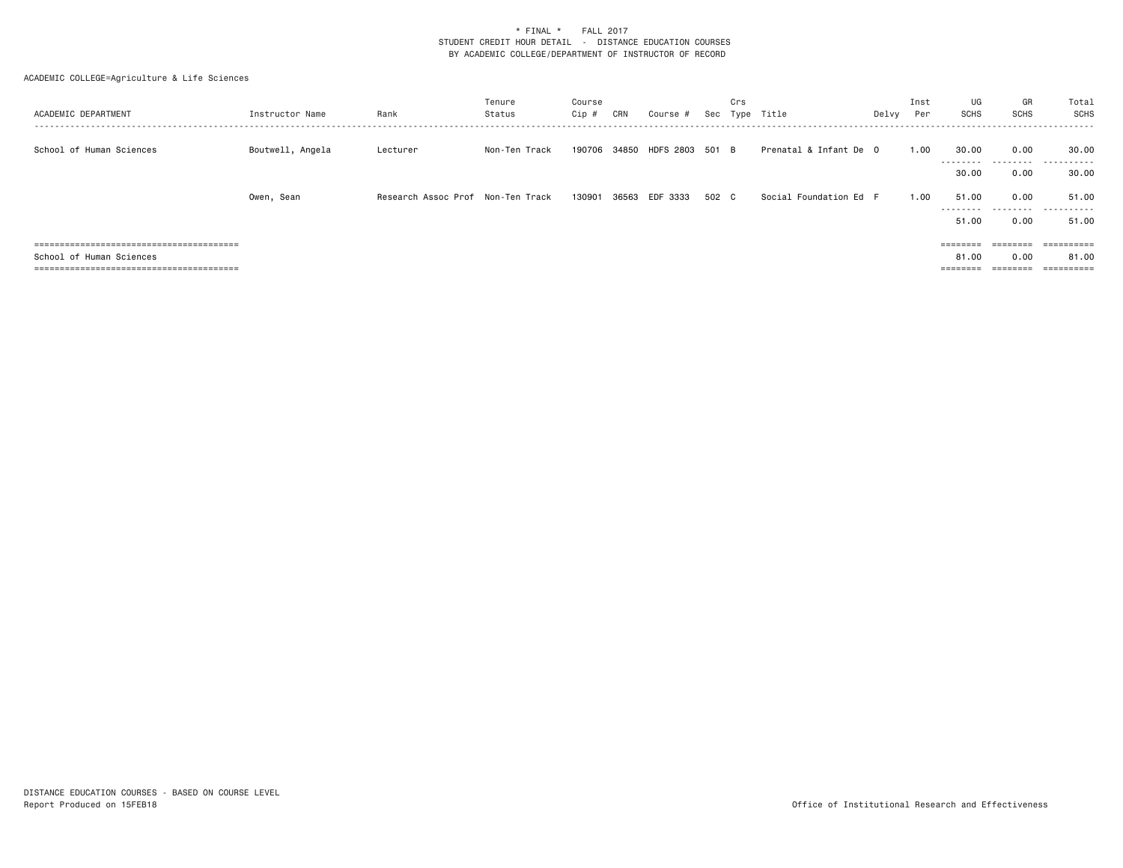| ACADEMIC DEPARTMENT      | Instructor Name  | Rank                              | Tenure<br>Status | Course<br>Cip # | CRN | Course #              | Sec   | Crs<br>Tvpe | Title                  | Delvy | Inst<br>Per | UG<br>SCHS         | GR<br><b>SCHS</b> | Total<br>SCHS |
|--------------------------|------------------|-----------------------------------|------------------|-----------------|-----|-----------------------|-------|-------------|------------------------|-------|-------------|--------------------|-------------------|---------------|
| School of Human Sciences | Boutwell, Angela | Lecturer                          | Non-Ten Track    | 190706          |     | 34850 HDFS 2803 501 B |       |             | Prenatal & Infant De 0 |       | 1.00        | 30.00<br>--------- | 0.00              | 30.00<br>.    |
|                          |                  |                                   |                  |                 |     |                       |       |             |                        |       |             | 30.00              | 0.00              | 30.00         |
|                          | Owen, Sean       | Research Assoc Prof Non-Ten Track |                  | 130901          |     | 36563 EDF 3333        | 502 C |             | Social Foundation Ed F |       | 1.00        | 51.00<br>--------- | 0.00              | 51.00         |
|                          |                  |                                   |                  |                 |     |                       |       |             |                        |       |             | 51.00              | 0.00              | 51.00         |
|                          |                  |                                   |                  |                 |     |                       |       |             |                        |       |             | $=$ = = = = = = =  | $=$ = = = = = = = | ==========    |
| School of Human Sciences |                  |                                   |                  |                 |     |                       |       |             |                        |       |             | 81.00              | 0.00              | 81.00         |
|                          |                  |                                   |                  |                 |     |                       |       |             |                        |       |             | $=$ = = = = = = =  | $=$ = = = = = = = | ==========    |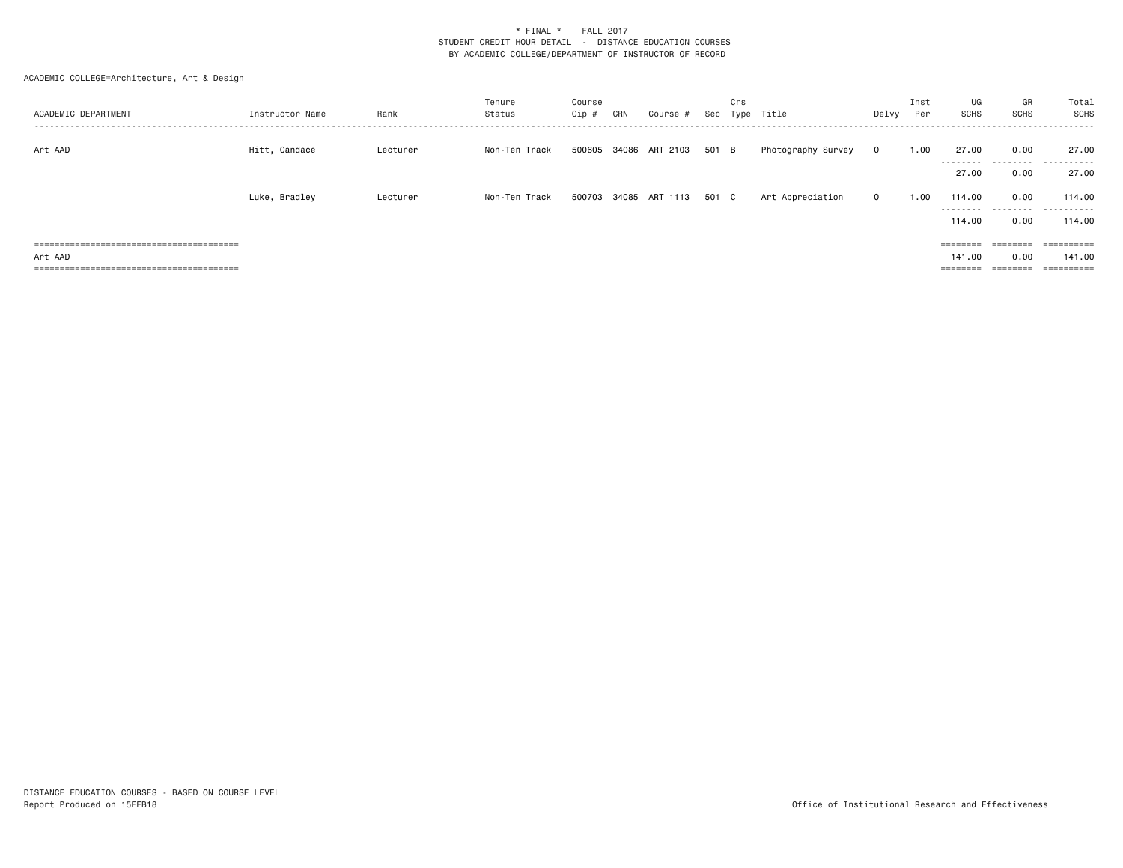| ACADEMIC DEPARTMENT | Instructor Name | Rank     | Tenure<br>Status | Course<br>Cip # | CRN | Course #                    | Sec   | Crs<br>Type | Title              | Delvy        | Inst<br>Per | UG<br>SCHS          | GR<br><b>SCHS</b> | Total<br>SCHS             |
|---------------------|-----------------|----------|------------------|-----------------|-----|-----------------------------|-------|-------------|--------------------|--------------|-------------|---------------------|-------------------|---------------------------|
| Art AAD             | Hitt, Candace   | Lecturer | Non-Ten Track    |                 |     | 500605 34086 ART 2103       | 501 B |             | Photography Survey | $\mathbf{0}$ | 1.00        | 27.00               | 0.00              | 27.00                     |
|                     |                 |          |                  |                 |     |                             |       |             |                    |              |             | ---------<br>27.00  | .<br>0.00         | .<br>27.00                |
|                     | Luke, Bradley   | Lecturer | Non-Ten Track    |                 |     | 500703 34085 ART 1113 501 C |       |             | Art Appreciation   | $\mathbf{0}$ | 1.00        | 114.00<br>--------- | 0.00              | 114.00<br>.               |
|                     |                 |          |                  |                 |     |                             |       |             |                    |              |             | 114,00              | 0.00              | 114,00                    |
|                     |                 |          |                  |                 |     |                             |       |             |                    |              |             | $=$ = = = = = = =   | $=$ = = = = = = = | ==========                |
| Art AAD             |                 |          |                  |                 |     |                             |       |             |                    |              |             | 141.00              | 0.00              | 141.00                    |
|                     |                 |          |                  |                 |     |                             |       |             |                    |              |             | $=$ = = = = = = =   | $=$ = = = = = = = | -----------<br>---------- |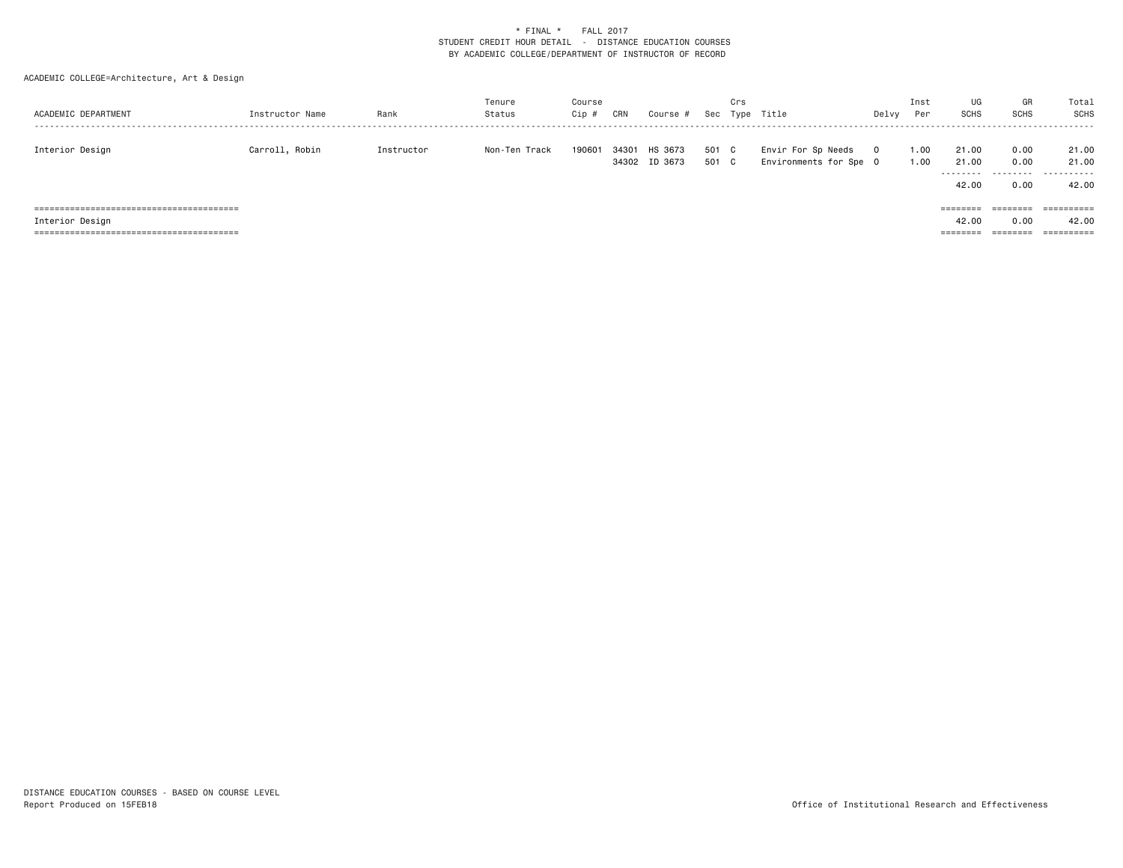| ACADEMIC DEPARTMENT | Instructor Name | Rank       | Tenure<br>Status | Course<br>Cip # | CRN   | Course #                 | Sec            | Crs | Type Title                                   | Delvy   | Inst<br>Per  | UG<br><b>SCHS</b>          | GR<br><b>SCHS</b>         | Total<br>SCHS       |
|---------------------|-----------------|------------|------------------|-----------------|-------|--------------------------|----------------|-----|----------------------------------------------|---------|--------------|----------------------------|---------------------------|---------------------|
| Interior Design     | Carroll, Robin  | Instructor | Non-Ten Track    | 190601          | 34301 | HS 3673<br>34302 ID 3673 | 501 C<br>501 C |     | Envir For Sp Needs<br>Environments for Spe 0 | $\circ$ | 1.00<br>1.00 | 21,00<br>21,00<br>-------- | 0.00<br>0.00<br>--------- | 21.00<br>21.00<br>. |
|                     |                 |            |                  |                 |       |                          |                |     |                                              |         |              | 42.00                      | 0.00                      | 42.00               |
|                     |                 |            |                  |                 |       |                          |                |     |                                              |         |              |                            | ========                  |                     |
| Interior Design     |                 |            |                  |                 |       |                          |                |     |                                              |         |              | 42.00                      | 0.00                      | 42.00               |
|                     |                 |            |                  |                 |       |                          |                |     |                                              |         |              | ========                   | ========                  | ==========          |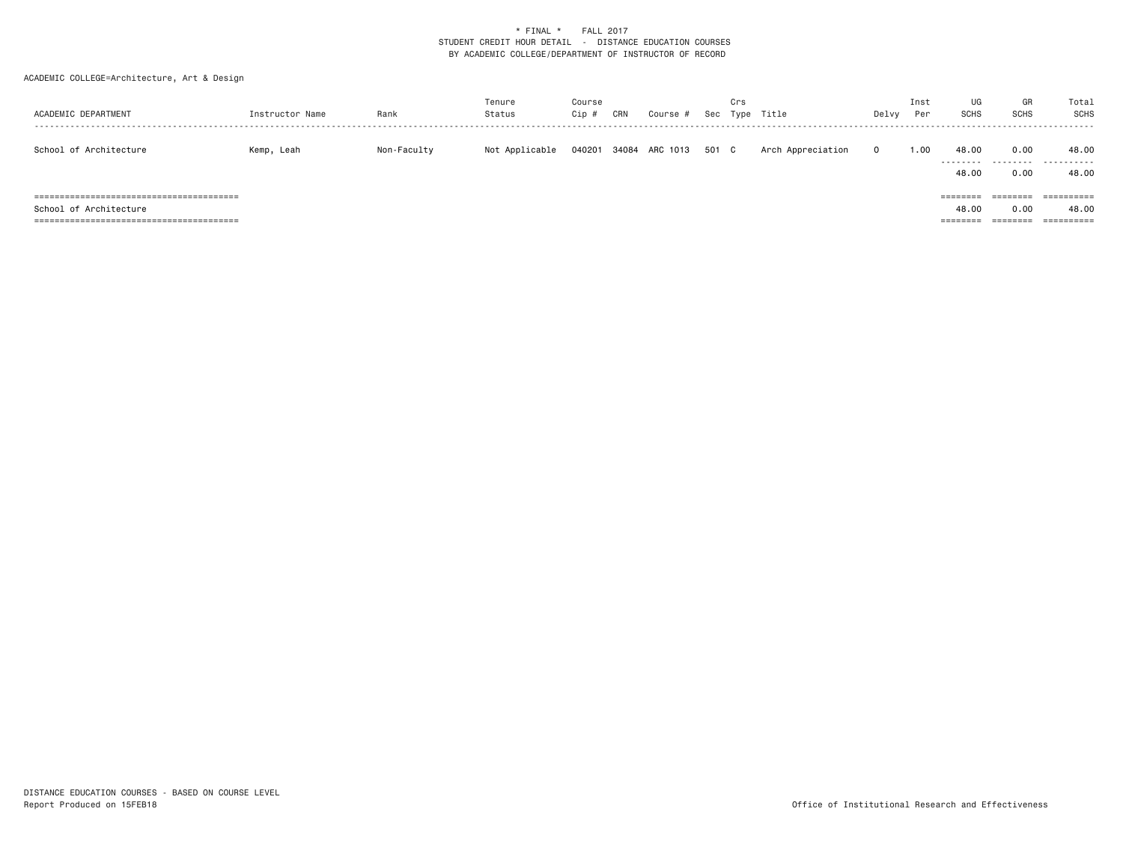| ACADEMIC DEPARTMENT    | Instructor Name | Rank        | Tenure<br>Status | Course<br>$Cip$ # | CRN | Course #       | Sec   | Crs | Type Title        | Delvy    | Inst<br>Per | UG<br><b>SCHS</b>                      | GR<br><b>SCHS</b>            | Total<br><b>SCHS</b>              |
|------------------------|-----------------|-------------|------------------|-------------------|-----|----------------|-------|-----|-------------------|----------|-------------|----------------------------------------|------------------------------|-----------------------------------|
| School of Architecture | Kemp, Leah      | Non-Faculty | Not Applicable   | 040201            |     | 34084 ARC 1013 | 501 C |     | Arch Appreciation | $\Omega$ | 1.00        | 48.00<br>.<br>48.00                    | 0.00<br>.<br>0.00            | 48.00<br>.<br>48.00               |
| School of Architecture |                 |             |                  |                   |     |                |       |     |                   |          |             | $=$ = = = = = = =<br>48.00<br>======== | ========<br>0.00<br>======== | ==========<br>48.00<br>========== |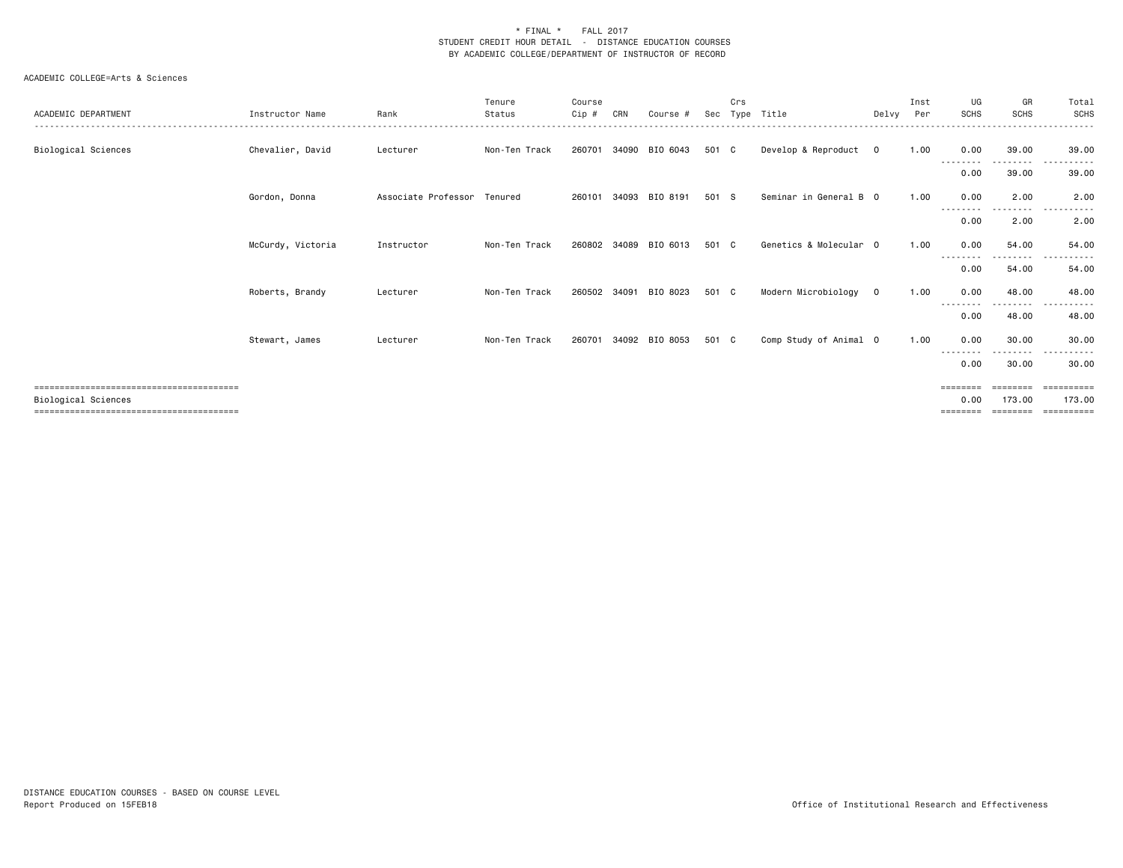| ACADEMIC DEPARTMENT | Instructor Name   | Rank                        | Tenure<br>Status | Course<br>Cip # | CRN   | Course #       | Sec   | Crs<br>Type | Title                  | Delvy          | Inst<br>Per | UG<br><b>SCHS</b>                              | GR<br><b>SCHS</b>              | Total<br><b>SCHS</b>              |
|---------------------|-------------------|-----------------------------|------------------|-----------------|-------|----------------|-------|-------------|------------------------|----------------|-------------|------------------------------------------------|--------------------------------|-----------------------------------|
| Biological Sciences | Chevalier, David  | Lecturer                    | Non-Ten Track    | 260701          | 34090 | BIO 6043       | 501 C |             | Develop & Reproduct    | $\mathbf 0$    | 1.00        | 0.00<br>--------                               | 39.00<br>. <b>.</b> .          | 39.00<br>. <i>.</i><br>$- - -$    |
|                     |                   |                             |                  |                 |       |                |       |             |                        |                |             | 0.00                                           | 39.00                          | 39.00                             |
|                     | Gordon, Donna     | Associate Professor Tenured |                  | 260101          | 34093 | BIO 8191       | 501 S |             | Seminar in General B 0 |                | 1.00        | 0.00<br>----                                   | 2.00<br>----                   | 2.00                              |
|                     |                   |                             |                  |                 |       |                |       |             |                        |                |             | 0.00                                           | 2.00                           | 2.00                              |
|                     | McCurdy, Victoria | Instructor                  | Non-Ten Track    | 260802          | 34089 | BIO 6013       | 501   | C.          | Genetics & Molecular 0 |                | 1.00        | 0.00                                           | 54.00<br>.                     | 54.00<br>. <b>.</b> .             |
|                     |                   |                             |                  |                 |       |                |       |             |                        |                |             | 0.00                                           | 54.00                          | 54.00                             |
|                     | Roberts, Brandy   | Lecturer                    | Non-Ten Track    | 260502          |       | 34091 BIO 8023 | 501 C |             | Modern Microbiology    | $\overline{0}$ | 1.00        | 0.00                                           | 48.00<br>--------              | 48.00<br>.<br>$\sim$ $\sim$       |
|                     |                   |                             |                  |                 |       |                |       |             |                        |                |             | 0.00                                           | 48.00                          | 48.00                             |
|                     | Stewart, James    | Lecturer                    | Non-Ten Track    | 260701          |       | 34092 BIO 8053 | 501 C |             | Comp Study of Animal 0 |                | 1.00        | 0.00<br>- - - - - - - -                        | 30.00<br>------                | 30.00<br>.                        |
|                     |                   |                             |                  |                 |       |                |       |             |                        |                |             | 0.00                                           | 30.00                          | 30.00                             |
| Biological Sciences |                   |                             |                  |                 |       |                |       |             |                        |                |             | $=$ = = = = = = =<br>0.00<br>$=$ = = = = = = = | ========<br>173,00<br>======== | EEEEEEEEE<br>173.00<br>========== |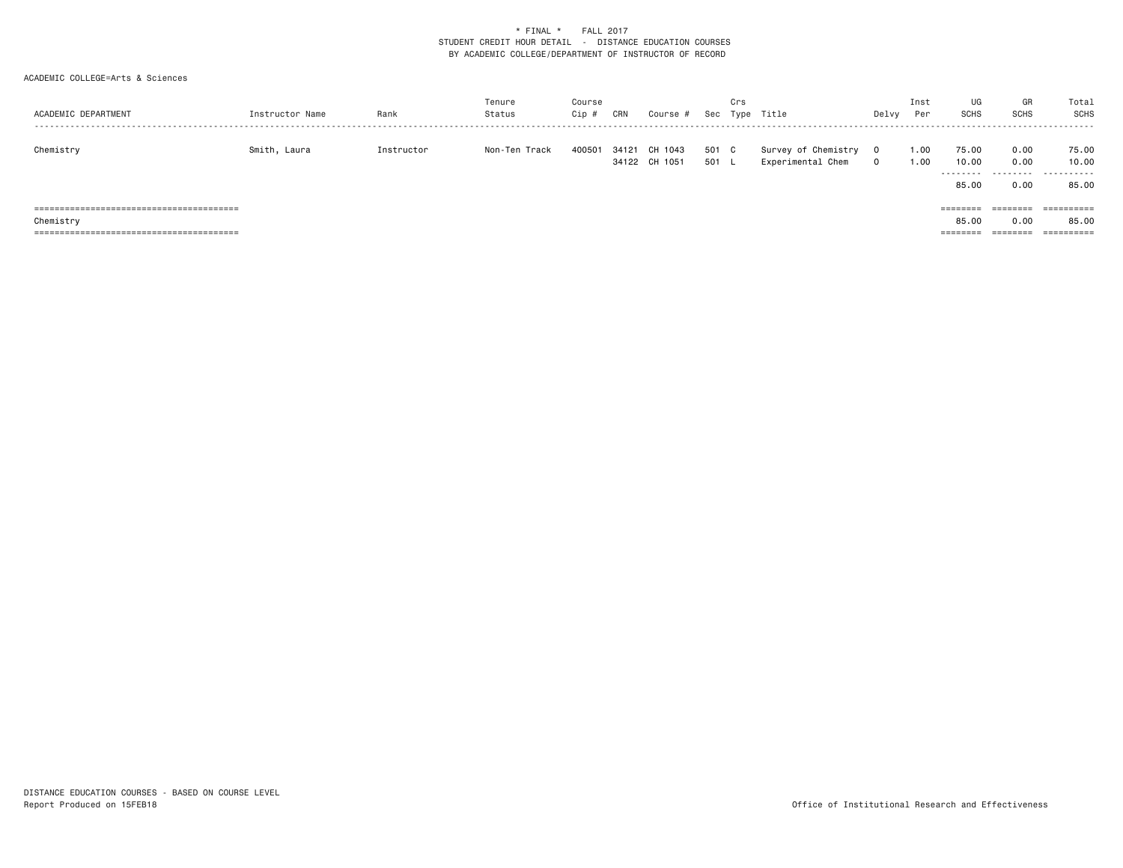| ACADEMIC DEPARTMENT | Instructor Name | Rank       | Tenure<br>Status | Course<br>Cip # | CRN   | Course #                 | Sec            | Crs | Type Title                               | Delvy               | Inst<br>Per  | UG<br><b>SCHS</b>          | GR<br><b>SCHS</b>         | Total<br>SCHS       |
|---------------------|-----------------|------------|------------------|-----------------|-------|--------------------------|----------------|-----|------------------------------------------|---------------------|--------------|----------------------------|---------------------------|---------------------|
| Chemistry           | Smith, Laura    | Instructor | Non-Ten Track    | 400501          | 34121 | CH 1043<br>34122 CH 1051 | 501 C<br>501 L |     | Survey of Chemistry<br>Experimental Chem | $\circ$<br>$\Omega$ | 1.00<br>1.00 | 75.00<br>10.00<br>-------- | 0.00<br>0.00<br>--------- | 75.00<br>10.00<br>. |
|                     |                 |            |                  |                 |       |                          |                |     |                                          |                     |              | 85.00                      | 0.00                      | 85.00               |
|                     |                 |            |                  |                 |       |                          |                |     |                                          |                     |              |                            | ========                  |                     |
| Chemistry           |                 |            |                  |                 |       |                          |                |     |                                          |                     |              | 85,00                      | 0.00                      | 85.00               |
|                     |                 |            |                  |                 |       |                          |                |     |                                          |                     |              | ========                   | ========                  | ==========          |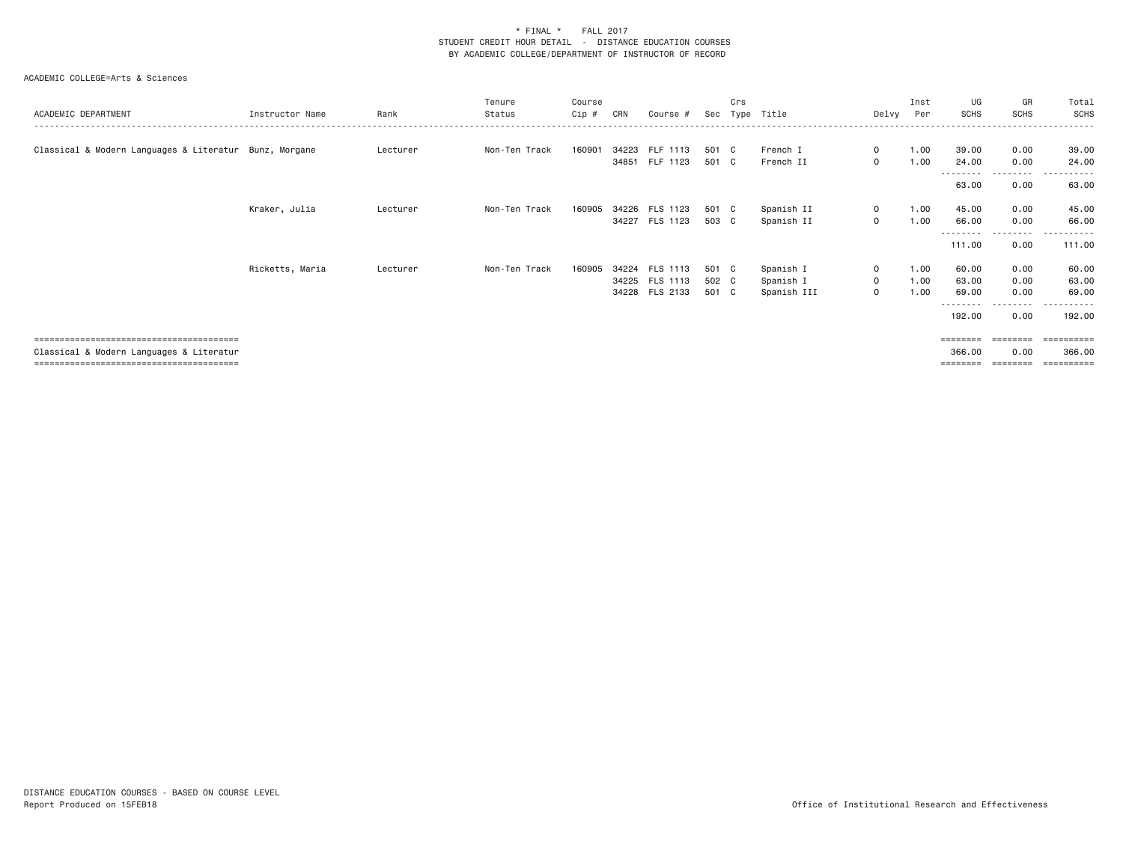| ACADEMIC DEPARTMENT                                    | Instructor Name | Rank     | Tenure<br>Status | Course<br>Cip # | CRN | Course #                         | Sec            | Crs | Type Title               | Delvy                      | Inst<br>Per  | UG<br><b>SCHS</b>              | GR<br>SCHS                    | Total<br>SCHS                       |
|--------------------------------------------------------|-----------------|----------|------------------|-----------------|-----|----------------------------------|----------------|-----|--------------------------|----------------------------|--------------|--------------------------------|-------------------------------|-------------------------------------|
| Classical & Modern Languages & Literatur Bunz, Morgane |                 | Lecturer | Non-Ten Track    | 160901          |     | 34223 FLF 1113                   | 501 C          |     | French I                 | $\mathbf{0}$               | 1.00         | 39.00                          | 0.00                          | 39.00                               |
|                                                        |                 |          |                  |                 |     | 34851 FLF 1123                   | 501 C          |     | French II                | $\mathbf{0}$               | 1.00         | 24.00<br>--------<br>63.00     | 0.00<br>.<br>0.00             | 24.00<br>.<br>63.00                 |
|                                                        | Kraker, Julia   | Lecturer | Non-Ten Track    | 160905          |     | 34226 FLS 1123                   | 501 C          |     | Spanish II               | $\mathbf 0$                | 1.00         | 45.00                          | 0.00                          | 45.00                               |
|                                                        |                 |          |                  |                 |     | 34227 FLS 1123                   | 503 C          |     | Spanish II               | $\mathbf 0$                | 1.00         | 66.00<br>--------<br>111.00    | 0.00<br>--------<br>0.00      | 66.00<br>.<br>111.00                |
|                                                        | Ricketts, Maria | Lecturer | Non-Ten Track    | 160905          |     | 34224 FLS 1113<br>34225 FLS 1113 | 501 C<br>502 C |     | Spanish I                | $\mathbf 0$<br>$\mathbf 0$ | 1.00<br>1.00 | 60.00<br>63.00                 | 0.00<br>0.00                  | 60.00<br>63.00                      |
|                                                        |                 |          |                  |                 |     | 34228 FLS 2133                   | 501 C          |     | Spanish I<br>Spanish III | $\mathbf{0}$               | 1.00         | 69.00                          | 0.00<br>.                     | 69.00                               |
|                                                        |                 |          |                  |                 |     |                                  |                |     |                          |                            |              | 192.00                         | 0.00                          | 192.00                              |
| Classical & Modern Languages & Literatur               |                 |          |                  |                 |     |                                  |                |     |                          |                            |              | ========<br>366.00<br>======== | ========<br>0.00<br>--------- | ==========<br>366.00<br>----------- |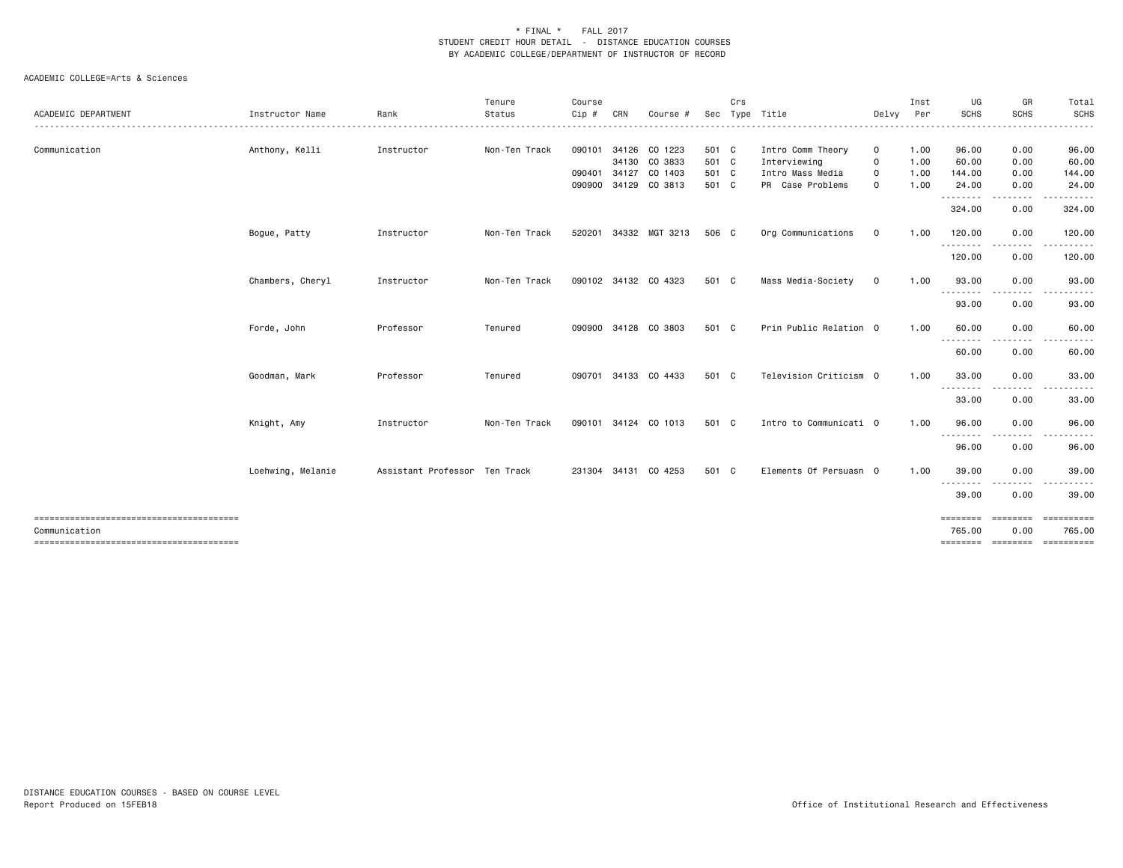|                     |                   |                               | Tenure        | Course |     |                       |       | Crs |                        |              | Inst | UG                | GR                | Total             |
|---------------------|-------------------|-------------------------------|---------------|--------|-----|-----------------------|-------|-----|------------------------|--------------|------|-------------------|-------------------|-------------------|
| ACADEMIC DEPARTMENT | Instructor Name   | Rank                          | Status<br>.   | Cip #  | CRN | Course                | Sec   |     | Type Title             | Delvy        | Per  | SCHS              | <b>SCHS</b><br>.  | <b>SCHS</b><br>.  |
| Communication       | Anthony, Kelli    | Instructor                    | Non-Ten Track | 090101 |     | 34126 CO 1223         | 501 C |     | Intro Comm Theory      | 0            | 1.00 | 96.00             | 0.00              | 96.00             |
|                     |                   |                               |               |        |     | 34130 CO 3833         | 501 C |     | Interviewing           | $\Omega$     | 1.00 | 60.00             | 0.00              | 60.00             |
|                     |                   |                               |               | 090401 |     | 34127 CO 1403         | 501 C |     | Intro Mass Media       | $\mathsf{o}$ | 1.00 | 144.00            | 0.00              | 144.00            |
|                     |                   |                               |               | 090900 |     | 34129 CO 3813         | 501 C |     | PR Case Problems       | $\Omega$     | 1.00 | 24.00<br>-------- | 0.00<br><u>.</u>  | 24.00<br>.        |
|                     |                   |                               |               |        |     |                       |       |     |                        |              |      | 324.00            | 0.00              | 324.00            |
|                     | Bogue, Patty      | Instructor                    | Non-Ten Track |        |     | 520201 34332 MGT 3213 | 506 C |     | Org Communications     | $\mathbf 0$  | 1.00 | 120.00<br>.       | 0.00<br>.         | 120.00<br>.       |
|                     |                   |                               |               |        |     |                       |       |     |                        |              |      | 120.00            | 0.00              | 120.00            |
|                     | Chambers, Cheryl  | Instructor                    | Non-Ten Track |        |     | 090102 34132 CO 4323  | 501 C |     | Mass Media-Society     | $\mathbf 0$  | 1.00 | 93.00<br>.        | 0.00<br>.         | 93.00<br>.        |
|                     |                   |                               |               |        |     |                       |       |     |                        |              |      | 93.00             | 0.00              | 93.00             |
|                     | Forde, John       | Professor                     | Tenured       |        |     | 090900 34128 CO 3803  | 501 C |     | Prin Public Relation 0 |              | 1.00 | 60.00<br>-------- | 0.00<br>--------- | 60.00<br><u>.</u> |
|                     |                   |                               |               |        |     |                       |       |     |                        |              |      | 60.00             | 0.00              | 60.00             |
|                     | Goodman, Mark     | Professor                     | Tenured       | 090701 |     | 34133 CO 4433         | 501 C |     | Television Criticism 0 |              | 1.00 | 33.00<br>-------- | 0.00<br>--------- | 33.00<br><u>.</u> |
|                     |                   |                               |               |        |     |                       |       |     |                        |              |      | 33.00             | 0.00              | 33.00             |
|                     | Knight, Amy       | Instructor                    | Non-Ten Track |        |     | 090101 34124 CO 1013  | 501 C |     | Intro to Communicati 0 |              | 1.00 | 96.00             | 0.00              | 96.00             |
|                     |                   |                               |               |        |     |                       |       |     |                        |              |      | .<br>96.00        | .<br>0.00         | 96.00             |
|                     | Loehwing, Melanie | Assistant Professor Ten Track |               |        |     | 231304 34131 CO 4253  | 501 C |     | Elements Of Persuasn 0 |              | 1.00 | 39.00             | 0.00              | 39.00             |
|                     |                   |                               |               |        |     |                       |       |     |                        |              |      | --------<br>39.00 | --------<br>0.00  | ------<br>39.00   |
|                     |                   |                               |               |        |     |                       |       |     |                        |              |      | ========          | ========          | ==========        |
| Communication       |                   |                               |               |        |     |                       |       |     |                        |              |      | 765.00            | 0.00              | 765.00            |
|                     |                   |                               |               |        |     |                       |       |     |                        |              |      |                   |                   |                   |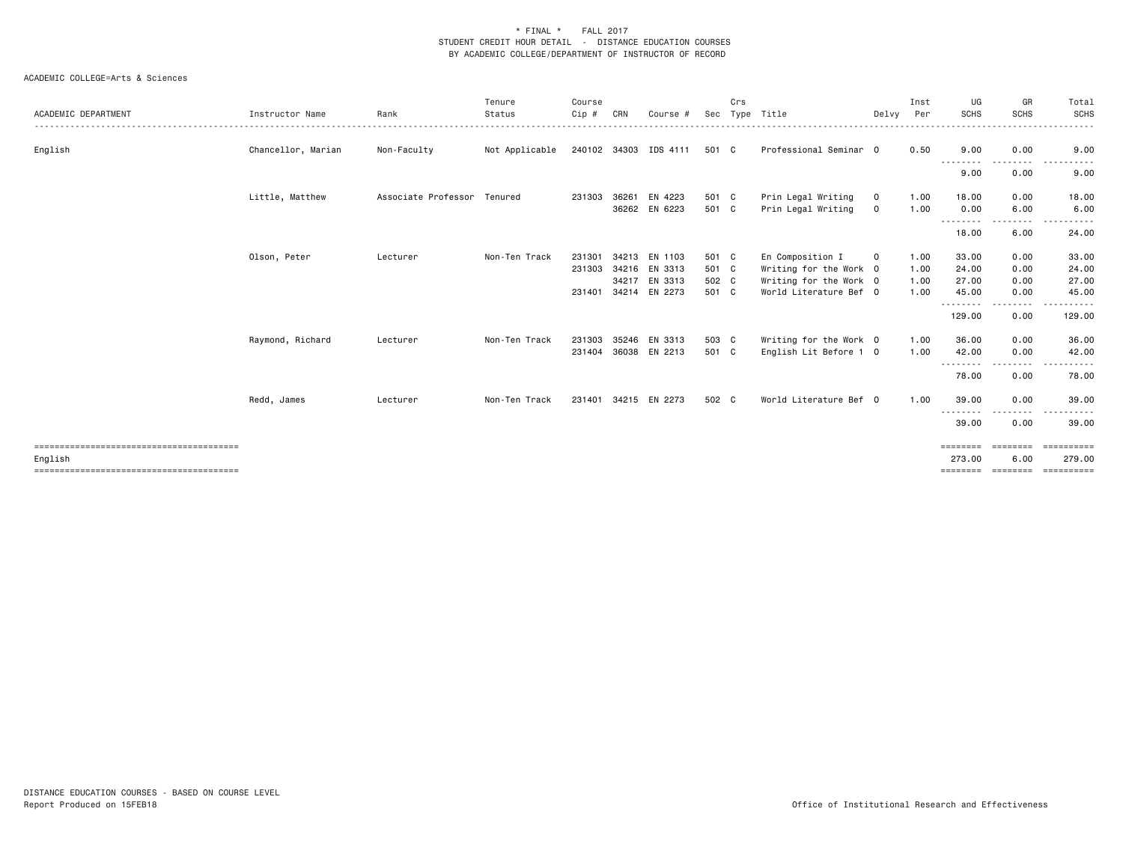| Chancellor, Marian<br>Professional Seminar 0<br>0.00<br>English<br>Non-Faculty<br>Not Applicable<br>240102 34303 IDS 4111<br>501 C<br>0.50<br>9.00<br>9.00<br>.<br>9.00<br>0.00<br>9.00<br>Little, Matthew<br>Associate Professor Tenured<br>36261 EN 4223<br>501 C<br>Prin Legal Writing<br>1.00<br>0.00<br>18.00<br>231303<br>18.00<br>$\circ$<br>36262 EN 6223<br>Prin Legal Writing<br>1.00<br>6.00<br>6.00<br>501 C<br>0.00<br>$\circ$<br>---------<br>-----<br>18.00<br>6.00<br>24.00<br>Olson, Peter<br>Non-Ten Track<br>34213 EN 1103<br>En Composition I<br>33.00<br>0.00<br>33.00<br>Lecturer<br>231301<br>501 C<br>$\mathbf 0$<br>1.00<br>34216 EN 3313<br>Writing for the Work 0<br>24.00<br>0.00<br>24.00<br>231303<br>501 C<br>1.00<br>34217 EN 3313<br>502 C<br>Writing for the Work 0<br>0.00<br>27.00<br>1.00<br>27.00<br>231401 34214 EN 2273<br>501 C<br>World Literature Bef 0<br>0.00<br>45.00<br>1.00<br>45.00<br>--------<br>129.00<br>0.00<br>129.00<br>Raymond, Richard<br>35246 EN 3313<br>503 C<br>0.00<br>36.00<br>Non-Ten Track<br>231303<br>Writing for the Work 0<br>1.00<br>36.00<br>Lecturer<br>501 C<br>42.00<br>42.00<br>231404 36038 EN 2213<br>English Lit Before 1 0<br>1.00<br>0.00<br>---------<br>.<br>78.00<br>0.00<br>78.00<br>World Literature Bef 0<br>Redd, James<br>Non-Ten Track<br>502 C<br>1.00<br>39.00<br>0.00<br>39.00<br>34215 EN 2273<br>Lecturer<br>231401<br>.<br>39.00<br>0.00<br>39.00<br>==========<br>========<br>$\qquad \qquad \equiv \equiv \equiv \equiv \equiv \equiv \equiv \equiv$<br>273.00<br>6.00<br>279.00<br>English<br>-----------<br>================= | ACADEMIC DEPARTMENT | Instructor Name | Rank | Tenure<br>Status | Course<br>Cip # | CRN | Course # | Sec | Crs | Type Title | Delvy | Inst<br>Per | UG<br><b>SCHS</b> | GR<br><b>SCHS</b> | Total<br><b>SCHS</b> |
|-----------------------------------------------------------------------------------------------------------------------------------------------------------------------------------------------------------------------------------------------------------------------------------------------------------------------------------------------------------------------------------------------------------------------------------------------------------------------------------------------------------------------------------------------------------------------------------------------------------------------------------------------------------------------------------------------------------------------------------------------------------------------------------------------------------------------------------------------------------------------------------------------------------------------------------------------------------------------------------------------------------------------------------------------------------------------------------------------------------------------------------------------------------------------------------------------------------------------------------------------------------------------------------------------------------------------------------------------------------------------------------------------------------------------------------------------------------------------------------------------------------------------------------------------------------------------------------------------------------------------------------|---------------------|-----------------|------|------------------|-----------------|-----|----------|-----|-----|------------|-------|-------------|-------------------|-------------------|----------------------|
|                                                                                                                                                                                                                                                                                                                                                                                                                                                                                                                                                                                                                                                                                                                                                                                                                                                                                                                                                                                                                                                                                                                                                                                                                                                                                                                                                                                                                                                                                                                                                                                                                                   |                     |                 |      |                  |                 |     |          |     |     |            |       |             |                   |                   |                      |
|                                                                                                                                                                                                                                                                                                                                                                                                                                                                                                                                                                                                                                                                                                                                                                                                                                                                                                                                                                                                                                                                                                                                                                                                                                                                                                                                                                                                                                                                                                                                                                                                                                   |                     |                 |      |                  |                 |     |          |     |     |            |       |             |                   |                   |                      |
|                                                                                                                                                                                                                                                                                                                                                                                                                                                                                                                                                                                                                                                                                                                                                                                                                                                                                                                                                                                                                                                                                                                                                                                                                                                                                                                                                                                                                                                                                                                                                                                                                                   |                     |                 |      |                  |                 |     |          |     |     |            |       |             |                   |                   |                      |
|                                                                                                                                                                                                                                                                                                                                                                                                                                                                                                                                                                                                                                                                                                                                                                                                                                                                                                                                                                                                                                                                                                                                                                                                                                                                                                                                                                                                                                                                                                                                                                                                                                   |                     |                 |      |                  |                 |     |          |     |     |            |       |             |                   |                   |                      |
|                                                                                                                                                                                                                                                                                                                                                                                                                                                                                                                                                                                                                                                                                                                                                                                                                                                                                                                                                                                                                                                                                                                                                                                                                                                                                                                                                                                                                                                                                                                                                                                                                                   |                     |                 |      |                  |                 |     |          |     |     |            |       |             |                   |                   |                      |
|                                                                                                                                                                                                                                                                                                                                                                                                                                                                                                                                                                                                                                                                                                                                                                                                                                                                                                                                                                                                                                                                                                                                                                                                                                                                                                                                                                                                                                                                                                                                                                                                                                   |                     |                 |      |                  |                 |     |          |     |     |            |       |             |                   |                   |                      |
|                                                                                                                                                                                                                                                                                                                                                                                                                                                                                                                                                                                                                                                                                                                                                                                                                                                                                                                                                                                                                                                                                                                                                                                                                                                                                                                                                                                                                                                                                                                                                                                                                                   |                     |                 |      |                  |                 |     |          |     |     |            |       |             |                   |                   |                      |
|                                                                                                                                                                                                                                                                                                                                                                                                                                                                                                                                                                                                                                                                                                                                                                                                                                                                                                                                                                                                                                                                                                                                                                                                                                                                                                                                                                                                                                                                                                                                                                                                                                   |                     |                 |      |                  |                 |     |          |     |     |            |       |             |                   |                   |                      |
|                                                                                                                                                                                                                                                                                                                                                                                                                                                                                                                                                                                                                                                                                                                                                                                                                                                                                                                                                                                                                                                                                                                                                                                                                                                                                                                                                                                                                                                                                                                                                                                                                                   |                     |                 |      |                  |                 |     |          |     |     |            |       |             |                   |                   |                      |
|                                                                                                                                                                                                                                                                                                                                                                                                                                                                                                                                                                                                                                                                                                                                                                                                                                                                                                                                                                                                                                                                                                                                                                                                                                                                                                                                                                                                                                                                                                                                                                                                                                   |                     |                 |      |                  |                 |     |          |     |     |            |       |             |                   |                   |                      |
|                                                                                                                                                                                                                                                                                                                                                                                                                                                                                                                                                                                                                                                                                                                                                                                                                                                                                                                                                                                                                                                                                                                                                                                                                                                                                                                                                                                                                                                                                                                                                                                                                                   |                     |                 |      |                  |                 |     |          |     |     |            |       |             |                   |                   |                      |
|                                                                                                                                                                                                                                                                                                                                                                                                                                                                                                                                                                                                                                                                                                                                                                                                                                                                                                                                                                                                                                                                                                                                                                                                                                                                                                                                                                                                                                                                                                                                                                                                                                   |                     |                 |      |                  |                 |     |          |     |     |            |       |             |                   |                   |                      |
|                                                                                                                                                                                                                                                                                                                                                                                                                                                                                                                                                                                                                                                                                                                                                                                                                                                                                                                                                                                                                                                                                                                                                                                                                                                                                                                                                                                                                                                                                                                                                                                                                                   |                     |                 |      |                  |                 |     |          |     |     |            |       |             |                   |                   |                      |
|                                                                                                                                                                                                                                                                                                                                                                                                                                                                                                                                                                                                                                                                                                                                                                                                                                                                                                                                                                                                                                                                                                                                                                                                                                                                                                                                                                                                                                                                                                                                                                                                                                   |                     |                 |      |                  |                 |     |          |     |     |            |       |             |                   |                   |                      |
|                                                                                                                                                                                                                                                                                                                                                                                                                                                                                                                                                                                                                                                                                                                                                                                                                                                                                                                                                                                                                                                                                                                                                                                                                                                                                                                                                                                                                                                                                                                                                                                                                                   |                     |                 |      |                  |                 |     |          |     |     |            |       |             |                   |                   |                      |
|                                                                                                                                                                                                                                                                                                                                                                                                                                                                                                                                                                                                                                                                                                                                                                                                                                                                                                                                                                                                                                                                                                                                                                                                                                                                                                                                                                                                                                                                                                                                                                                                                                   |                     |                 |      |                  |                 |     |          |     |     |            |       |             |                   |                   |                      |
|                                                                                                                                                                                                                                                                                                                                                                                                                                                                                                                                                                                                                                                                                                                                                                                                                                                                                                                                                                                                                                                                                                                                                                                                                                                                                                                                                                                                                                                                                                                                                                                                                                   |                     |                 |      |                  |                 |     |          |     |     |            |       |             |                   |                   |                      |
|                                                                                                                                                                                                                                                                                                                                                                                                                                                                                                                                                                                                                                                                                                                                                                                                                                                                                                                                                                                                                                                                                                                                                                                                                                                                                                                                                                                                                                                                                                                                                                                                                                   |                     |                 |      |                  |                 |     |          |     |     |            |       |             |                   |                   |                      |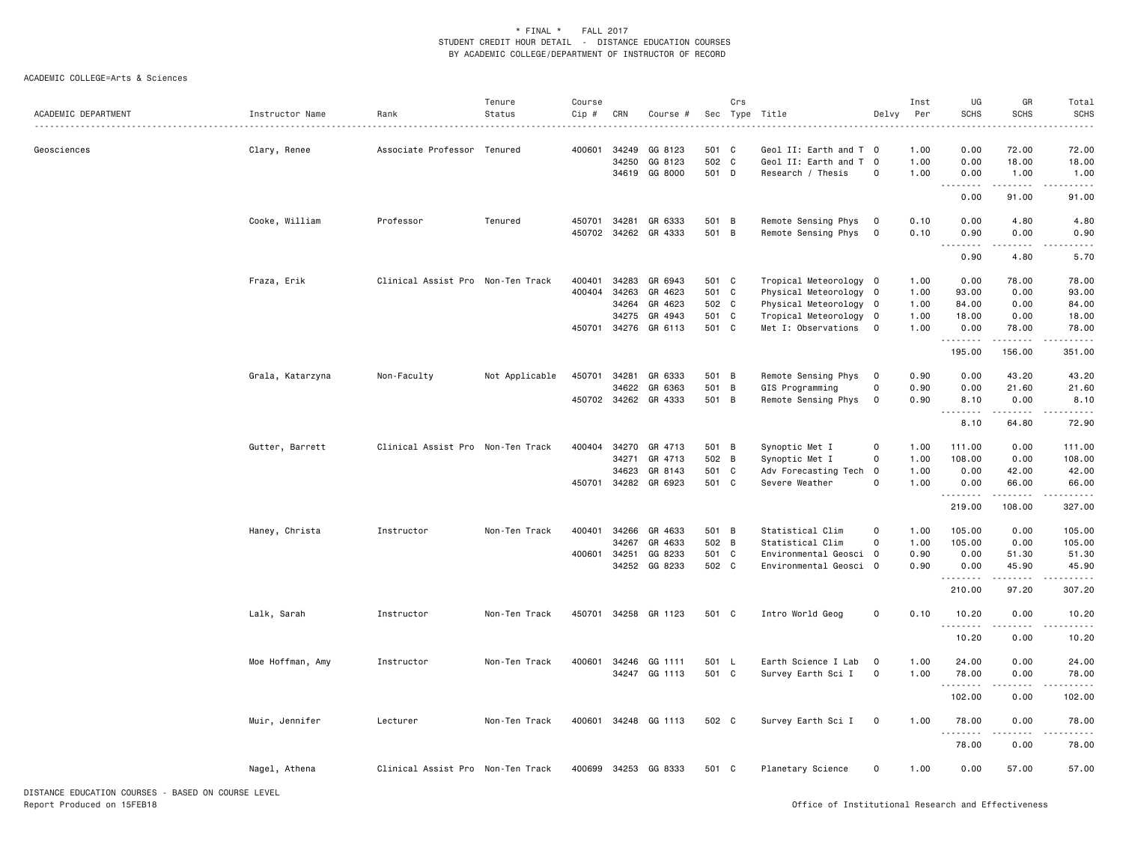## ACADEMIC COLLEGE=Arts & Sciences

| ACADEMIC DEPARTMENT                                | Instructor Name  | Rank                              | Tenure<br>Status | Course<br>Cip # | CRN          | Course #             |       | Crs          | Sec Type Title         | Delvy                   | Inst<br>Per | UG<br><b>SCHS</b>  | GR<br><b>SCHS</b>  | Total<br><b>SCHS</b> |
|----------------------------------------------------|------------------|-----------------------------------|------------------|-----------------|--------------|----------------------|-------|--------------|------------------------|-------------------------|-------------|--------------------|--------------------|----------------------|
| Geosciences                                        | Clary, Renee     | Associate Professor Tenured       |                  | 400601          | 34249        | GG 8123              | 501 C |              | Geol II: Earth and T 0 |                         | 1.00        | 0.00               | 72.00              | 72.00                |
|                                                    |                  |                                   |                  |                 | 34250        | GG 8123              | 502 C |              | Geol II: Earth and T 0 |                         | 1.00        | 0.00               | 18.00              | 18.00                |
|                                                    |                  |                                   |                  |                 |              | 34619 GG 8000        | 501 D |              | Research / Thesis      | $\mathsf 0$             | 1.00        | 0.00               | 1.00<br>.          | 1.00                 |
|                                                    |                  |                                   |                  |                 |              |                      |       |              |                        |                         |             | .<br>$  -$<br>0.00 | 91.00              | 91.00                |
|                                                    | Cooke, William   | Professor                         | Tenured          | 450701 34281    |              | GR 6333              | 501 B |              | Remote Sensing Phys    | $\mathbf{o}$            | 0.10        | 0.00               | 4.80               | 4.80                 |
|                                                    |                  |                                   |                  |                 |              | 450702 34262 GR 4333 | 501 B |              | Remote Sensing Phys    | $\overline{\mathbf{0}}$ | 0.10        | 0.90<br>$  -$      | 0.00               | 0.90                 |
|                                                    |                  |                                   |                  |                 |              |                      |       |              |                        |                         |             | 0.90               | 4.80               | 5.70                 |
|                                                    | Fraza, Erik      | Clinical Assist Pro Non-Ten Track |                  | 400401          | 34283        | GR 6943              | 501 C |              | Tropical Meteorology 0 |                         | 1.00        | 0.00               | 78.00              | 78.00                |
|                                                    |                  |                                   |                  | 400404          | 34263        | GR 4623              | 501 C |              | Physical Meteorology 0 |                         | 1.00        | 93.00              | 0.00               | 93.00                |
|                                                    |                  |                                   |                  |                 | 34264        | GR 4623              | 502 C |              | Physical Meteorology 0 |                         | 1.00        | 84.00              | 0.00               | 84.00                |
|                                                    |                  |                                   |                  |                 | 34275        | GR 4943              | 501 C |              | Tropical Meteorology 0 |                         | 1.00        | 18.00              | 0.00               | 18.00                |
|                                                    |                  |                                   |                  |                 |              | 450701 34276 GR 6113 | 501 C |              | Met I: Observations 0  |                         | 1.00        | 0.00<br>.          | 78.00              | 78.00                |
|                                                    |                  |                                   |                  |                 |              |                      |       |              |                        |                         |             | 195.00             | 156.00             | 351.00               |
|                                                    | Grala, Katarzyna | Non-Faculty                       | Not Applicable   | 450701 34281    |              | GR 6333              | 501 B |              | Remote Sensing Phys    | $\mathbf 0$             | 0.90        | 0.00               | 43.20              | 43.20                |
|                                                    |                  |                                   |                  |                 |              | 34622 GR 6363        | 501 B |              | GIS Programming        | 0                       | 0.90        | 0.00               | 21.60              | 21.60                |
|                                                    |                  |                                   |                  |                 |              | 450702 34262 GR 4333 | 501 B |              | Remote Sensing Phys    | $\mathbf 0$             | 0.90        | 8.10<br>.          | 0.00<br>.          | 8.10<br>.            |
|                                                    |                  |                                   |                  |                 |              |                      |       |              |                        |                         |             | 8.10               | 64.80              | 72.90                |
|                                                    | Gutter, Barrett  | Clinical Assist Pro Non-Ten Track |                  | 400404          | 34270        | GR 4713              | 501 B |              | Synoptic Met I         | 0                       | 1.00        | 111.00             | 0.00               | 111.00               |
|                                                    |                  |                                   |                  |                 | 34271        | GR 4713              | 502 B |              | Synoptic Met I         | $\circ$                 | 1.00        | 108.00             | 0.00               | 108.00               |
|                                                    |                  |                                   |                  |                 | 34623        | GR 8143              | 501 C |              | Adv Forecasting Tech   | $\overline{0}$          | 1.00        | 0.00               | 42.00              | 42.00                |
|                                                    |                  |                                   |                  |                 | 450701 34282 | GR 6923              | 501 C |              | Severe Weather         | $\circ$                 | 1.00        | 0.00<br><u>.</u>   | 66.00<br>المتمامين | 66.00<br>.           |
|                                                    |                  |                                   |                  |                 |              |                      |       |              |                        |                         |             | 219.00             | 108.00             | 327.00               |
|                                                    | Haney, Christa   | Instructor                        | Non-Ten Track    | 400401          | 34266        | GR 4633              | 501 B |              | Statistical Clim       | $\mathsf{O}$            | 1.00        | 105.00             | 0.00               | 105.00               |
|                                                    |                  |                                   |                  |                 | 34267        | GR 4633              | 502 B |              | Statistical Clim       | $\circ$                 | 1.00        | 105.00             | 0.00               | 105.00               |
|                                                    |                  |                                   |                  | 400601          | 34251        | GG 8233              | 501 C |              | Environmental Geosci 0 |                         | 0.90        | 0.00               | 51.30              | 51.30                |
|                                                    |                  |                                   |                  |                 |              | 34252 GG 8233        | 502 C |              | Environmental Geosci 0 |                         | 0.90        | 0.00<br>.          | 45.90<br>.         | 45.90<br>.           |
|                                                    |                  |                                   |                  |                 |              |                      |       |              |                        |                         |             | 210.00             | 97.20              | 307.20               |
|                                                    | Lalk, Sarah      | Instructor                        | Non-Ten Track    |                 |              | 450701 34258 GR 1123 | 501 C |              | Intro World Geog       | $\mathsf{O}$            | 0.10        | 10.20<br>.         | 0.00<br>.          | 10.20                |
|                                                    |                  |                                   |                  |                 |              |                      |       |              |                        |                         |             | 10.20              | 0.00               | 10.20                |
|                                                    | Moe Hoffman, Amy | Instructor                        | Non-Ten Track    | 400601          | 34246        | GG 1111              | 501   | $\mathsf{L}$ | Earth Science I Lab    | $\mathbf{o}$            | 1.00        | 24.00              | 0.00               | 24.00                |
|                                                    |                  |                                   |                  |                 |              | 34247 GG 1113        | 501 C |              | Survey Earth Sci I     | $\mathsf{O}$            | 1.00        | 78.00              | 0.00               | 78.00                |
|                                                    |                  |                                   |                  |                 |              |                      |       |              |                        |                         |             |                    |                    |                      |
|                                                    |                  |                                   |                  |                 |              |                      |       |              |                        |                         |             | 102.00             | 0.00               | 102.00               |
|                                                    | Muir, Jennifer   | Lecturer                          | Non-Ten Track    |                 |              | 400601 34248 GG 1113 | 502 C |              | Survey Earth Sci I     | 0                       | 1.00        | 78.00<br>.         | 0.00               | 78.00                |
|                                                    |                  |                                   |                  |                 |              |                      |       |              |                        |                         |             | 78.00              | 0.00               | 78.00                |
|                                                    | Nagel, Athena    | Clinical Assist Pro Non-Ten Track |                  |                 |              | 400699 34253 GG 8333 | 501 C |              | Planetary Science      | $\mathsf{O}$            | 1.00        | 0.00               | 57.00              | 57.00                |
| DISTANCE EDUCATION COURSES - BASED ON COURSE LEVEL |                  |                                   |                  |                 |              |                      |       |              |                        |                         |             |                    |                    |                      |

DISTANCE EDUCATION COURSES - BASED ON COURSE LEVEL Report Produced on 15FEB18 Office of Institutional Research and Effectiveness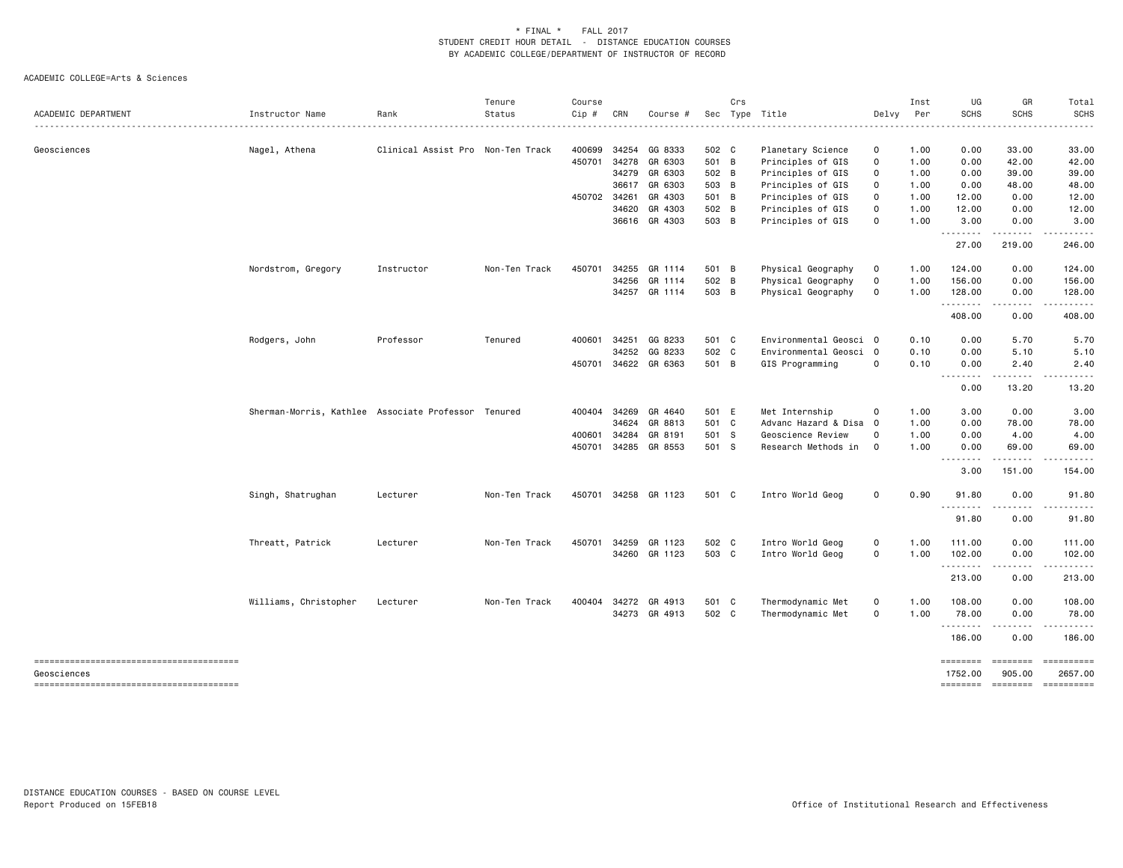| ACADEMIC DEPARTMENT                    | Instructor Name                                     | Rank                              | Tenure<br>Status | Course<br>Cip # | CRN   | Course #             |       | Crs | Sec Type Title         | Delvy        | Inst<br>Per | UG<br><b>SCHS</b>                 | GR<br><b>SCHS</b>       | Total<br><b>SCHS</b>  |
|----------------------------------------|-----------------------------------------------------|-----------------------------------|------------------|-----------------|-------|----------------------|-------|-----|------------------------|--------------|-------------|-----------------------------------|-------------------------|-----------------------|
| Geosciences                            | Nagel, Athena                                       | Clinical Assist Pro Non-Ten Track |                  | 400699          | 34254 | GG 8333              | 502 C |     | Planetary Science      | 0            | 1.00        | 0.00                              | 33.00                   | 33.00                 |
|                                        |                                                     |                                   |                  |                 |       | 450701 34278 GR 6303 | 501 B |     | Principles of GIS      | $\mathbf 0$  | 1.00        | 0.00                              | 42.00                   | 42.00                 |
|                                        |                                                     |                                   |                  |                 |       | 34279 GR 6303        | 502 B |     | Principles of GIS      | $\mathsf{O}$ | 1.00        | 0.00                              | 39.00                   | 39.00                 |
|                                        |                                                     |                                   |                  |                 |       | 36617 GR 6303        | 503 B |     | Principles of GIS      | $\mathsf{O}$ | 1.00        | 0.00                              | 48.00                   | 48.00                 |
|                                        |                                                     |                                   |                  | 450702 34261    |       | GR 4303              | 501 B |     | Principles of GIS      | $\mathbf 0$  | 1.00        | 12.00                             | 0.00                    | 12.00                 |
|                                        |                                                     |                                   |                  |                 | 34620 | GR 4303              | 502 B |     | Principles of GIS      | 0            | 1.00        | 12.00                             | 0.00                    | 12.00                 |
|                                        |                                                     |                                   |                  |                 |       | 36616 GR 4303        | 503 B |     | Principles of GIS      | $\mathbf 0$  | 1.00        | 3.00<br>.                         | 0.00                    | 3.00                  |
|                                        |                                                     |                                   |                  |                 |       |                      |       |     |                        |              |             | 27.00                             | 219.00                  | 246.00                |
|                                        | Nordstrom, Gregory                                  | Instructor                        | Non-Ten Track    | 450701          |       | 34255 GR 1114        | 501 B |     | Physical Geography     | 0            | 1.00        | 124.00                            | 0.00                    | 124.00                |
|                                        |                                                     |                                   |                  |                 | 34256 | GR 1114              | 502 B |     | Physical Geography     | $\mathsf{O}$ | 1.00        | 156.00                            | 0.00                    | 156.00                |
|                                        |                                                     |                                   |                  |                 |       | 34257 GR 1114        | 503 B |     | Physical Geography     | $\mathsf{O}$ | 1.00        | 128.00<br>.                       | 0.00<br>.               | 128.00                |
|                                        |                                                     |                                   |                  |                 |       |                      |       |     |                        |              |             | 408.00                            | 0.00                    | 408.00                |
|                                        | Rodgers, John                                       | Professor                         | Tenured          | 400601          | 34251 | GG 8233              | 501 C |     | Environmental Geosci 0 |              | 0.10        | 0.00                              | 5.70                    | 5.70                  |
|                                        |                                                     |                                   |                  |                 | 34252 | GG 8233              | 502 C |     | Environmental Geosci 0 |              | 0.10        | 0.00                              | 5.10                    | 5.10                  |
|                                        |                                                     |                                   |                  |                 |       | 450701 34622 GR 6363 | 501 B |     | GIS Programming        | $\circ$      | 0.10        | 0.00<br>$\sim$ $\sim$ $\sim$<br>. | 2.40                    | 2.40                  |
|                                        |                                                     |                                   |                  |                 |       |                      |       |     |                        |              |             | 0.00                              | 13.20                   | 13.20                 |
|                                        | Sherman-Morris, Kathlee Associate Professor Tenured |                                   |                  |                 |       | 400404 34269 GR 4640 | 501 E |     | Met Internship         | $\mathsf 0$  | 1.00        | 3.00                              | 0.00                    | 3.00                  |
|                                        |                                                     |                                   |                  |                 | 34624 | GR 8813              | 501 C |     | Advanc Hazard & Disa 0 |              | 1.00        | 0.00                              | 78.00                   | 78.00                 |
|                                        |                                                     |                                   |                  | 400601 34284    |       | GR 8191              | 501 S |     | Geoscience Review      | $\circ$      | 1.00        | 0.00                              | 4.00                    | 4.00                  |
|                                        |                                                     |                                   |                  |                 |       | 450701 34285 GR 8553 | 501 S |     | Research Methods in    | $\mathbf 0$  | 1.00        | 0.00<br>.                         | 69.00                   | 69.00                 |
|                                        |                                                     |                                   |                  |                 |       |                      |       |     |                        |              |             | 3.00                              | 151.00                  | 154.00                |
|                                        | Singh, Shatrughan                                   | Lecturer                          | Non-Ten Track    |                 |       | 450701 34258 GR 1123 | 501 C |     | Intro World Geog       | 0            | 0.90        | 91.80<br><u>.</u>                 | 0.00                    | 91.80                 |
|                                        |                                                     |                                   |                  |                 |       |                      |       |     |                        |              |             | 91.80                             | 0.00                    | 91.80                 |
|                                        | Threatt, Patrick                                    | Lecturer                          | Non-Ten Track    | 450701          | 34259 | GR 1123              | 502 C |     | Intro World Geog       | $\mathsf{O}$ | 1.00        | 111.00                            | 0.00                    | 111.00                |
|                                        |                                                     |                                   |                  |                 |       | 34260 GR 1123        | 503 C |     | Intro World Geog       | $\mathbf 0$  | 1.00        | 102.00                            | 0.00                    | 102.00                |
|                                        |                                                     |                                   |                  |                 |       |                      |       |     |                        |              |             | .                                 | $\cdots \cdots \cdots$  | .                     |
|                                        |                                                     |                                   |                  |                 |       |                      |       |     |                        |              |             | 213.00                            | 0.00                    | 213.00                |
|                                        | Williams, Christopher                               | Lecturer                          | Non-Ten Track    |                 |       | 400404 34272 GR 4913 | 501 C |     | Thermodynamic Met      | 0            | 1.00        | 108.00                            | 0.00                    | 108.00                |
|                                        |                                                     |                                   |                  |                 |       | 34273 GR 4913        | 502 C |     | Thermodynamic Met      | $\mathbf 0$  | 1.00        | 78.00                             | 0.00<br>$\frac{1}{2}$   | 78.00                 |
|                                        |                                                     |                                   |                  |                 |       |                      |       |     |                        |              |             | --------<br>186.00                | 0.00                    | 186.00                |
| Geosciences                            |                                                     |                                   |                  |                 |       |                      |       |     |                        |              |             | ========<br>1752.00               | $= 222222222$<br>905.00 | ==========<br>2657.00 |
| -------------------------------------- |                                                     |                                   |                  |                 |       |                      |       |     |                        |              |             | ========                          | ========                | ==========            |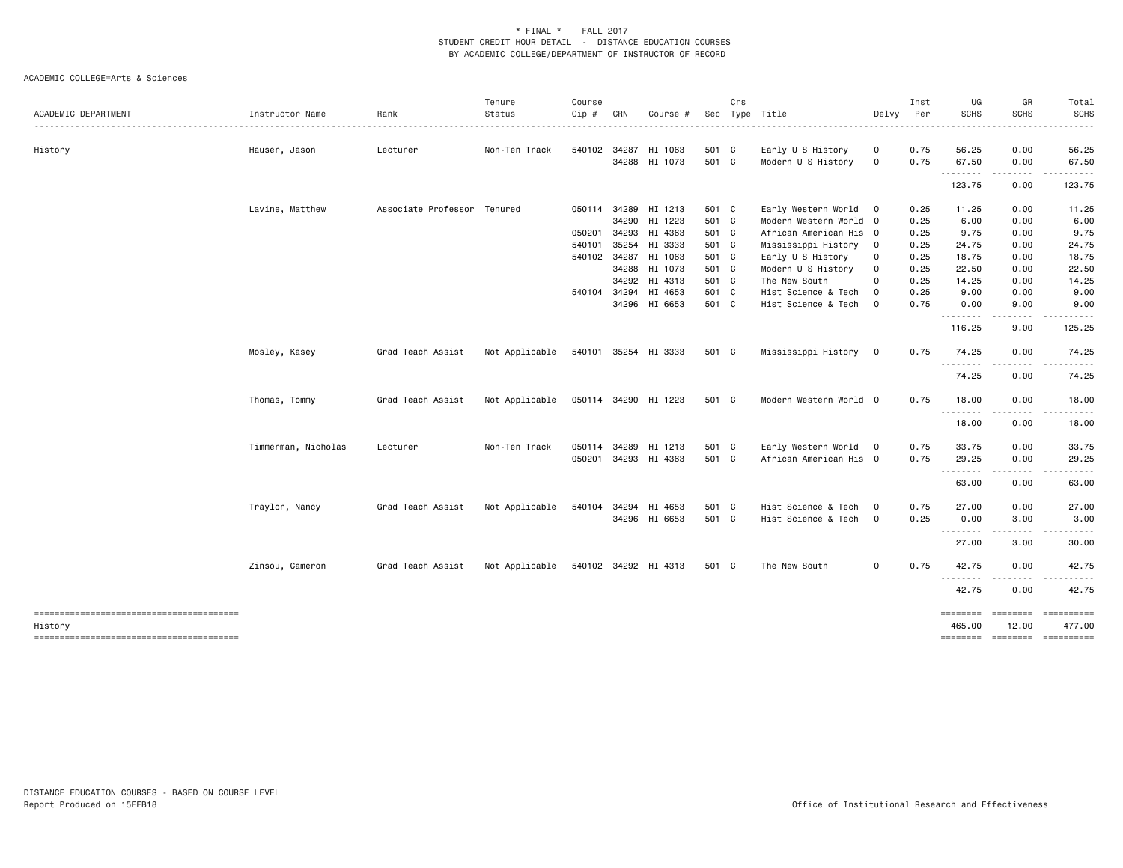| ACADEMIC DEPARTMENT                               | Instructor Name     | Rank                        | Tenure<br>Status | Course<br>Cip # | CRN   | Course #             |       | Crs | Sec Type Title         | Delvy                   | Inst<br>Per | UG<br><b>SCHS</b> | GR<br><b>SCHS</b> | Total<br><b>SCHS</b>                 |
|---------------------------------------------------|---------------------|-----------------------------|------------------|-----------------|-------|----------------------|-------|-----|------------------------|-------------------------|-------------|-------------------|-------------------|--------------------------------------|
|                                                   |                     |                             |                  |                 |       |                      |       |     |                        |                         |             |                   |                   |                                      |
| History                                           | Hauser, Jason       | Lecturer                    | Non-Ten Track    |                 |       | 540102 34287 HI 1063 | 501 C |     | Early U S History      | 0                       | 0.75        | 56.25             | 0.00              | 56.25                                |
|                                                   |                     |                             |                  |                 |       | 34288 HI 1073        | 501 C |     | Modern U S History     | 0                       | 0.75        | 67.50<br>.        | 0.00              | 67.50                                |
|                                                   |                     |                             |                  |                 |       |                      |       |     |                        |                         |             | 123.75            | 0.00              | 123.75                               |
|                                                   | Lavine, Matthew     | Associate Professor Tenured |                  |                 |       | 050114 34289 HI 1213 | 501 C |     | Early Western World 0  |                         | 0.25        | 11.25             | 0.00              | 11.25                                |
|                                                   |                     |                             |                  |                 | 34290 | HI 1223              | 501 C |     | Modern Western World 0 |                         | 0.25        | 6.00              | 0.00              | 6.00                                 |
|                                                   |                     |                             |                  | 050201          | 34293 | HI 4363              | 501 C |     | African American His 0 |                         | 0.25        | 9.75              | 0.00              | 9.75                                 |
|                                                   |                     |                             |                  | 540101          | 35254 | HI 3333              | 501 C |     | Mississippi History    | $\circ$                 | 0.25        | 24.75             | 0.00              | 24.75                                |
|                                                   |                     |                             |                  | 540102 34287    |       | HI 1063              | 501 C |     | Early U S History      | 0                       | 0.25        | 18.75             | 0.00              | 18.75                                |
|                                                   |                     |                             |                  |                 | 34288 | HI 1073              | 501 C |     | Modern U S History     | $\mathbf 0$             | 0.25        | 22.50             | 0.00              | 22.50                                |
|                                                   |                     |                             |                  |                 |       | 34292 HI 4313        | 501 C |     | The New South          | $\mathbf 0$             | 0.25        | 14.25             | 0.00              | 14.25                                |
|                                                   |                     |                             |                  | 540104 34294    |       | HI 4653              | 501 C |     | Hist Science & Tech    | $\mathbf 0$             | 0.25        | 9.00              | 0.00              | 9.00                                 |
|                                                   |                     |                             |                  |                 |       | 34296 HI 6653        | 501 C |     | Hist Science & Tech    | $\circ$                 | 0.75        | 0.00              | 9.00              | 9.00                                 |
|                                                   |                     |                             |                  |                 |       |                      |       |     |                        |                         |             | .<br>116.25       | .<br>9.00         | 125.25                               |
|                                                   | Mosley, Kasey       | Grad Teach Assist           | Not Applicable   |                 |       | 540101 35254 HI 3333 | 501 C |     | Mississippi History    | $\overline{0}$          | 0.75        | 74.25             | 0.00              | 74.25                                |
|                                                   |                     |                             |                  |                 |       |                      |       |     |                        |                         |             | --------<br>74.25 | .<br>0.00         | 74.25                                |
|                                                   | Thomas, Tommy       | Grad Teach Assist           | Not Applicable   |                 |       | 050114 34290 HI 1223 | 501 C |     | Modern Western World 0 |                         | 0.75        | 18.00             | 0.00              | 18.00                                |
|                                                   |                     |                             |                  |                 |       |                      |       |     |                        |                         |             | .<br>18.00        | 0.00              | 18.00                                |
|                                                   | Timmerman, Nicholas | Lecturer                    | Non-Ten Track    | 050114          | 34289 | HI 1213              | 501 C |     | Early Western World 0  |                         | 0.75        | 33.75             | 0.00              | 33.75                                |
|                                                   |                     |                             |                  | 050201          |       | 34293 HI 4363        | 501 C |     | African American His 0 |                         | 0.75        | 29.25             | 0.00              | 29.25                                |
|                                                   |                     |                             |                  |                 |       |                      |       |     |                        |                         |             | .<br>63.00        | .<br>0.00         | 63.00                                |
|                                                   | Traylor, Nancy      | Grad Teach Assist           | Not Applicable   | 540104          |       | 34294 HI 4653        | 501 C |     | Hist Science & Tech    | $\circ$                 | 0.75        | 27.00             | 0.00              | 27.00                                |
|                                                   |                     |                             |                  |                 |       | 34296 HI 6653        | 501 C |     | Hist Science & Tech    | $\overline{\mathbf{0}}$ | 0.25        | 0.00              | 3.00              | 3.00                                 |
|                                                   |                     |                             |                  |                 |       |                      |       |     |                        |                         |             | .<br>27.00        | 3.00              | 30.00                                |
|                                                   | Zinsou, Cameron     | Grad Teach Assist           | Not Applicable   |                 |       | 540102 34292 HI 4313 | 501 C |     | The New South          | $\mathsf{O}\xspace$     | 0.75        | 42.75             | 0.00              | 42.75                                |
|                                                   |                     |                             |                  |                 |       |                      |       |     |                        |                         |             | .<br>42.75        | 0.00              | 42.75                                |
|                                                   |                     |                             |                  |                 |       |                      |       |     |                        |                         |             | ========          | ========          | ==========                           |
| History<br>-------------------------------------- |                     |                             |                  |                 |       |                      |       |     |                        |                         |             | 465.00            | 12.00             | 477.00<br>-------- ------- --------- |
|                                                   |                     |                             |                  |                 |       |                      |       |     |                        |                         |             |                   |                   |                                      |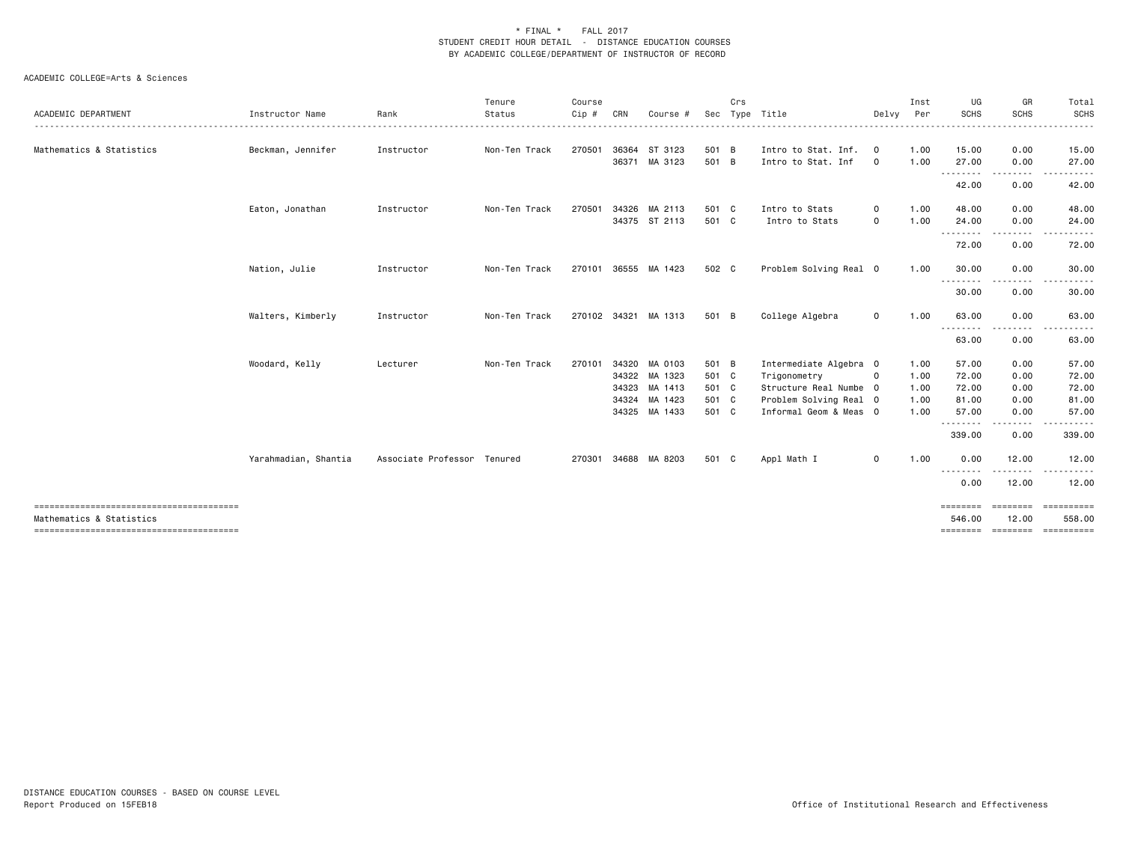|                          |                      |                             | Tenure        | Course |     |                      |       | Crs |                        |                         | Inst | UG                 | GR               | Total                |
|--------------------------|----------------------|-----------------------------|---------------|--------|-----|----------------------|-------|-----|------------------------|-------------------------|------|--------------------|------------------|----------------------|
| ACADEMIC DEPARTMENT      | Instructor Name      | Rank                        | Status        | Cip #  | CRN | Course               | Sec   |     | Type Title             | Delvy                   | Per  | <b>SCHS</b>        | <b>SCHS</b>      | SCHS                 |
| Mathematics & Statistics | Beckman, Jennifer    | Instructor                  | Non-Ten Track | 270501 |     | 36364 ST 3123        | 501 B |     | Intro to Stat. Inf.    | $\overline{\mathbf{0}}$ | 1.00 | 15.00              | 0.00             | 15.00                |
|                          |                      |                             |               |        |     | 36371 MA 3123        | 501 B |     | Intro to Stat. Inf     | $\circ$                 | 1.00 | 27.00              | 0.00             | 27.00                |
|                          |                      |                             |               |        |     |                      |       |     |                        |                         |      | ---------<br>42.00 | .<br>0.00        | 42.00                |
|                          | Eaton, Jonathan      | Instructor                  | Non-Ten Track | 270501 |     | 34326 MA 2113        | 501 C |     | Intro to Stats         | 0                       | 1.00 | 48.00              | 0.00             | 48.00                |
|                          |                      |                             |               |        |     | 34375 ST 2113        | 501 C |     | Intro to Stats         | 0                       | 1.00 | 24.00<br>.         | 0.00<br><u>.</u> | 24.00<br>- - - - - - |
|                          |                      |                             |               |        |     |                      |       |     |                        |                         |      | 72.00              | 0.00             | 72.00                |
|                          | Nation, Julie        | Instructor                  | Non-Ten Track | 270101 |     | 36555 MA 1423        | 502 C |     | Problem Solving Real 0 |                         | 1.00 | 30.00<br>.         | 0.00             | 30.00                |
|                          |                      |                             |               |        |     |                      |       |     |                        |                         |      | 30.00              | 0.00             | 30.00                |
|                          | Walters, Kimberly    | Instructor                  | Non-Ten Track |        |     | 270102 34321 MA 1313 | 501 B |     | College Algebra        | 0                       | 1.00 | 63.00              | 0.00             | 63.00                |
|                          |                      |                             |               |        |     |                      |       |     |                        |                         |      | --------<br>63.00  | 0.00             | 63.00                |
|                          | Woodard, Kelly       | Lecturer                    | Non-Ten Track | 270101 |     | 34320 MA 0103        | 501 B |     | Intermediate Algebra 0 |                         | 1.00 | 57.00              | 0.00             | 57.00                |
|                          |                      |                             |               |        |     | 34322 MA 1323        | 501 C |     | Trigonometry           | $\mathbf 0$             | 1.00 | 72.00              | 0.00             | 72.00                |
|                          |                      |                             |               |        |     | 34323 MA 1413        | 501 C |     | Structure Real Numbe 0 |                         | 1.00 | 72.00              | 0.00             | 72.00                |
|                          |                      |                             |               |        |     | 34324 MA 1423        | 501 C |     | Problem Solving Real 0 |                         | 1.00 | 81.00              | 0.00             | 81.00                |
|                          |                      |                             |               |        |     | 34325 MA 1433        | 501 C |     | Informal Geom & Meas 0 |                         | 1.00 | 57.00              | 0.00             | 57.00                |
|                          |                      |                             |               |        |     |                      |       |     |                        |                         |      | --------<br>339.00 | 0.00             | 339.00               |
|                          | Yarahmadian, Shantia | Associate Professor Tenured |               | 270301 |     | 34688 MA 8203        | 501 C |     | Appl Math I            | 0                       | 1.00 | 0.00               | 12.00            | 12.00                |
|                          |                      |                             |               |        |     |                      |       |     |                        |                         |      | .<br>0.00          | 12.00            | 12.00                |
|                          |                      |                             |               |        |     |                      |       |     |                        |                         |      | ========           | ========         | EEEEEEEEE            |
| Mathematics & Statistics |                      |                             |               |        |     |                      |       |     |                        |                         |      | 546.00             | 12.00            | 558.00               |
|                          |                      |                             |               |        |     |                      |       |     |                        |                         |      | ========           | ========         | ==========           |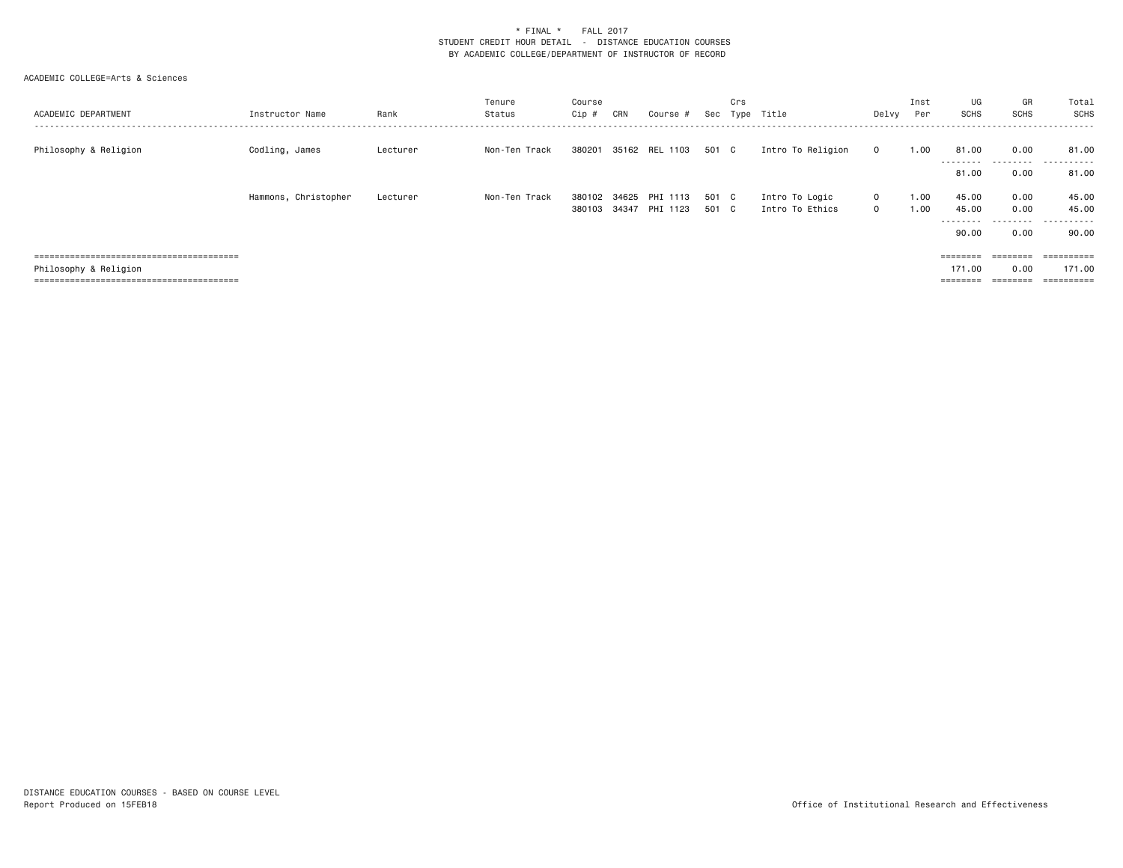| ACADEMIC DEPARTMENT   | Instructor Name      | Rank     | Tenure<br>Status | Course<br>Cip #  | CRN            | Course #             | Sec          | Crs          | Type Title                        | Delvy                        | Inst<br>Per  | UG<br>SCHS                              | GR<br><b>SCHS</b>            | Total<br>SCHS<br>------                            |
|-----------------------|----------------------|----------|------------------|------------------|----------------|----------------------|--------------|--------------|-----------------------------------|------------------------------|--------------|-----------------------------------------|------------------------------|----------------------------------------------------|
| Philosophy & Religion | Codling, James       | Lecturer | Non-Ten Track    | 380201           |                | 35162 REL 1103       | 501 C        |              | Intro To Religion                 | $\mathbf{0}$                 | 1.00         | 81.00<br>---------                      | 0.00<br>.                    | 81.00<br>.                                         |
|                       |                      |          |                  |                  |                |                      |              |              |                                   |                              |              | 81.00                                   | 0.00                         | 81.00                                              |
|                       | Hammons, Christopher | Lecturer | Non-Ten Track    | 380102<br>380103 | 34625<br>34347 | PHI 1113<br>PHI 1123 | 501<br>501 C | $\mathbf{C}$ | Intro To Logic<br>Intro To Ethics | $\mathbf{0}$<br>$\mathbf{0}$ | 1.00<br>1.00 | 45.00<br>45.00<br>--------<br>90.00     | 0.00<br>0.00<br>.<br>0.00    | 45.00<br>45.00<br>. <b>.</b> .<br>$- - -$<br>90.00 |
| Philosophy & Religion |                      |          |                  |                  |                |                      |              |              |                                   |                              |              | $=$ = = = = = = =<br>171.00<br>======== | ========<br>0.00<br>======== | ==========<br>171.00<br>==========                 |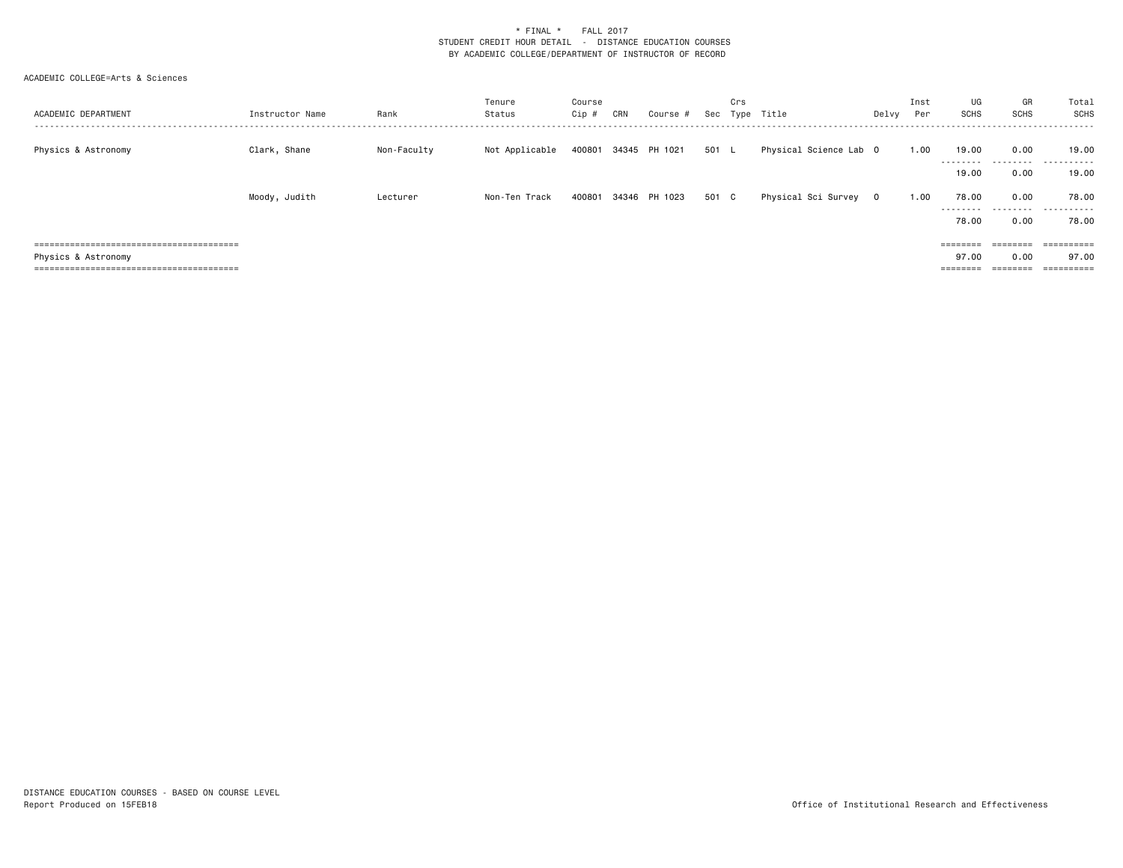| ACADEMIC DEPARTMENT<br> | Instructor Name | Rank        | Tenure<br>Status | Course<br>Cip# | CRN | Course #             | Sec   | Crs<br>Type | Title                  | Delvy   | Inst<br>Per | UG<br>SCHS         | GR<br>SCHS        | Total<br>SCHS             |
|-------------------------|-----------------|-------------|------------------|----------------|-----|----------------------|-------|-------------|------------------------|---------|-------------|--------------------|-------------------|---------------------------|
| Physics & Astronomy     | Clark, Shane    | Non-Faculty | Not Applicable   |                |     | 400801 34345 PH 1021 | 501 L |             | Physical Science Lab O |         | 1.00        | 19.00              | 0.00              | 19.00                     |
|                         |                 |             |                  |                |     |                      |       |             |                        |         |             | --------<br>19.00  | 0.00              | .<br>19.00                |
|                         | Moody, Judith   | Lecturer    | Non-Ten Track    | 400801         |     | 34346 PH 1023        | 501 C |             | Physical Sci Survey    | $\circ$ | 1.00        | 78.00<br>--------- | 0.00<br>.         | 78.00<br>.                |
|                         |                 |             |                  |                |     |                      |       |             |                        |         |             | 78.00              | 0.00              | 78.00                     |
|                         |                 |             |                  |                |     |                      |       |             |                        |         |             | $=$ = = = = = = =  | $=$ = = = = = = = | ==========                |
| Physics & Astronomy     |                 |             |                  |                |     |                      |       |             |                        |         |             | 97.00              | 0.00              | 97.00                     |
|                         |                 |             |                  |                |     |                      |       |             |                        |         |             | $=$ = = = = = = =  | $=$ = = = = = = = | -----------<br>---------- |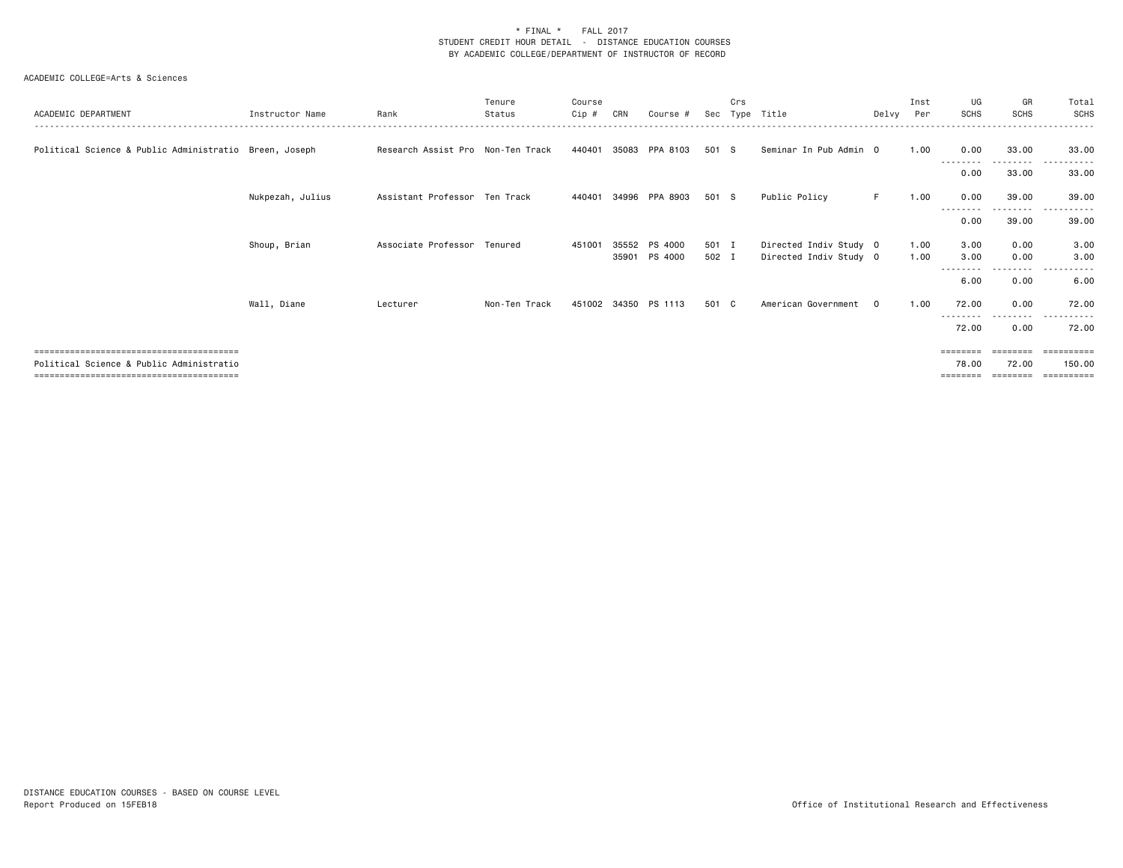| ACADEMIC DEPARTMENT                                    | Instructor Name  | Rank                              | Tenure<br>Status | Course<br>Cip # | CRN   | Course #                 | Sec            | Crs | Type Title                                       | Delvy Per | Inst         | UG<br><b>SCHS</b>       | GR<br><b>SCHS</b> | Total<br><b>SCHS</b>             |
|--------------------------------------------------------|------------------|-----------------------------------|------------------|-----------------|-------|--------------------------|----------------|-----|--------------------------------------------------|-----------|--------------|-------------------------|-------------------|----------------------------------|
| Political Science & Public Administratio Breen, Joseph |                  | Research Assist Pro Non-Ten Track |                  | 440401          |       | 35083 PPA 8103           | 501 S          |     | Seminar In Pub Admin 0                           |           | 1.00         | 0.00                    | 33.00             | 33.00                            |
|                                                        |                  |                                   |                  |                 |       |                          |                |     |                                                  |           |              | - - - - - - - -<br>0.00 | 33.00             | 33.00                            |
|                                                        | Nukpezah, Julius | Assistant Professor Ten Track     |                  | 440401          |       | 34996 PPA 8903           | 501 S          |     | Public Policy                                    | F.        | 1.00         | 0.00                    | 39.00             | 39.00                            |
|                                                        |                  |                                   |                  |                 |       |                          |                |     |                                                  |           |              | 0.00                    | .<br>39.00        | 39.00                            |
|                                                        | Shoup, Brian     | Associate Professor               | Tenured          | 451001          | 35552 | PS 4000<br>35901 PS 4000 | 501 I<br>502 I |     | Directed Indiv Study 0<br>Directed Indiv Study 0 |           | 1.00<br>1.00 | 3.00<br>3.00            | 0.00<br>0.00      | 3.00<br>3.00                     |
|                                                        |                  |                                   |                  |                 |       |                          |                |     |                                                  |           |              | 6.00                    | 0.00              | 6.00                             |
|                                                        | Wall, Diane      | Lecturer                          | Non-Ten Track    |                 |       | 451002 34350 PS 1113     | 501 C          |     | American Government                              | $\Omega$  | 1.00         | 72.00                   | 0.00              | 72.00                            |
|                                                        |                  |                                   |                  |                 |       |                          |                |     |                                                  |           |              | .<br>72.00              | 0.00              | 72.00                            |
| Political Science & Public Administratio               |                  |                                   |                  |                 |       |                          |                |     |                                                  |           |              | ========<br>78.00       | 72.00             | =========<br>150.00<br>========= |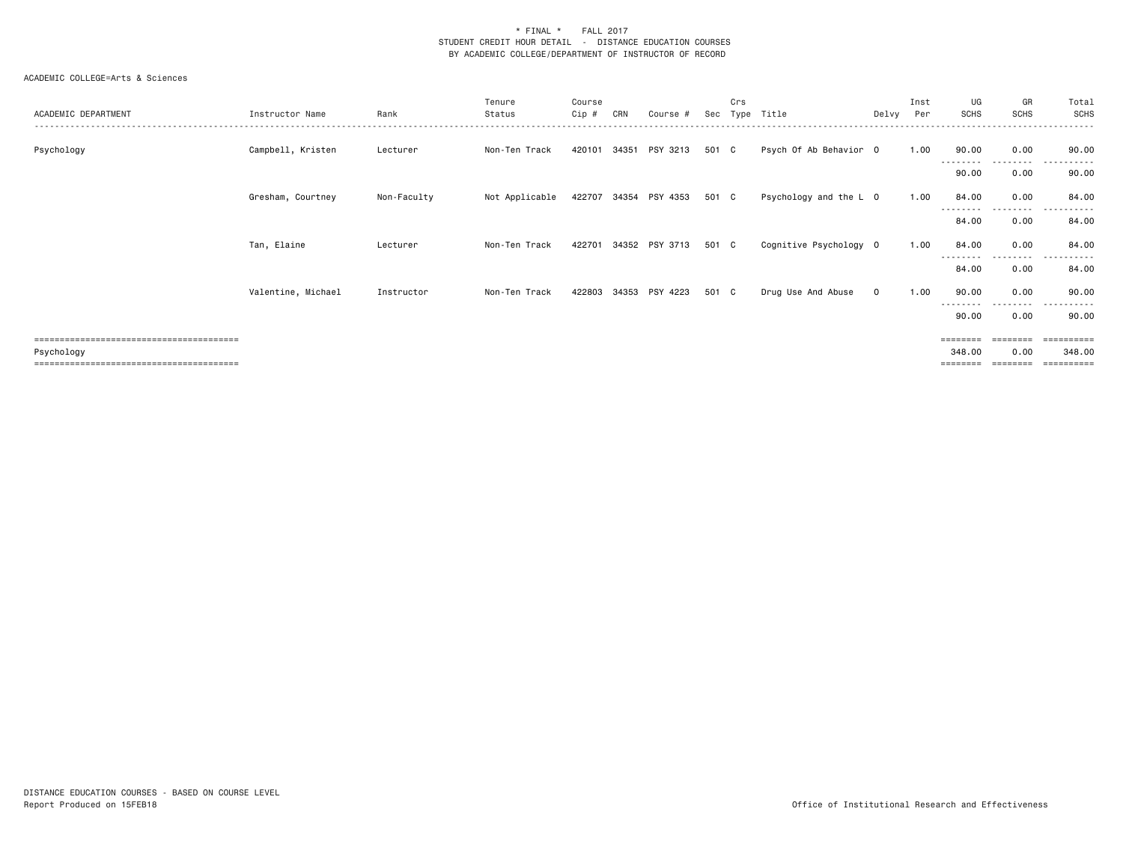| ACADEMIC DEPARTMENT | Instructor Name    | Rank        | Tenure<br>Status | Course<br>Cip # | CRN   | Course #              | Sec   | Crs<br>Type | Title                  | Delvy       | Inst<br>Per | UG<br><b>SCHS</b>  | GR<br><b>SCHS</b> | Total<br><b>SCHS</b>              |
|---------------------|--------------------|-------------|------------------|-----------------|-------|-----------------------|-------|-------------|------------------------|-------------|-------------|--------------------|-------------------|-----------------------------------|
| Psychology          | Campbell, Kristen  | Lecturer    | Non-Ten Track    | 420101          | 34351 | PSY 3213              | 501 C |             | Psych Of Ab Behavior 0 |             | 1.00        | 90.00              | 0.00              | 90.00                             |
|                     |                    |             |                  |                 |       |                       |       |             |                        |             |             | --------<br>90.00  | --------<br>0.00  | .<br>90.00                        |
|                     | Gresham, Courtney  | Non-Faculty | Not Applicable   |                 |       | 422707 34354 PSY 4353 | 501 C |             | Psychology and the L 0 |             | 1.00        | 84.00              | 0.00              | 84.00                             |
|                     |                    |             |                  |                 |       |                       |       |             |                        |             |             | 84.00              | .<br>0.00         | 84.00                             |
|                     | Tan, Elaine        | Lecturer    | Non-Ten Track    | 422701          |       | 34352 PSY 3713        | 501 C |             | Cognitive Psychology 0 |             | 1.00        | 84.00              | 0.00              | 84.00                             |
|                     |                    |             |                  |                 |       |                       |       |             |                        |             |             | --------<br>84.00  | ---------<br>0.00 | -------<br>---<br>84.00           |
|                     | Valentine, Michael | Instructor  | Non-Ten Track    |                 |       | 422803 34353 PSY 4223 | 501 C |             | Drug Use And Abuse     | $\mathbf 0$ | 1.00        | 90.00              | 0.00              | 90.00                             |
|                     |                    |             |                  |                 |       |                       |       |             |                        |             |             | ---------<br>90.00 | ---------<br>0.00 | .<br>90.00                        |
| Psychology          |                    |             |                  |                 |       |                       |       |             |                        |             |             | ========<br>348.00 | ========<br>0.00  | =========<br>348.00<br>========== |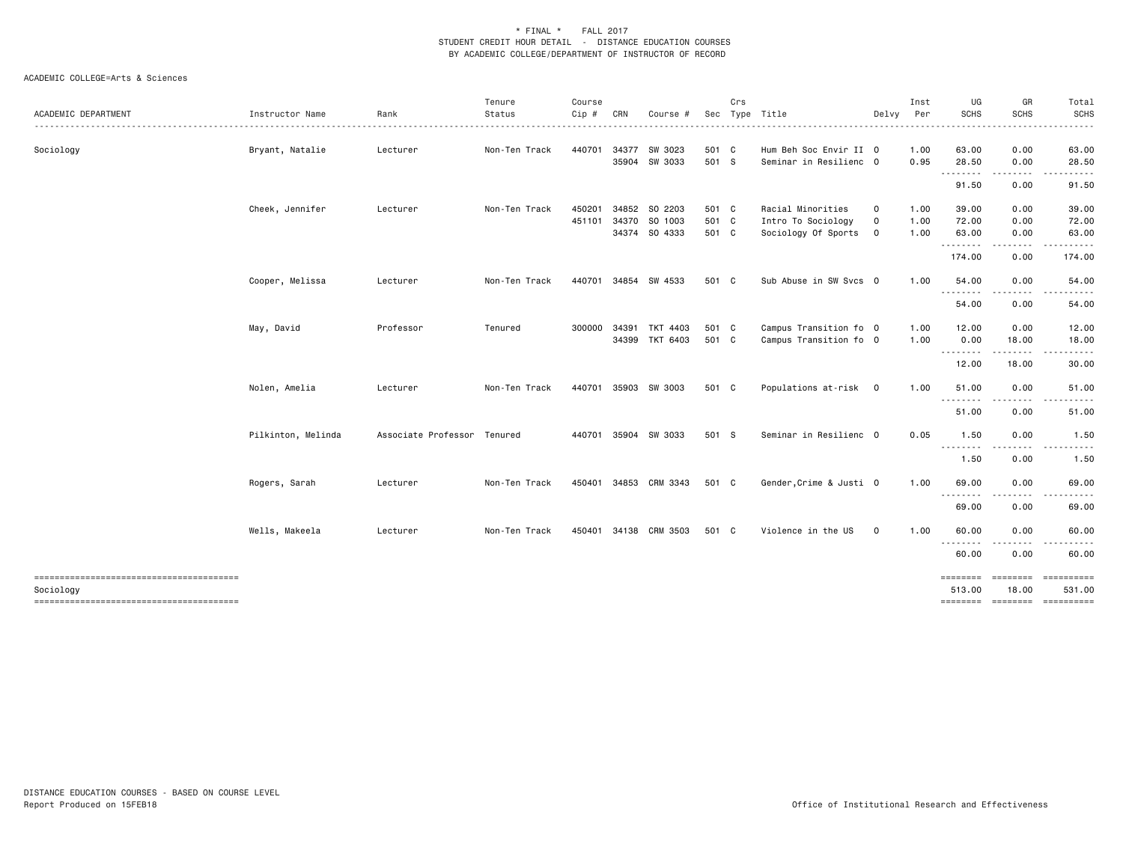|                                                     |                    |                             | Tenure        | Course       |     |                |       | Crs |                         |              | Inst | UG                 | GR                   | Total                 |
|-----------------------------------------------------|--------------------|-----------------------------|---------------|--------------|-----|----------------|-------|-----|-------------------------|--------------|------|--------------------|----------------------|-----------------------|
| ACADEMIC DEPARTMENT                                 | Instructor Name    | Rank                        | Status        | $Cip$ #      | CRN | Course #       |       |     | Sec Type Title          | Delvy        | Per  | <b>SCHS</b>        | <b>SCHS</b>          | <b>SCHS</b><br>------ |
| Sociology                                           | Bryant, Natalie    | Lecturer                    | Non-Ten Track | 440701       |     | 34377 SW 3023  | 501 C |     | Hum Beh Soc Envir II 0  |              | 1.00 | 63.00              | 0.00                 | 63.00                 |
|                                                     |                    |                             |               |              |     | 35904 SW 3033  | 501 S |     | Seminar in Resilienc 0  |              | 0.95 | 28.50              | 0.00                 | 28.50                 |
|                                                     |                    |                             |               |              |     |                |       |     |                         |              |      | .<br>91.50         | 0.00                 | 91.50                 |
|                                                     | Cheek, Jennifer    | Lecturer                    | Non-Ten Track | 450201       |     | 34852 SO 2203  | 501 C |     | Racial Minorities       | 0            | 1.00 | 39.00              | 0.00                 | 39.00                 |
|                                                     |                    |                             |               | 451101       |     | 34370 SO 1003  | 501 C |     | Intro To Sociology      | $\mathsf{o}$ | 1.00 | 72.00              | 0.00                 | 72.00                 |
|                                                     |                    |                             |               |              |     | 34374 SO 4333  | 501 C |     | Sociology Of Sports     | $\mathbf 0$  | 1.00 | 63.00              | 0.00                 | 63.00                 |
|                                                     |                    |                             |               |              |     |                |       |     |                         |              |      | .<br>174.00        | 0.00                 | 174.00                |
|                                                     | Cooper, Melissa    | Lecturer                    | Non-Ten Track | 440701       |     | 34854 SW 4533  | 501 C |     | Sub Abuse in SW Svcs 0  |              | 1.00 | 54.00<br>--------  | 0.00                 | 54.00                 |
|                                                     |                    |                             |               |              |     |                |       |     |                         |              |      | 54.00              | 0.00                 | 54.00                 |
|                                                     | May, David         | Professor                   | Tenured       | 300000 34391 |     | TKT 4403       | 501 C |     | Campus Transition fo 0  |              | 1.00 | 12.00              | 0.00                 | 12.00                 |
|                                                     |                    |                             |               |              |     | 34399 TKT 6403 | 501 C |     | Campus Transition fo 0  |              | 1.00 | 0.00               | 18.00                | 18.00                 |
|                                                     |                    |                             |               |              |     |                |       |     |                         |              |      | .<br>12.00         | .<br>18.00           | .<br>30.00            |
|                                                     | Nolen, Amelia      | Lecturer                    | Non-Ten Track | 440701       |     | 35903 SW 3003  | 501 C |     | Populations at-risk 0   |              | 1.00 | 51.00<br>.         | 0.00<br>.            | 51.00                 |
|                                                     |                    |                             |               |              |     |                |       |     |                         |              |      | 51.00              | 0.00                 | 51.00                 |
|                                                     | Pilkinton, Melinda | Associate Professor Tenured |               | 440701       |     | 35904 SW 3033  | 501 S |     | Seminar in Resilienc 0  |              | 0.05 | 1.50<br>.          | 0.00                 | 1.50                  |
|                                                     |                    |                             |               |              |     |                |       |     |                         |              |      | 1.50               | 0.00                 | 1.50                  |
|                                                     | Rogers, Sarah      | Lecturer                    | Non-Ten Track | 450401       |     | 34853 CRM 3343 | 501 C |     | Gender, Crime & Justi 0 |              | 1.00 | 69.00<br>.         | 0.00                 | 69.00                 |
|                                                     |                    |                             |               |              |     |                |       |     |                         |              |      | 69.00              | 0.00                 | 69.00                 |
|                                                     | Wells, Makeela     | Lecturer                    | Non-Ten Track | 450401       |     | 34138 CRM 3503 | 501 C |     | Violence in the US      | $\mathbf 0$  | 1.00 | 60.00<br>--------  | 0.00                 | 60.00                 |
|                                                     |                    |                             |               |              |     |                |       |     |                         |              |      | 60.00              | 0.00                 | 60.00                 |
| --------------------------------------<br>Sociology |                    |                             |               |              |     |                |       |     |                         |              |      | ========<br>513.00 | ========<br>18.00    | ==========<br>531.00  |
|                                                     |                    |                             |               |              |     |                |       |     |                         |              |      | ========           | --------- ---------- |                       |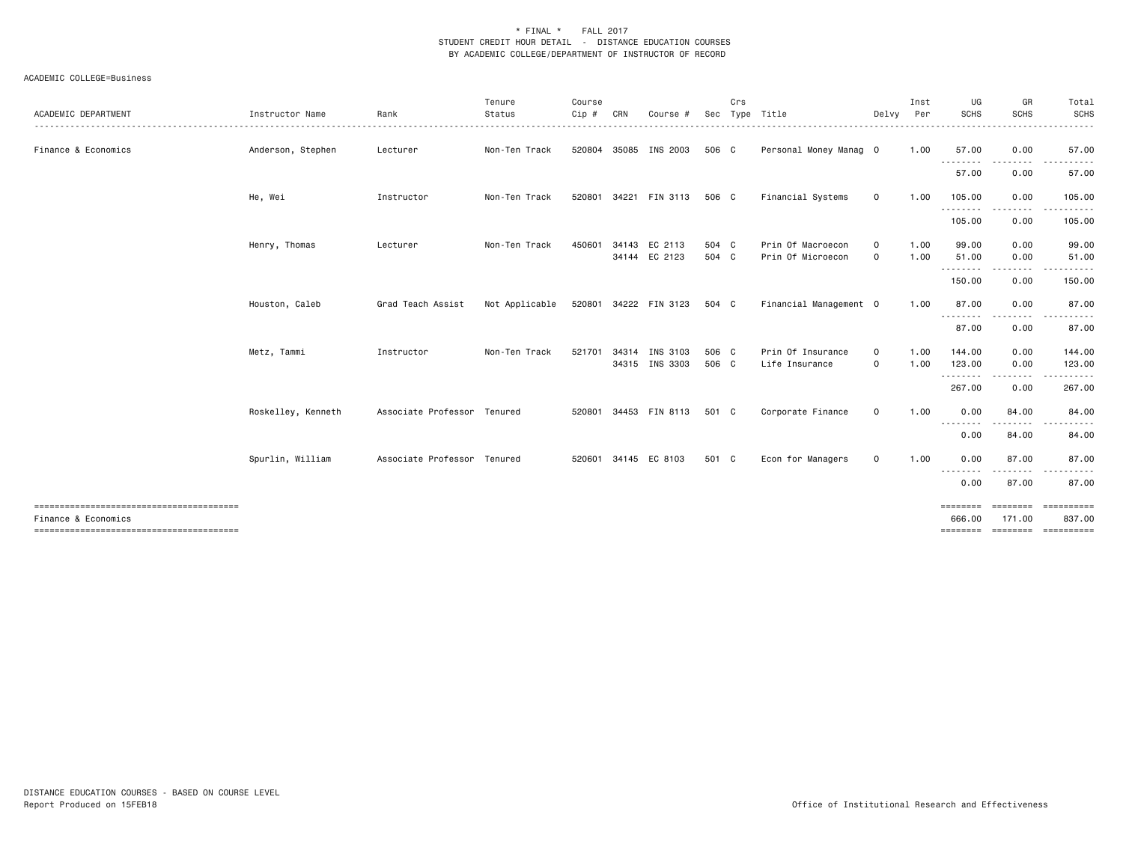| ACADEMIC DEPARTMENT | Instructor Name    | Rank                        | Tenure<br>Status | Course<br>Cip # | CRN   | Course                         | Sec            | Crs | Type Title                             | Delvy        | Inst<br>Per  | UG<br>SCHS                     | GR<br><b>SCHS</b>                                                                                                       | Total<br><b>SCHS</b>           |
|---------------------|--------------------|-----------------------------|------------------|-----------------|-------|--------------------------------|----------------|-----|----------------------------------------|--------------|--------------|--------------------------------|-------------------------------------------------------------------------------------------------------------------------|--------------------------------|
| Finance & Economics | Anderson, Stephen  | Lecturer                    | Non-Ten Track    |                 |       | 520804 35085 INS 2003          | 506 C          |     | Personal Money Manag 0                 |              | 1.00         | 57.00                          | 0.00                                                                                                                    | 57.00                          |
|                     |                    |                             |                  |                 |       |                                |                |     |                                        |              |              | --------<br>57.00              | 0.00                                                                                                                    | 57.00                          |
|                     | He, Wei            | Instructor                  | Non-Ten Track    |                 |       | 520801 34221 FIN 3113          | 506 C          |     | Financial Systems                      | $\circ$      | 1.00         | 105.00                         | 0.00                                                                                                                    | 105.00                         |
|                     |                    |                             |                  |                 |       |                                |                |     |                                        |              |              | .<br>105.00                    | 0.00                                                                                                                    | 105.00                         |
|                     | Henry, Thomas      | Lecturer                    | Non-Ten Track    | 450601          |       | 34143 EC 2113<br>34144 EC 2123 | 504 C<br>504 C |     | Prin Of Macroecon<br>Prin Of Microecon | $\circ$<br>0 | 1.00<br>1.00 | 99.00<br>51.00                 | 0.00<br>0.00                                                                                                            | 99.00<br>51.00                 |
|                     |                    |                             |                  |                 |       |                                |                |     |                                        |              |              | .<br>150.00                    | $\begin{array}{cccccccccccccc} \bullet & \bullet & \bullet & \bullet & \bullet & \bullet & \bullet \end{array}$<br>0.00 | 150.00                         |
|                     | Houston, Caleb     | Grad Teach Assist           | Not Applicable   |                 |       | 520801 34222 FIN 3123          | 504 C          |     | Financial Management 0                 |              | 1.00         | 87.00                          | 0.00                                                                                                                    | 87.00                          |
|                     |                    |                             |                  |                 |       |                                |                |     |                                        |              |              | --------<br>87.00              | 0.00                                                                                                                    | 87.00                          |
|                     | Metz, Tammi        | Instructor                  | Non-Ten Track    | 521701          | 34314 | INS 3103<br>34315 INS 3303     | 506 C<br>506 C |     | Prin Of Insurance<br>Life Insurance    | $\circ$<br>0 | 1.00<br>1.00 | 144,00<br>123.00               | 0.00<br>0.00                                                                                                            | 144.00<br>123.00               |
|                     |                    |                             |                  |                 |       |                                |                |     |                                        |              |              | .<br>267.00                    | 0.00                                                                                                                    | 267.00                         |
|                     | Roskelley, Kenneth | Associate Professor Tenured |                  |                 |       | 520801 34453 FIN 8113          | 501 C          |     | Corporate Finance                      | $\mathsf{o}$ | 1.00         | 0.00                           | 84.00                                                                                                                   | 84.00                          |
|                     |                    |                             |                  |                 |       |                                |                |     |                                        |              |              | .<br>0.00                      | 84.00                                                                                                                   | 84.00                          |
|                     | Spurlin, William   | Associate Professor Tenured |                  | 520601          |       | 34145 EC 8103                  | 501 C          |     | Econ for Managers                      | 0            | 1.00         | 0.00<br>.                      | 87.00                                                                                                                   | 87.00                          |
|                     |                    |                             |                  |                 |       |                                |                |     |                                        |              |              | 0.00                           | 87.00                                                                                                                   | 87.00                          |
| Finance & Economics |                    |                             |                  |                 |       |                                |                |     |                                        |              |              | ========<br>666,00<br>======== | 171.00                                                                                                                  | 837.00<br>========= ========== |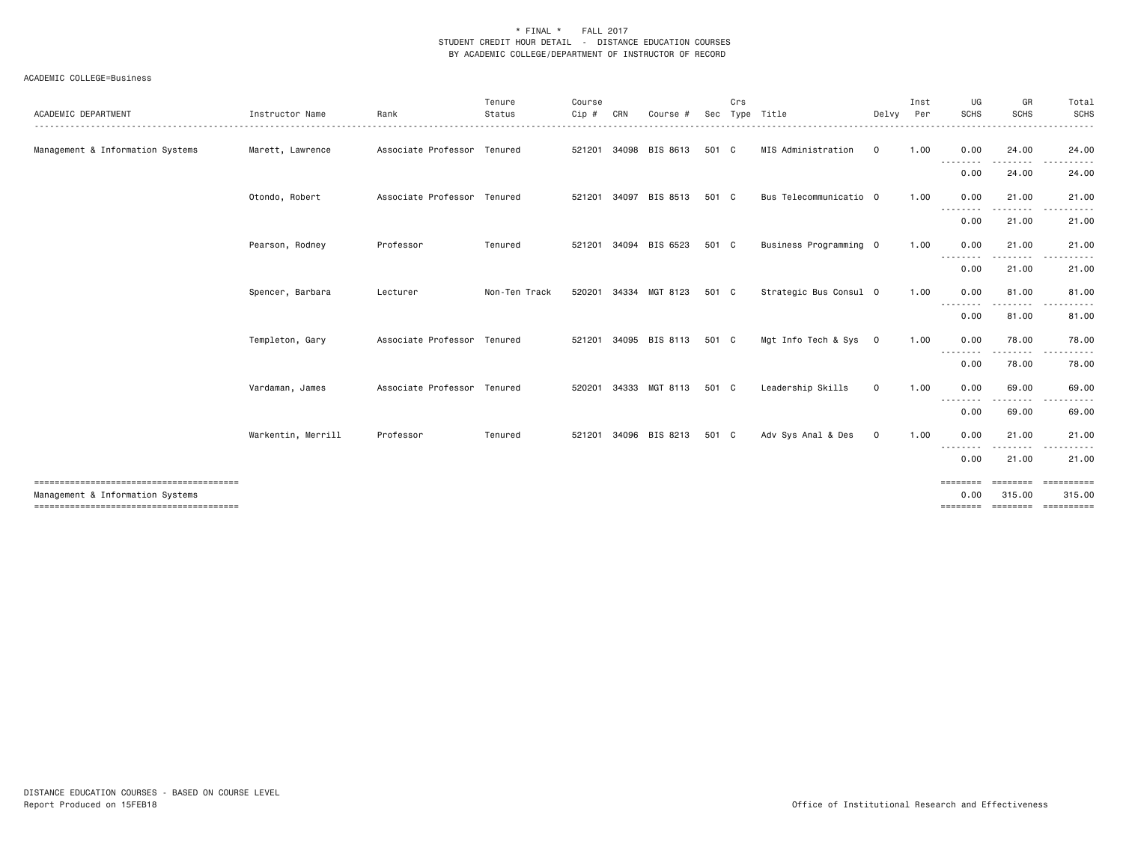| ACADEMIC DEPARTMENT              | Instructor Name    | Rank<br>.                   | Tenure<br>Status<br>. | Course<br>$C$ ip $#$ | CRN   | Course #       | Sec   | Crs | Type Title<br><u></u>  | Delvv       | Inst<br>Per<br>. | UG<br><b>SCHS</b>  | GR<br><b>SCHS</b><br>. | Total<br>SCHS<br>.                 |
|----------------------------------|--------------------|-----------------------------|-----------------------|----------------------|-------|----------------|-------|-----|------------------------|-------------|------------------|--------------------|------------------------|------------------------------------|
| Management & Information Systems | Marett, Lawrence   | Associate Professor Tenured |                       | 521201               |       | 34098 BIS 8613 | 501 C |     | MIS Administration     | $\mathbf 0$ | 1.00             | 0.00               | 24.00                  | 24.00                              |
|                                  |                    |                             |                       |                      |       |                |       |     |                        |             |                  | . <b>.</b><br>0.00 | .<br>24.00             | .<br>24.00                         |
|                                  | Otondo, Robert     | Associate Professor Tenured |                       | 521201               | 34097 | BIS 8513       | 501 C |     | Bus Telecommunicatio 0 |             | 1.00             | 0.00<br>.          | 21.00<br>.             | 21.00                              |
|                                  |                    |                             |                       |                      |       |                |       |     |                        |             |                  | 0.00               | 21.00                  | 21.00                              |
|                                  | Pearson, Rodney    | Professor                   | Tenured               | 521201               |       | 34094 BIS 6523 | 501 C |     | Business Programming 0 |             | 1.00             | 0.00<br>--------   | 21.00<br>.             | 21.00<br>.                         |
|                                  |                    |                             |                       |                      |       |                |       |     |                        |             |                  | 0.00               | 21.00                  | 21.00                              |
|                                  | Spencer, Barbara   | Lecturer                    | Non-Ten Track         | 520201               |       | 34334 MGT 8123 | 501 C |     | Strategic Bus Consul 0 |             | 1.00             | 0.00<br>--------   | 81.00<br>.             | 81.00                              |
|                                  |                    |                             |                       |                      |       |                |       |     |                        |             |                  | 0.00               | 81.00                  | 81.00                              |
|                                  | Templeton, Gary    | Associate Professor Tenured |                       | 521201               |       | 34095 BIS 8113 | 501 C |     | Mgt Info Tech & Sys 0  |             | 1.00             | 0.00<br>--------   | 78.00                  | 78.00                              |
|                                  |                    |                             |                       |                      |       |                |       |     |                        |             |                  | 0.00               | 78.00                  | 78.00                              |
|                                  | Vardaman, James    | Associate Professor Tenured |                       | 520201               |       | 34333 MGT 8113 | 501 C |     | Leadership Skills      | $\mathbf 0$ | 1.00             | 0.00<br>--------   | 69.00<br>.             | 69.00<br>.                         |
|                                  |                    |                             |                       |                      |       |                |       |     |                        |             |                  | 0.00               | 69.00                  | 69.00                              |
|                                  | Warkentin, Merrill | Professor                   | Tenured               | 521201               |       | 34096 BIS 8213 | 501 C |     | Adv Sys Anal & Des     | $\mathbf 0$ | 1.00             | 0.00<br>--------   | 21.00<br>.             | 21.00                              |
|                                  |                    |                             |                       |                      |       |                |       |     |                        |             |                  | 0.00               | 21.00                  | 21.00                              |
| Management & Information Systems |                    |                             |                       |                      |       |                |       |     |                        |             |                  | 0.00<br>========   | 315.00<br>========     | ==========<br>315.00<br>========== |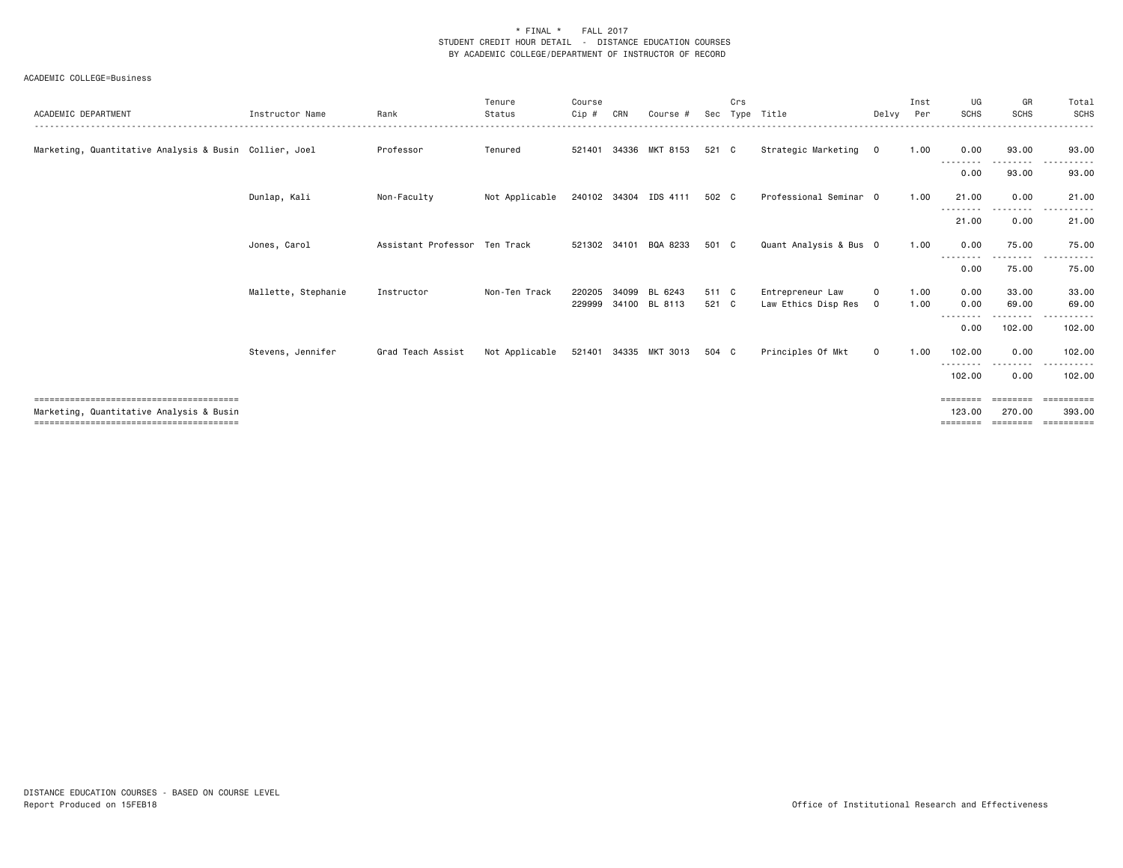| ACADEMIC DEPARTMENT                                    | Instructor Name     | Rank                          | Tenure<br>Status | Course<br>Cip # | CRN   | Course #              | Sec   | Crs | Type Title             | Delvy          | Inst<br>Per | UG<br><b>SCHS</b>         | GR<br>SCHS                                                                                                                                                                              | Total<br><b>SCHS</b> |
|--------------------------------------------------------|---------------------|-------------------------------|------------------|-----------------|-------|-----------------------|-------|-----|------------------------|----------------|-------------|---------------------------|-----------------------------------------------------------------------------------------------------------------------------------------------------------------------------------------|----------------------|
|                                                        |                     |                               |                  |                 |       |                       |       |     |                        |                |             |                           |                                                                                                                                                                                         |                      |
| Marketing, Quantitative Analysis & Busin Collier, Joel |                     | Professor                     | Tenured          | 521401          | 34336 | MKT 8153              | 521 C |     | Strategic Marketing    | $\overline{0}$ | 1.00        | 0.00                      | 93.00<br>-------                                                                                                                                                                        | 93.00                |
|                                                        |                     |                               |                  |                 |       |                       |       |     |                        |                |             | 0.00                      | 93.00                                                                                                                                                                                   | 93.00                |
|                                                        | Dunlap, Kali        | Non-Faculty                   | Not Applicable   |                 |       | 240102 34304 IDS 4111 | 502 C |     | Professional Seminar 0 |                | 1.00        | 21.00                     | 0.00<br>$\frac{1}{2} \left( \frac{1}{2} \right) \left( \frac{1}{2} \right) \left( \frac{1}{2} \right) \left( \frac{1}{2} \right) \left( \frac{1}{2} \right) \left( \frac{1}{2} \right)$ | 21.00                |
|                                                        |                     |                               |                  |                 |       |                       |       |     |                        |                |             | 21.00                     | 0.00                                                                                                                                                                                    | 21.00                |
|                                                        | Jones, Carol        | Assistant Professor Ten Track |                  | 521302          | 34101 | BQA 8233              | 501 C |     | Quant Analysis & Bus 0 |                | 1.00        | 0.00                      | 75.00                                                                                                                                                                                   | 75.00                |
|                                                        |                     |                               |                  |                 |       |                       |       |     |                        |                |             | ----<br>0.00              | 75.00                                                                                                                                                                                   | 75.00                |
|                                                        | Mallette, Stephanie | Instructor                    | Non-Ten Track    | 220205          | 34099 | BL 6243               | 511 C |     | Entrepreneur Law       | $\Omega$       | 1.00        | 0.00                      | 33.00                                                                                                                                                                                   | 33.00                |
|                                                        |                     |                               |                  | 229999          |       | 34100 BL 8113         | 521 C |     | Law Ethics Disp Res    | $\mathbf 0$    | 1.00        | 0.00                      | 69.00<br>.                                                                                                                                                                              | 69.00<br>.           |
|                                                        |                     |                               |                  |                 |       |                       |       |     |                        |                |             | 0.00                      | 102.00                                                                                                                                                                                  | 102.00               |
|                                                        | Stevens, Jennifer   | Grad Teach Assist             | Not Applicable   |                 |       | 521401 34335 MKT 3013 | 504 C |     | Principles Of Mkt      | $\mathsf{o}$   | 1.00        | 102.00<br><u>--------</u> | 0.00                                                                                                                                                                                    | 102.00               |
|                                                        |                     |                               |                  |                 |       |                       |       |     |                        |                |             | 102.00                    | 0.00                                                                                                                                                                                    | 102.00               |
|                                                        |                     |                               |                  |                 |       |                       |       |     |                        |                |             | ========                  | ========                                                                                                                                                                                | ==========           |
| Marketing, Quantitative Analysis & Busin               |                     |                               |                  |                 |       |                       |       |     |                        |                |             | 123,00                    | 270.00                                                                                                                                                                                  | 393.00               |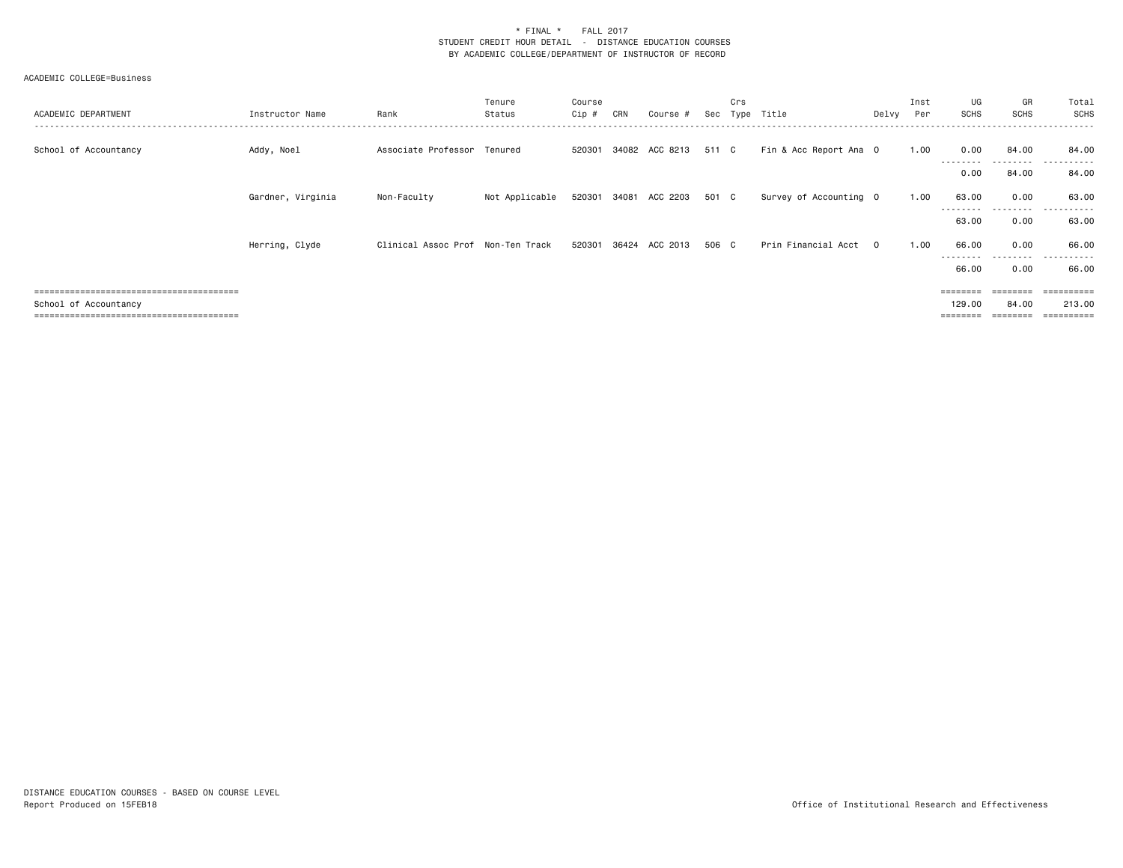| ACADEMIC DEPARTMENT   | Instructor Name   | Rank                              | Tenure<br>Status | Course<br>Cip # | CRN | Course #                    |       | Crs | Sec Type Title         | Delvy    | Inst<br>Per | UG<br>SCHS         | GR<br>SCHS         | Total<br>SCHS |
|-----------------------|-------------------|-----------------------------------|------------------|-----------------|-----|-----------------------------|-------|-----|------------------------|----------|-------------|--------------------|--------------------|---------------|
| School of Accountancy | Addy, Noel        | Associate Professor Tenured       |                  |                 |     | 520301 34082 ACC 8213 511 C |       |     | Fin & Acc Report Ana O |          | 1.00        | 0.00<br>--------   | 84.00<br>--------- | 84.00<br>.    |
|                       |                   |                                   |                  |                 |     |                             |       |     |                        |          |             | 0.00               | 84.00              | 84.00         |
|                       | Gardner, Virginia | Non-Faculty                       | Not Applicable   |                 |     | 520301 34081 ACC 2203 501 C |       |     | Survey of Accounting O |          | 1.00        | 63.00              | 0.00               | 63.00         |
|                       |                   |                                   |                  |                 |     |                             |       |     |                        |          |             | 63.00              | 0.00               | 63.00         |
|                       | Herring, Clyde    | Clinical Assoc Prof Non-Ten Track |                  | 520301          |     | 36424 ACC 2013              | 506 C |     | Prin Financial Acct    | $\Omega$ | 1.00        | 66.00<br>--------- | 0.00<br>.          | 66.00<br>.    |
|                       |                   |                                   |                  |                 |     |                             |       |     |                        |          |             | 66.00              | 0.00               | 66.00         |
|                       |                   |                                   |                  |                 |     |                             |       |     |                        |          |             |                    |                    | =======       |
| School of Accountancy |                   |                                   |                  |                 |     |                             |       |     |                        |          |             | 129.00             | 84.00              | 213.00        |
|                       |                   |                                   |                  |                 |     |                             |       |     |                        |          |             |                    |                    | ==========    |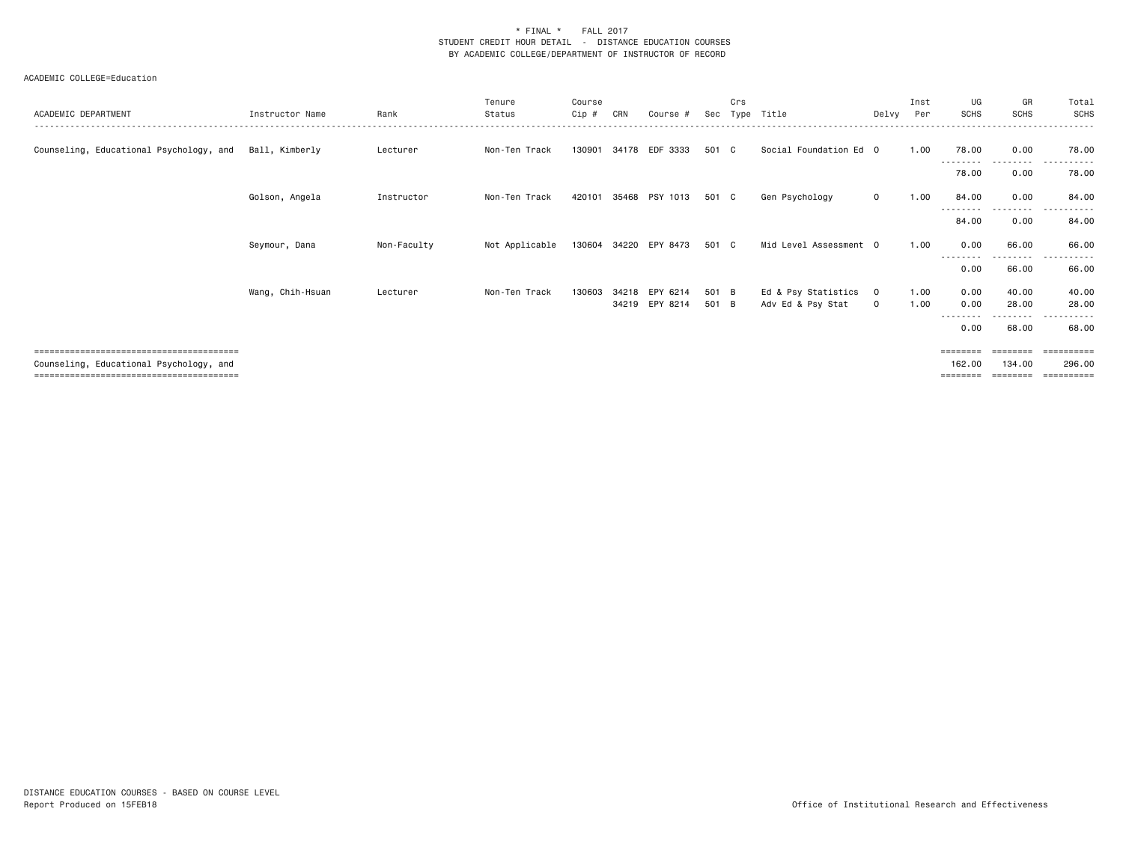| ACADEMIC DEPARTMENT                     | Instructor Name  | Rank        | Tenure<br>Status | Course<br>Cip # | CRN   | Course #              | Sec   | Crs | Type Title             |             | Inst<br>Delvy Per | UG<br><b>SCHS</b>  | GR<br><b>SCHS</b>             | Total<br><b>SCHS</b>  |
|-----------------------------------------|------------------|-------------|------------------|-----------------|-------|-----------------------|-------|-----|------------------------|-------------|-------------------|--------------------|-------------------------------|-----------------------|
| Counseling, Educational Psychology, and | Ball, Kimberly   | Lecturer    | Non-Ten Track    | 130901          |       | 34178 EDF 3333        | 501 C |     | Social Foundation Ed 0 |             | 1.00              | 78.00              | 0.00                          | 78.00                 |
|                                         |                  |             |                  |                 |       |                       |       |     |                        |             |                   | ---------<br>78.00 | --------<br>0.00              | 78.00                 |
|                                         | Golson, Angela   | Instructor  | Non-Ten Track    | 420101          | 35468 | PSY 1013              | 501 C |     | Gen Psychology         | $\mathbf 0$ | 1.00              | 84.00              | 0.00                          | 84.00                 |
|                                         |                  |             |                  |                 |       |                       |       |     |                        |             |                   | --------<br>84.00  | --------<br>0.00              | $\cdots$<br>84.00     |
|                                         | Seymour, Dana    | Non-Faculty | Not Applicable   |                 |       | 130604 34220 EPY 8473 | 501 C |     | Mid Level Assessment 0 |             | 1.00              | 0.00               | 66.00                         | 66.00                 |
|                                         |                  |             |                  |                 |       |                       |       |     |                        |             |                   | 0.00               | 66.00                         | 66.00                 |
|                                         | Wang, Chih-Hsuan | Lecturer    | Non-Ten Track    | 130603          | 34218 | EPY 6214              | 501 B |     | Ed & Psy Statistics 0  |             | 1.00              | 0.00               | 40.00                         | 40.00                 |
|                                         |                  |             |                  |                 |       | 34219 EPY 8214        | 501 B |     | Adv Ed & Psy Stat      | $\mathbf 0$ | 1.00              | 0.00               | 28.00<br>- - - - - - <b>-</b> | 28.00                 |
|                                         |                  |             |                  |                 |       |                       |       |     |                        |             |                   | --------<br>0.00   | 68.00                         | ----------<br>68.00   |
|                                         |                  |             |                  |                 |       |                       |       |     |                        |             |                   | ========           | ========                      | $=$ = = = = = = = = = |
| Counseling, Educational Psychology, and |                  |             |                  |                 |       |                       |       |     |                        |             |                   | 162.00             | 134,00                        | 296.00                |
|                                         |                  |             |                  |                 |       |                       |       |     |                        |             |                   | ========           |                               | =========             |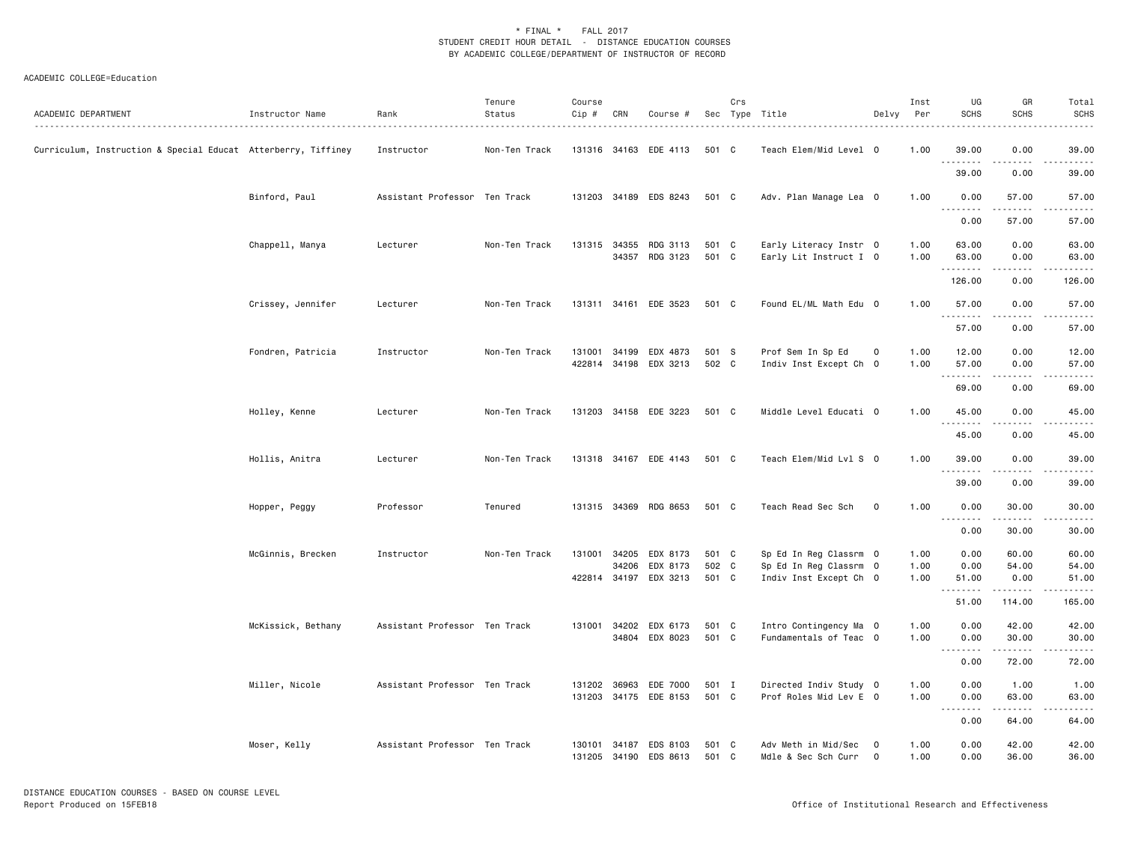| ACADEMIC DEPARTMENT                                           | Instructor Name    | Rank                          | Tenure<br>Status | Course<br>Cip #  | CRN   | Course #                          |                | Crs | Sec Type Title                                   | Delvy                       | Inst<br>Per  | UG<br><b>SCHS</b> | GR<br><b>SCHS</b>                                                                                                                                             | Total<br><b>SCHS</b> |
|---------------------------------------------------------------|--------------------|-------------------------------|------------------|------------------|-------|-----------------------------------|----------------|-----|--------------------------------------------------|-----------------------------|--------------|-------------------|---------------------------------------------------------------------------------------------------------------------------------------------------------------|----------------------|
| Curriculum, Instruction & Special Educat Atterberry, Tiffiney |                    | Instructor                    | Non-Ten Track    |                  |       | 131316 34163 EDE 4113             | 501 C          |     | Teach Elem/Mid Level 0                           |                             | 1.00         | 39.00             | 0.00                                                                                                                                                          | 39.00                |
|                                                               |                    |                               |                  |                  |       |                                   |                |     |                                                  |                             |              | 39.00             | 0.00                                                                                                                                                          | 39.00                |
|                                                               | Binford, Paul      | Assistant Professor Ten Track |                  |                  |       | 131203 34189 EDS 8243             | 501 C          |     | Adv. Plan Manage Lea 0                           |                             | 1.00         | 0.00<br>د د د د د | 57.00<br>بالالالالا                                                                                                                                           | 57.00<br>.           |
|                                                               |                    |                               |                  |                  |       |                                   |                |     |                                                  |                             |              | 0.00              | 57.00                                                                                                                                                         | 57.00                |
|                                                               | Chappell, Manya    | Lecturer                      | Non-Ten Track    | 131315           | 34355 | RDG 3113<br>34357 RDG 3123        | 501 C<br>501 C |     | Early Literacy Instr 0<br>Early Lit Instruct I 0 |                             | 1.00<br>1.00 | 63.00<br>63.00    | 0.00<br>0.00                                                                                                                                                  | 63.00<br>63.00       |
|                                                               |                    |                               |                  |                  |       |                                   |                |     |                                                  |                             |              | .<br>126.00       | .<br>0.00                                                                                                                                                     | .<br>126.00          |
|                                                               | Crissey, Jennifer  | Lecturer                      | Non-Ten Track    |                  |       | 131311 34161 EDE 3523             | 501 C          |     | Found EL/ML Math Edu 0                           |                             | 1.00         | 57.00             | 0.00                                                                                                                                                          | 57.00                |
|                                                               |                    |                               |                  |                  |       |                                   |                |     |                                                  |                             |              | .<br>57.00        | .<br>0.00                                                                                                                                                     | .<br>57.00           |
|                                                               | Fondren, Patricia  | Instructor                    | Non-Ten Track    | 131001           | 34199 | EDX 4873<br>422814 34198 EDX 3213 | 501 S<br>502 C |     | Prof Sem In Sp Ed<br>Indiv Inst Except Ch 0      | $\mathbf 0$                 | 1.00<br>1.00 | 12.00<br>57.00    | 0.00<br>0.00                                                                                                                                                  | 12.00<br>57.00       |
|                                                               |                    |                               |                  |                  |       |                                   |                |     |                                                  |                             |              | .<br>69.00        | $\frac{1}{2}$<br>0.00                                                                                                                                         | .<br>69.00           |
|                                                               | Holley, Kenne      | Lecturer                      | Non-Ten Track    |                  |       | 131203 34158 EDE 3223             | 501 C          |     | Middle Level Educati 0                           |                             | 1.00         | 45.00             | 0.00                                                                                                                                                          | 45.00<br>.           |
|                                                               |                    |                               |                  |                  |       |                                   |                |     |                                                  |                             |              | .<br>45.00        | .<br>0.00                                                                                                                                                     | 45.00                |
|                                                               | Hollis, Anitra     | Lecturer                      | Non-Ten Track    |                  |       | 131318 34167 EDE 4143             | 501 C          |     | Teach Elem/Mid Lvl S 0                           |                             | 1.00         | 39.00<br>.        | 0.00                                                                                                                                                          | 39.00                |
|                                                               |                    |                               |                  |                  |       |                                   |                |     |                                                  |                             |              | 39.00             | 0.00                                                                                                                                                          | 39.00                |
|                                                               | Hopper, Peggy      | Professor                     | Tenured          |                  |       | 131315 34369 RDG 8653             | 501 C          |     | Teach Read Sec Sch                               | $\mathbf 0$                 | 1.00         | 0.00<br>.         | 30.00<br>.                                                                                                                                                    | 30.00<br>.           |
|                                                               |                    |                               |                  |                  |       |                                   |                |     |                                                  |                             |              | 0.00              | 30.00                                                                                                                                                         | 30.00                |
|                                                               | McGinnis, Brecken  | Instructor                    | Non-Ten Track    |                  | 34206 | 131001 34205 EDX 8173<br>EDX 8173 | 501 C<br>502 C |     | Sp Ed In Reg Classrm 0                           |                             | 1.00         | 0.00              | 60.00                                                                                                                                                         | 60.00<br>54.00       |
|                                                               |                    |                               |                  | 422814           |       | 34197 EDX 3213                    | 501 C          |     | Sp Ed In Reg Classrm 0<br>Indiv Inst Except Ch 0 |                             | 1.00<br>1.00 | 0.00<br>51.00     | 54.00<br>0.00                                                                                                                                                 | 51.00                |
|                                                               |                    |                               |                  |                  |       |                                   |                |     |                                                  |                             |              | .<br>51.00        | 114.00                                                                                                                                                        | .<br>165.00          |
|                                                               | McKissick, Bethany | Assistant Professor Ten Track |                  |                  |       | 131001 34202 EDX 6173             | 501 C          |     | Intro Contingency Ma 0                           |                             | 1.00         | 0.00              | 42.00                                                                                                                                                         | 42.00                |
|                                                               |                    |                               |                  |                  | 34804 | EDX 8023                          | 501 C          |     | Fundamentals of Teac 0                           |                             | 1.00         | 0.00<br>.         | 30.00<br>$\frac{1}{2} \left( \frac{1}{2} \right) \left( \frac{1}{2} \right) \left( \frac{1}{2} \right) \left( \frac{1}{2} \right) \left( \frac{1}{2} \right)$ | 30.00<br>.           |
|                                                               |                    |                               |                  |                  |       |                                   |                |     |                                                  |                             |              | 0.00              | 72.00                                                                                                                                                         | 72.00                |
|                                                               | Miller, Nicole     | Assistant Professor Ten Track |                  | 131202           | 36963 | EDE 7000<br>131203 34175 EDE 8153 | 501 I<br>501 C |     | Directed Indiv Study 0<br>Prof Roles Mid Lev E 0 |                             | 1.00<br>1.00 | 0.00<br>0.00      | 1.00<br>63.00                                                                                                                                                 | 1.00<br>63.00        |
|                                                               |                    |                               |                  |                  |       |                                   |                |     |                                                  |                             |              | .<br>0.00         | .<br>64.00                                                                                                                                                    | .<br>64.00           |
|                                                               | Moser, Kelly       | Assistant Professor Ten Track |                  | 130101<br>131205 |       | 34187 EDS 8103<br>34190 EDS 8613  | 501 C<br>501 C |     | Adv Meth in Mid/Sec<br>Mdle & Sec Sch Curr       | $\mathbf 0$<br>$\mathbf{0}$ | 1.00<br>1.00 | 0.00<br>0.00      | 42.00<br>36.00                                                                                                                                                | 42.00<br>36.00       |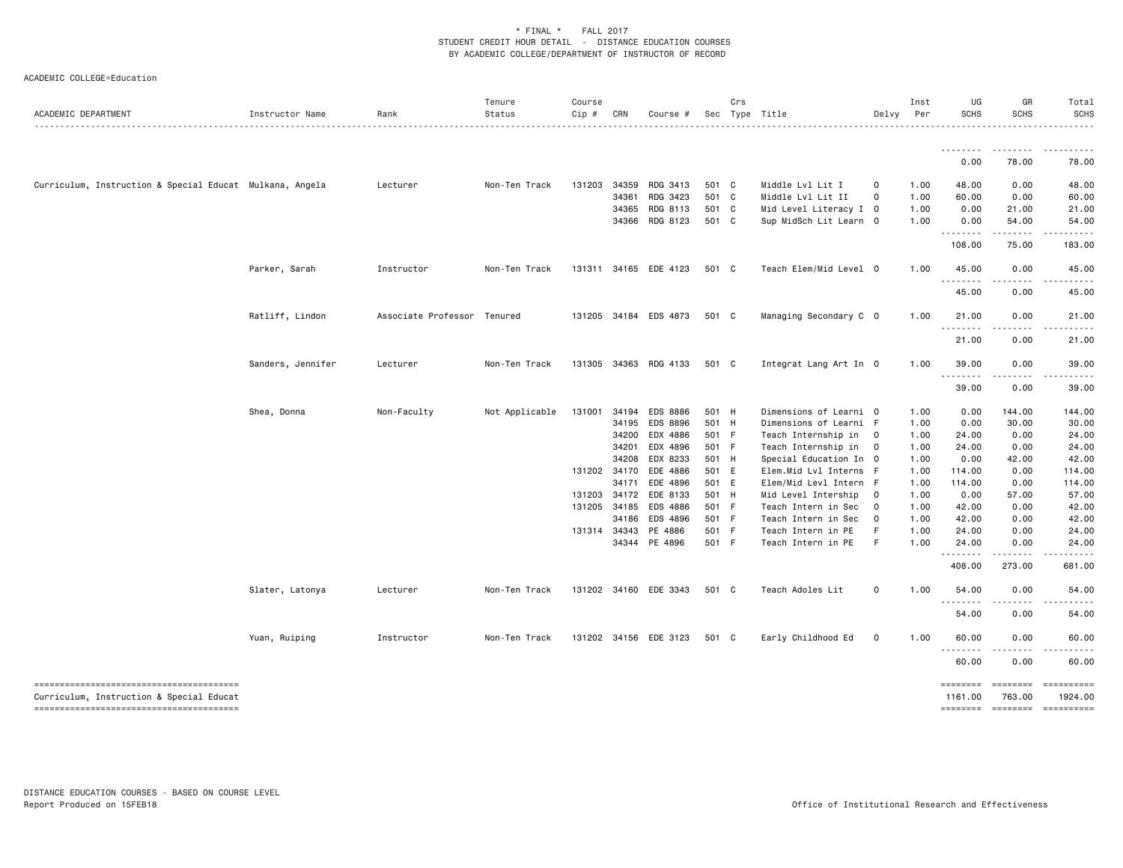| ACADEMIC DEPARTMENT                                      | Instructor Name   | Rank                        | Tenure<br>Status | Course<br>Cip # | CRN   | Course #              |                | Crs | Sec Type Title                                   | Delvy                   | Inst<br>Per  | UG<br><b>SCHS</b>          | GR<br><b>SCHS</b> | Total<br><b>SCHS</b>  |
|----------------------------------------------------------|-------------------|-----------------------------|------------------|-----------------|-------|-----------------------|----------------|-----|--------------------------------------------------|-------------------------|--------------|----------------------------|-------------------|-----------------------|
|                                                          |                   |                             |                  |                 |       |                       |                |     |                                                  |                         |              | <u> - - - - - - - -</u>    | .                 |                       |
|                                                          |                   |                             |                  |                 |       |                       |                |     |                                                  |                         |              | 0.00                       | 78.00             | 78.00                 |
| Curriculum, Instruction & Special Educat Mulkana, Angela |                   | Lecturer                    | Non-Ten Track    | 131203          | 34359 | RDG 3413              | 501 C          |     | Middle Lvl Lit I                                 | $\mathbf 0$             | 1.00         | 48.00                      | 0.00              | 48.00                 |
|                                                          |                   |                             |                  |                 | 34361 | RDG 3423              | 501 C          |     | Middle Lvl Lit II                                | $\mathbf 0$             | 1.00         | 60.00                      | 0.00              | 60.00                 |
|                                                          |                   |                             |                  |                 | 34365 | RDG 8113              | 501 C          |     | Mid Level Literacy I 0                           |                         | 1.00         | 0.00                       | 21.00             | 21.00                 |
|                                                          |                   |                             |                  |                 |       | 34366 RDG 8123        | 501 C          |     | Sup MidSch Lit Learn 0                           |                         | 1.00         | 0.00<br>.                  | 54.00<br>.        | 54.00                 |
|                                                          |                   |                             |                  |                 |       |                       |                |     |                                                  |                         |              | 108.00                     | 75.00             | 183.00                |
|                                                          | Parker, Sarah     | Instructor                  | Non-Ten Track    |                 |       | 131311 34165 EDE 4123 | 501 C          |     | Teach Elem/Mid Level 0                           |                         | 1.00         | 45.00                      | 0.00              | 45.00                 |
|                                                          |                   |                             |                  |                 |       |                       |                |     |                                                  |                         |              | 45.00                      | <u>.</u><br>0.00  | 45.00                 |
|                                                          | Ratliff, Lindon   | Associate Professor Tenured |                  | 131205          |       | 34184 EDS 4873        | 501 C          |     | Managing Secondary C 0                           |                         | 1.00         | 21.00                      | 0.00              | 21.00                 |
|                                                          |                   |                             |                  |                 |       |                       |                |     |                                                  |                         |              | . <b>.</b><br>21.00        | 0.00              | 21.00                 |
|                                                          | Sanders, Jennifer | Lecturer                    | Non-Ten Track    |                 |       | 131305 34363 RDG 4133 | 501 C          |     | Integrat Lang Art In 0                           |                         | 1.00         | 39.00                      | 0.00              | 39.00                 |
|                                                          |                   |                             |                  |                 |       |                       |                |     |                                                  |                         |              | .<br>39.00                 | <u>.</u><br>0.00  | 39.00                 |
|                                                          |                   |                             |                  |                 |       |                       |                |     |                                                  |                         |              |                            |                   |                       |
|                                                          | Shea, Donna       | Non-Faculty                 | Not Applicable   | 131001 34194    |       | EDS 8886              | 501 H          |     | Dimensions of Learni 0                           |                         | 1.00         | 0.00                       | 144.00            | 144.00                |
|                                                          |                   |                             |                  |                 | 34195 | EDS 8896              | 501 H          |     | Dimensions of Learni F                           |                         | 1.00         | 0.00                       | 30.00             | 30.00                 |
|                                                          |                   |                             |                  |                 | 34200 | EDX 4886              | 501 F          |     | Teach Internship in 0                            |                         | 1.00         | 24.00                      | 0.00              | 24.00                 |
|                                                          |                   |                             |                  |                 | 34201 | EDX 4896              | 501 F          |     | Teach Internship in 0                            |                         | 1.00         | 24.00                      | 0.00              | 24.00                 |
|                                                          |                   |                             |                  | 131202 34170    | 34208 | EDX 8233<br>EDE 4886  | 501 H<br>501 E |     | Special Education In 0                           |                         | 1.00<br>1.00 | 0.00                       | 42.00             | 42.00                 |
|                                                          |                   |                             |                  |                 | 34171 | EDE 4896              | 501 E          |     | Elem.Mid Lvl Interns F<br>Elem/Mid Levl Intern F |                         | 1.00         | 114.00<br>114.00           | 0.00<br>0.00      | 114.00<br>114.00      |
|                                                          |                   |                             |                  | 131203 34172    |       | EDE 8133              | 501 H          |     | Mid Level Intership                              | $\overline{\mathbf{0}}$ | 1.00         | 0.00                       | 57.00             | 57.00                 |
|                                                          |                   |                             |                  | 131205 34185    |       | EDS 4886              | 501 F          |     | Teach Intern in Sec                              | $\overline{0}$          | 1.00         | 42.00                      | 0.00              | 42.00                 |
|                                                          |                   |                             |                  |                 | 34186 | EDS 4896              | 501 F          |     | Teach Intern in Sec                              | $\overline{0}$          | 1.00         | 42.00                      | 0.00              | 42.00                 |
|                                                          |                   |                             |                  | 131314 34343    |       | PE 4886               | 501 F          |     | Teach Intern in PE                               | -F                      | 1.00         | 24.00                      | 0.00              | 24.00                 |
|                                                          |                   |                             |                  |                 |       | 34344 PE 4896         | 501 F          |     | Teach Intern in PE                               | F.                      | 1.00         | 24.00                      | 0.00              | 24.00                 |
|                                                          |                   |                             |                  |                 |       |                       |                |     |                                                  |                         |              | .<br>408.00                | 273.00            | 681.00                |
|                                                          | Slater, Latonya   | Lecturer                    | Non-Ten Track    |                 |       | 131202 34160 EDE 3343 | 501 C          |     | Teach Adoles Lit                                 | $\mathsf 0$             | 1.00         | 54.00                      | 0.00              | 54.00                 |
|                                                          |                   |                             |                  |                 |       |                       |                |     |                                                  |                         |              | . <b>.</b><br>54.00        | 0.00              | 54.00                 |
|                                                          | Yuan, Ruiping     | Instructor                  | Non-Ten Track    |                 |       | 131202 34156 EDE 3123 | 501 C          |     | Early Childhood Ed                               | 0                       | 1.00         | 60.00                      | 0.00              | 60.00                 |
|                                                          |                   |                             |                  |                 |       |                       |                |     |                                                  |                         |              | $- - -$<br>60.00           | 0.00              | 60.00                 |
| Curriculum, Instruction & Special Educat                 |                   |                             |                  |                 |       |                       |                |     |                                                  |                         |              | <b>EDESSEDE</b><br>1161.00 | 763.00            | ==========<br>1924.00 |
|                                                          |                   |                             |                  |                 |       |                       |                |     |                                                  |                         |              | ========                   | $=$ ========      | ==========            |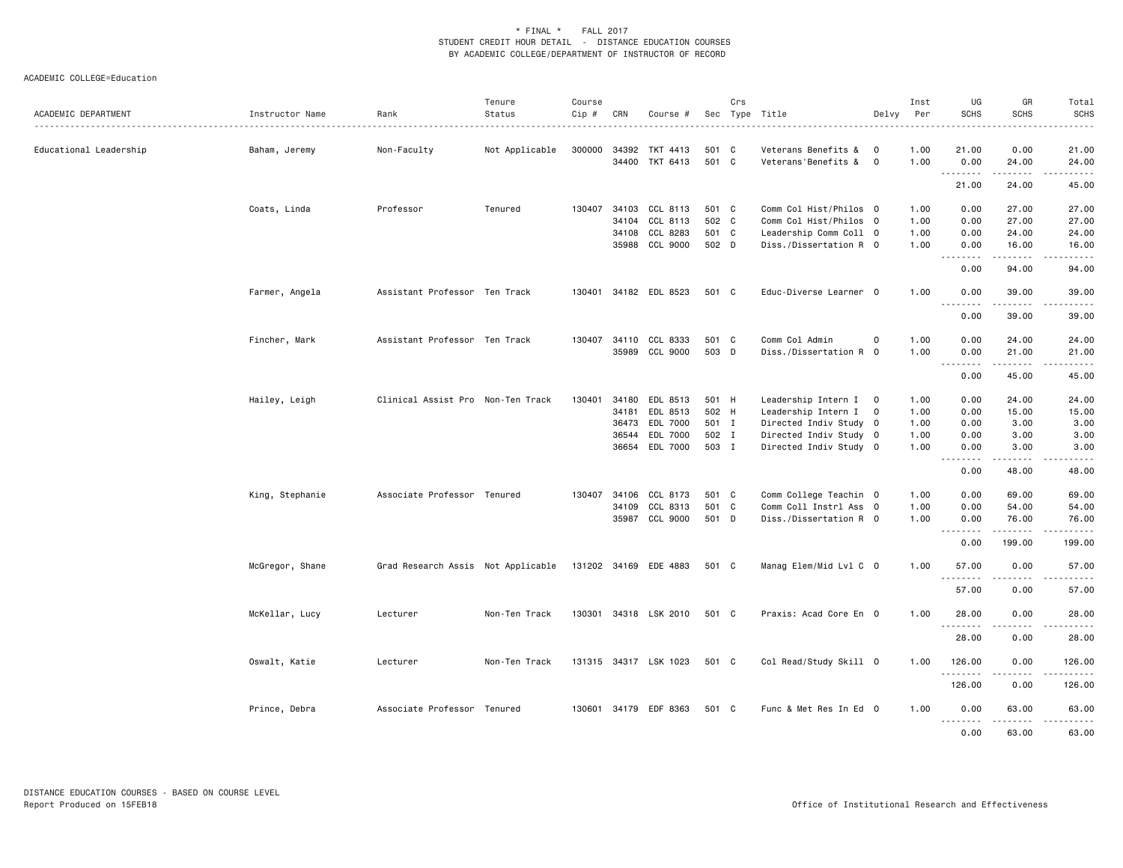| ACADEMIC DEPARTMENT    | Instructor Name | Rank                               | Tenure<br>Status | Course<br>Cip # | CRN   | Course #                   |              | Crs | Sec Type Title                             | Delvy                      | Inst<br>Per  | UG<br><b>SCHS</b>       | GR<br><b>SCHS</b> | Total<br><b>SCHS</b><br>.                                                                                                                                     |
|------------------------|-----------------|------------------------------------|------------------|-----------------|-------|----------------------------|--------------|-----|--------------------------------------------|----------------------------|--------------|-------------------------|-------------------|---------------------------------------------------------------------------------------------------------------------------------------------------------------|
| Educational Leadership | Baham, Jeremy   | Non-Faculty                        | Not Applicable   | 300000          | 34392 | TKT 4413<br>34400 TKT 6413 | 501<br>501 C | C   | Veterans Benefits &<br>Veterans'Benefits & | $\mathbf 0$<br>$\mathbf 0$ | 1.00<br>1.00 | 21.00<br>0.00           | 0.00<br>24.00     | 21.00<br>24.00                                                                                                                                                |
|                        |                 |                                    |                  |                 |       |                            |              |     |                                            |                            |              | .<br>21.00              | 24.00             | $\frac{1}{2} \left( \frac{1}{2} \right) \left( \frac{1}{2} \right) \left( \frac{1}{2} \right) \left( \frac{1}{2} \right) \left( \frac{1}{2} \right)$<br>45.00 |
|                        | Coats, Linda    | Professor                          | Tenured          | 130407          | 34103 | CCL 8113                   | 501 C        |     | Comm Col Hist/Philos 0                     |                            | 1.00         | 0.00                    | 27.00             | 27.00                                                                                                                                                         |
|                        |                 |                                    |                  |                 | 34104 | CCL 8113                   | 502 C        |     | Comm Col Hist/Philos 0                     |                            | 1.00         | 0.00                    | 27.00             | 27.00                                                                                                                                                         |
|                        |                 |                                    |                  |                 | 34108 | CCL 8283                   | 501 C        |     | Leadership Comm Coll 0                     |                            | 1.00         | 0.00                    | 24.00             | 24.00                                                                                                                                                         |
|                        |                 |                                    |                  |                 |       | 35988 CCL 9000             | 502 D        |     | Diss./Dissertation R 0                     |                            | 1.00         | 0.00<br>.               | 16.00<br>.        | 16.00<br>.                                                                                                                                                    |
|                        |                 |                                    |                  |                 |       |                            |              |     |                                            |                            |              | 0.00                    | 94.00             | 94.00                                                                                                                                                         |
|                        | Farmer, Angela  | Assistant Professor Ten Track      |                  | 130401          |       | 34182 EDL 8523             | 501 C        |     | Educ-Diverse Learner 0                     |                            | 1.00         | 0.00<br>.               | 39.00<br>.        | 39.00<br>.                                                                                                                                                    |
|                        |                 |                                    |                  |                 |       |                            |              |     |                                            |                            |              | 0.00                    | 39.00             | 39.00                                                                                                                                                         |
|                        | Fincher, Mark   | Assistant Professor Ten Track      |                  | 130407          | 34110 | CCL 8333                   | 501 C        |     | Comm Col Admin                             | $\mathbf 0$                | 1.00         | 0.00                    | 24.00             | 24.00                                                                                                                                                         |
|                        |                 |                                    |                  |                 |       | 35989 CCL 9000             | 503 D        |     | Diss./Dissertation R 0                     |                            | 1.00         | 0.00                    | 21.00             | 21.00                                                                                                                                                         |
|                        |                 |                                    |                  |                 |       |                            |              |     |                                            |                            |              | .<br>0.00               | .<br>45.00        | .<br>45.00                                                                                                                                                    |
|                        | Hailey, Leigh   | Clinical Assist Pro Non-Ten Track  |                  | 130401          | 34180 | EDL 8513                   | 501 H        |     | Leadership Intern I 0                      |                            | 1.00         | 0.00                    | 24.00             | 24.00                                                                                                                                                         |
|                        |                 |                                    |                  |                 | 34181 | EDL 8513                   | 502 H        |     | Leadership Intern I                        | $\mathbf 0$                | 1.00         | 0.00                    | 15.00             | 15.00                                                                                                                                                         |
|                        |                 |                                    |                  |                 | 36473 | EDL 7000                   | 501 I        |     | Directed Indiv Study 0                     |                            | 1.00         | 0.00                    | 3.00              | 3.00                                                                                                                                                          |
|                        |                 |                                    |                  |                 | 36544 | EDL 7000                   | 502 I        |     | Directed Indiv Study 0                     |                            | 1.00         | 0.00                    | 3.00              | 3.00                                                                                                                                                          |
|                        |                 |                                    |                  |                 |       | 36654 EDL 7000             | 503 I        |     | Directed Indiv Study 0                     |                            | 1.00         | 0.00<br>.               | 3.00<br>.         | 3.00<br>.                                                                                                                                                     |
|                        |                 |                                    |                  |                 |       |                            |              |     |                                            |                            |              | 0.00                    | 48.00             | 48.00                                                                                                                                                         |
|                        | King, Stephanie | Associate Professor Tenured        |                  | 130407          | 34106 | CCL 8173                   | 501 C        |     | Comm College Teachin 0                     |                            | 1.00         | 0.00                    | 69.00             | 69.00                                                                                                                                                         |
|                        |                 |                                    |                  |                 | 34109 | CCL 8313                   | 501 C        |     | Comm Coll Instrl Ass 0                     |                            | 1.00         | 0.00                    | 54.00             | 54.00                                                                                                                                                         |
|                        |                 |                                    |                  |                 |       | 35987 CCL 9000             | 501 D        |     | Diss./Dissertation R 0                     |                            | 1.00         | 0.00                    | 76.00             | 76.00                                                                                                                                                         |
|                        |                 |                                    |                  |                 |       |                            |              |     |                                            |                            |              | - - - - - - - -<br>0.00 | .<br>199.00       | .<br>199.00                                                                                                                                                   |
|                        | McGregor, Shane | Grad Research Assis Not Applicable |                  |                 |       | 131202 34169 EDE 4883      | 501 C        |     | Manag Elem/Mid Lvl C 0                     |                            | 1.00         | 57.00                   | 0.00              | 57.00                                                                                                                                                         |
|                        |                 |                                    |                  |                 |       |                            |              |     |                                            |                            |              | .<br>57.00              | .<br>0.00         | .<br>57.00                                                                                                                                                    |
|                        | McKellar, Lucy  | Lecturer                           | Non-Ten Track    | 130301          |       | 34318 LSK 2010             | 501 C        |     | Praxis: Acad Core En 0                     |                            | 1.00         | 28,00                   | 0.00              | 28,00                                                                                                                                                         |
|                        |                 |                                    |                  |                 |       |                            |              |     |                                            |                            |              | <u>.</u><br>28.00       | .<br>0.00         | .<br>28.00                                                                                                                                                    |
|                        | Oswalt, Katie   | Lecturer                           | Non-Ten Track    |                 |       | 131315 34317 LSK 1023      | 501 C        |     | Col Read/Study Skill 0                     |                            | 1.00         | 126.00                  | 0.00              | 126.00                                                                                                                                                        |
|                        |                 |                                    |                  |                 |       |                            |              |     |                                            |                            |              | <u>.</u><br>126.00      | 0.00              | .<br>126.00                                                                                                                                                   |
|                        | Prince, Debra   | Associate Professor Tenured        |                  | 130601          |       | 34179 EDF 8363             | 501 C        |     | Func & Met Res In Ed 0                     |                            | 1.00         | 0.00<br>.               | 63.00<br>.        | 63.00<br><u>.</u>                                                                                                                                             |
|                        |                 |                                    |                  |                 |       |                            |              |     |                                            |                            |              | 0.00                    | 63.00             | 63.00                                                                                                                                                         |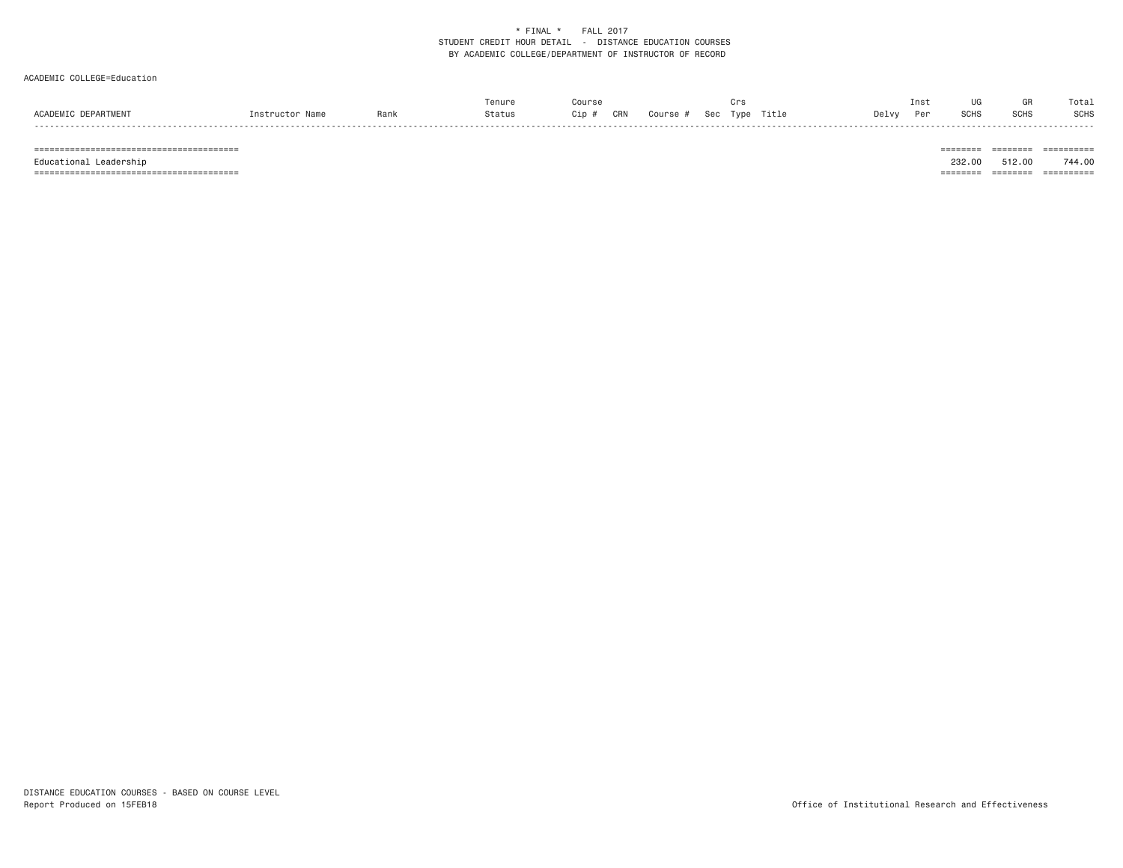#### ACADEMIC COLLEGE=Education

|                     |                 |      | Tenure | Course |                                   | Crs |       | Inst | UG          |      | Total |
|---------------------|-----------------|------|--------|--------|-----------------------------------|-----|-------|------|-------------|------|-------|
| ACADEMIC DEPARTMENT | Instructor Name | Rank | Status |        | Cip # CRN Course # Sec Type Title |     | Delvy | Per  | <b>SCHS</b> | SCHS | SCHS  |
|                     |                 |      |        |        |                                   |     |       |      |             |      |       |

======================================== ======== ======== ==========

======================================== ======== ======== ==========

 $\begin{tabular}{lllllllllllll} \multicolumn{2}{l}{{\color{red}{{\color{red}\boldsymbol{z}}}}\hspace{-0.08in}{{\color{blue}\boldsymbol{z}}}\hspace{-0.08in} & \multicolumn{2}{l}{\color{blue}\boldsymbol{z}}\hspace{-0.08in}{{\color{blue}\boldsymbol{z}}}\hspace{-0.08in}{{\color{blue}\boldsymbol{z}}}\hspace{-0.08in} & \multicolumn{2}{l}{\color{blue}\boldsymbol{z}}\hspace{-0.08in}{{\color{blue}\boldsymbol{z}}}\hspace{-0.08in}{{\color{blue}\boldsymbol{z}}}\hspace{-0.08in}{{\color{$ Educational Leadership 232.00 512.00 744.00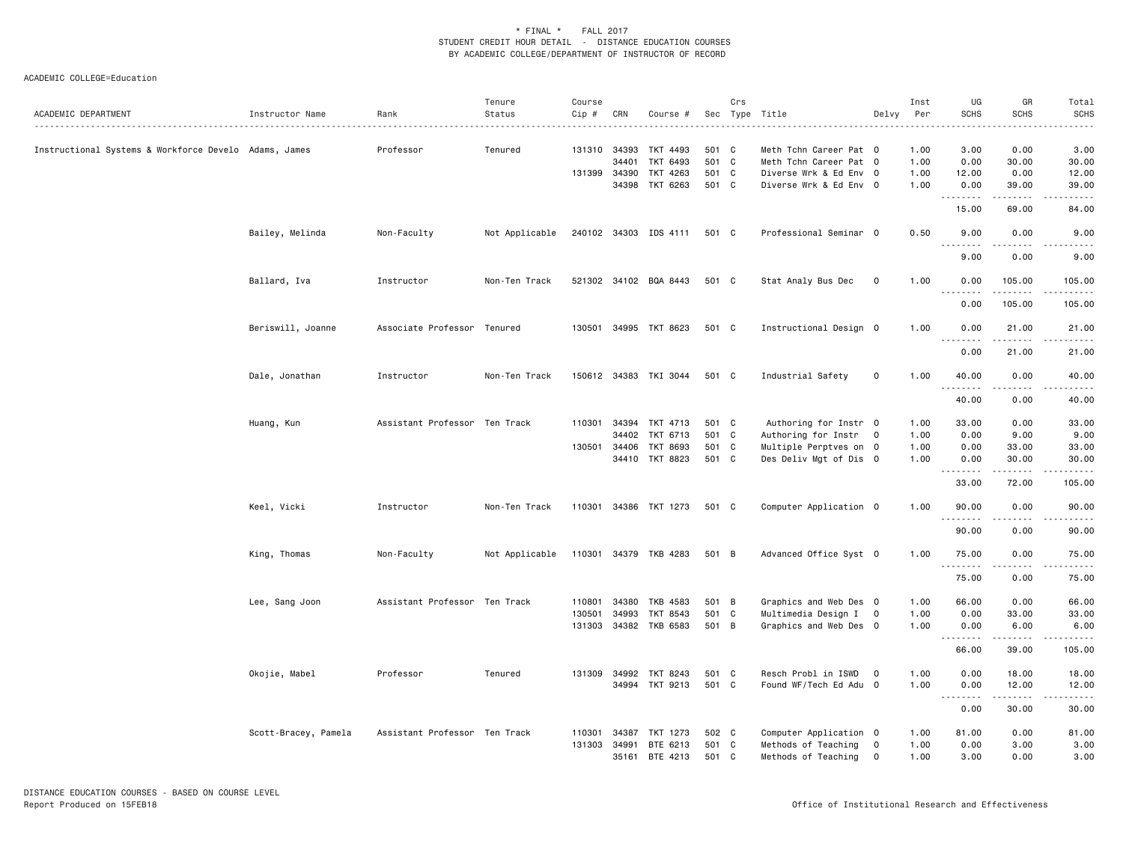| ACADEMIC DEPARTMENT                                   | Instructor Name      | Rank                          | Tenure<br>Status | Course<br>Cip # | CRN          | Course #              |       | Crs          | Sec Type Title         | Delvy                   | Inst<br>Per | UG<br><b>SCHS</b>                                                                                                                                            | GR<br><b>SCHS</b>    | Total<br><b>SCHS</b>   |
|-------------------------------------------------------|----------------------|-------------------------------|------------------|-----------------|--------------|-----------------------|-------|--------------|------------------------|-------------------------|-------------|--------------------------------------------------------------------------------------------------------------------------------------------------------------|----------------------|------------------------|
| Instructional Systems & Workforce Develo Adams, James |                      | Professor                     | Tenured          |                 | 131310 34393 | TKT 4493              | 501 C |              | Meth Tchn Career Pat 0 |                         | 1.00        | 3.00                                                                                                                                                         | 0.00                 | 3.00                   |
|                                                       |                      |                               |                  |                 | 34401        | TKT 6493              | 501 C |              | Meth Tchn Career Pat 0 |                         | 1.00        | 0.00                                                                                                                                                         | 30.00                | 30.00                  |
|                                                       |                      |                               |                  | 131399 34390    |              | TKT 4263              | 501   | C C          | Diverse Wrk & Ed Env 0 |                         | 1.00        | 12.00                                                                                                                                                        | 0.00                 | 12.00                  |
|                                                       |                      |                               |                  |                 | 34398        | TKT 6263              | 501 C |              | Diverse Wrk & Ed Env 0 |                         | 1.00        | 0.00<br>.                                                                                                                                                    | 39.00<br>$- - - - -$ | 39.00<br>$\frac{1}{2}$ |
|                                                       |                      |                               |                  |                 |              |                       |       |              |                        |                         |             | 15.00                                                                                                                                                        | 69.00                | 84.00                  |
|                                                       | Bailey, Melinda      | Non-Faculty                   | Not Applicable   |                 |              | 240102 34303 IDS 4111 | 501 C |              | Professional Seminar 0 |                         | 0.50        | 9.00<br>$\frac{1}{2} \left( \frac{1}{2} \right) \left( \frac{1}{2} \right) \left( \frac{1}{2} \right) \left( \frac{1}{2} \right) \left( \frac{1}{2} \right)$ | 0.00                 | 9.00                   |
|                                                       |                      |                               |                  |                 |              |                       |       |              |                        |                         |             | 9.00                                                                                                                                                         | 0.00                 | 9.00                   |
|                                                       | Ballard, Iva         | Instructor                    | Non-Ten Track    |                 |              | 521302 34102 BQA 8443 | 501 C |              | Stat Analy Bus Dec     | 0                       | 1.00        | 0.00<br>.                                                                                                                                                    | 105.00               | 105.00                 |
|                                                       |                      |                               |                  |                 |              |                       |       |              |                        |                         |             | 0.00                                                                                                                                                         | 105.00               | 105.00                 |
|                                                       | Beriswill, Joanne    | Associate Professor Tenured   |                  |                 |              | 130501 34995 TKT 8623 | 501 C |              | Instructional Design 0 |                         | 1.00        | 0.00<br><u>.</u>                                                                                                                                             | 21.00                | 21.00                  |
|                                                       |                      |                               |                  |                 |              |                       |       |              |                        |                         |             | 0.00                                                                                                                                                         | 21.00                | 21.00                  |
|                                                       | Dale, Jonathan       | Instructor                    | Non-Ten Track    |                 |              | 150612 34383 TKI 3044 | 501 C |              | Industrial Safety      | $\mathsf{O}\xspace$     | 1.00        | 40.00<br><u>.</u>                                                                                                                                            | 0.00<br>.            | 40.00<br>. <b>.</b> .  |
|                                                       |                      |                               |                  |                 |              |                       |       |              |                        |                         |             | 40.00                                                                                                                                                        | 0.00                 | 40.00                  |
|                                                       | Huang, Kun           | Assistant Professor Ten Track |                  | 110301          | 34394        | TKT 4713              | 501 C |              | Authoring for Instr 0  |                         | 1.00        | 33.00                                                                                                                                                        | 0.00                 | 33.00                  |
|                                                       |                      |                               |                  |                 | 34402        | TKT 6713              | 501 C |              | Authoring for Instr    | $\overline{\mathbf{0}}$ | 1.00        | 0.00                                                                                                                                                         | 9.00                 | 9.00                   |
|                                                       |                      |                               |                  |                 | 130501 34406 | TKT 8693              | 501 C |              | Multiple Perptves on 0 |                         | 1.00        | 0.00                                                                                                                                                         | 33.00                | 33.00                  |
|                                                       |                      |                               |                  |                 | 34410        | TKT 8823              | 501 C |              | Des Deliv Mgt of Dis 0 |                         | 1.00        | 0.00<br>.                                                                                                                                                    | 30.00<br>-----       | 30.00                  |
|                                                       |                      |                               |                  |                 |              |                       |       |              |                        |                         |             | 33.00                                                                                                                                                        | 72.00                | 105.00                 |
|                                                       | Keel, Vicki          | Instructor                    | Non-Ten Track    | 110301          |              | 34386 TKT 1273        | 501 C |              | Computer Application 0 |                         | 1.00        | 90.00<br>.                                                                                                                                                   | 0.00                 | 90.00                  |
|                                                       |                      |                               |                  |                 |              |                       |       |              |                        |                         |             | 90.00                                                                                                                                                        | 0.00                 | 90.00                  |
|                                                       | King, Thomas         | Non-Faculty                   | Not Applicable   |                 |              | 110301 34379 TKB 4283 | 501 B |              | Advanced Office Syst 0 |                         | 1.00        | 75.00                                                                                                                                                        | 0.00<br>.            | 75.00                  |
|                                                       |                      |                               |                  |                 |              |                       |       |              |                        |                         |             | 75.00                                                                                                                                                        | 0.00                 | 75.00                  |
|                                                       | Lee, Sang Joon       | Assistant Professor Ten Track |                  | 110801          | 34380        | TKB 4583              | 501 B |              | Graphics and Web Des 0 |                         | 1.00        | 66.00                                                                                                                                                        | 0.00                 | 66.00                  |
|                                                       |                      |                               |                  | 130501          | 34993        | TKT 8543              | 501   | $\mathbf{C}$ | Multimedia Design I 0  |                         | 1.00        | 0.00                                                                                                                                                         | 33.00                | 33.00                  |
|                                                       |                      |                               |                  |                 |              | 131303 34382 TKB 6583 | 501 B |              | Graphics and Web Des 0 |                         | 1.00        | 0.00<br>.                                                                                                                                                    | 6.00<br>.            | 6.00                   |
|                                                       |                      |                               |                  |                 |              |                       |       |              |                        |                         |             | 66.00                                                                                                                                                        | 39.00                | 105.00                 |
|                                                       | Okojie, Mabel        | Professor                     | Tenured          |                 | 131309 34992 | TKT 8243              | 501 C |              | Resch Probl in ISWD    | $\overline{0}$          | 1.00        | 0.00                                                                                                                                                         | 18.00                | 18.00                  |
|                                                       |                      |                               |                  |                 |              | 34994 TKT 9213        | 501 C |              | Found WF/Tech Ed Adu 0 |                         | 1.00        | 0.00<br>.                                                                                                                                                    | 12.00                | 12.00                  |
|                                                       |                      |                               |                  |                 |              |                       |       |              |                        |                         |             | 0.00                                                                                                                                                         | 30.00                | 30.00                  |
|                                                       | Scott-Bracey, Pamela | Assistant Professor Ten Track |                  | 110301          | 34387        | TKT 1273              | 502 C |              | Computer Application 0 |                         | 1.00        | 81.00                                                                                                                                                        | 0.00                 | 81.00                  |
|                                                       |                      |                               |                  | 131303          | 34991        | BTE 6213              | 501 C |              | Methods of Teaching    | $\overline{0}$          | 1.00        | 0.00                                                                                                                                                         | 3.00                 | 3.00                   |
|                                                       |                      |                               |                  |                 |              | 35161 BTE 4213        | 501 C |              | Methods of Teaching    | $\mathbf 0$             | 1.00        | 3.00                                                                                                                                                         | 0.00                 | 3.00                   |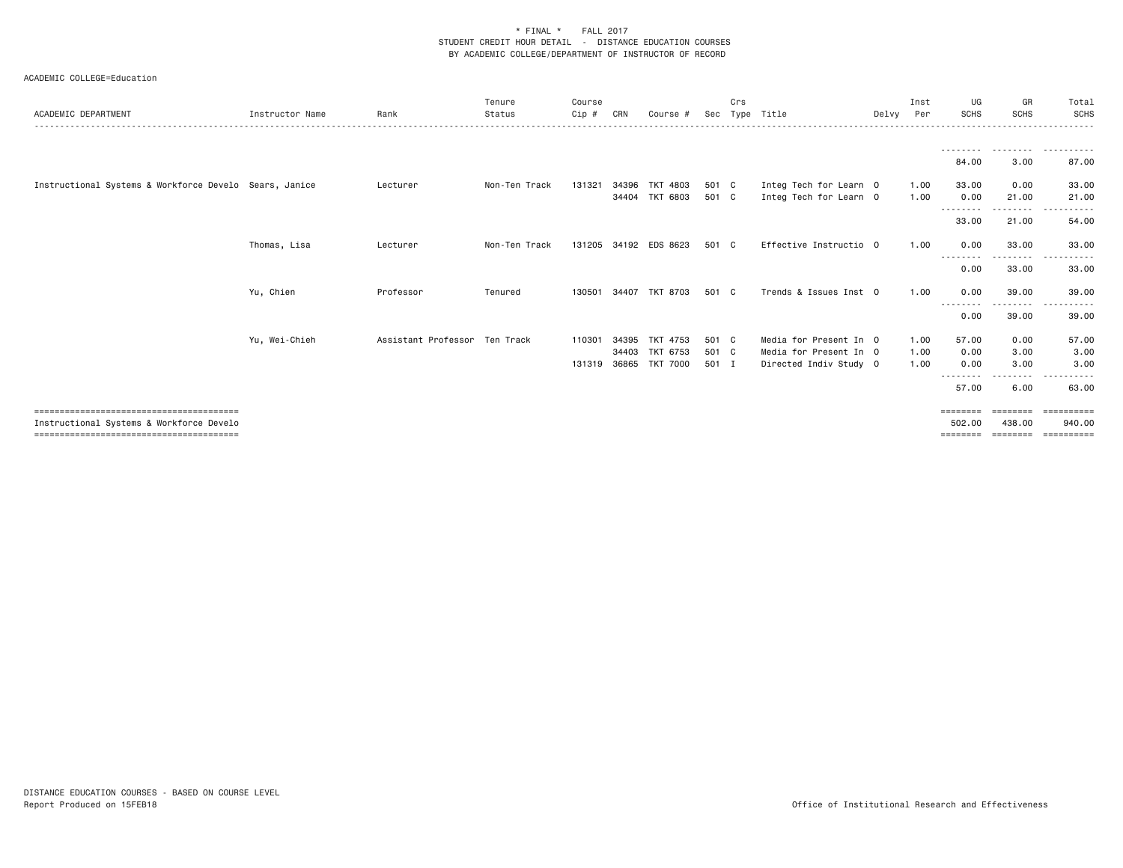| ACADEMIC DEPARTMENT                                    | Instructor Name | Rank                          | Tenure<br>Status | Course<br>Cip # | CRN   | Course #                    | Sec            | Crs          | Type Title                                       | Delvy Per | Inst         | UG<br><b>SCHS</b>              | GR<br><b>SCHS</b>              | Total<br><b>SCHS</b>              |
|--------------------------------------------------------|-----------------|-------------------------------|------------------|-----------------|-------|-----------------------------|----------------|--------------|--------------------------------------------------|-----------|--------------|--------------------------------|--------------------------------|-----------------------------------|
|                                                        |                 |                               |                  |                 |       |                             |                |              |                                                  |           |              |                                |                                |                                   |
|                                                        |                 |                               |                  |                 |       |                             |                |              |                                                  |           |              | 84.00                          | 3.00                           | 87.00                             |
| Instructional Systems & Workforce Develo Sears, Janice |                 | Lecturer                      | Non-Ten Track    | 131321          | 34396 | TKT 4803                    | 501 C          |              | Integ Tech for Learn 0                           |           | 1.00         | 33.00                          | 0.00                           | 33.00                             |
|                                                        |                 |                               |                  |                 | 34404 | TKT 6803                    | 501 C          |              | Integ Tech for Learn 0                           |           | 1.00         | 0.00<br>- - - - - - - -        | 21.00                          | 21.00                             |
|                                                        |                 |                               |                  |                 |       |                             |                |              |                                                  |           |              | 33.00                          | 21.00                          | 54.00                             |
|                                                        | Thomas, Lisa    | Lecturer                      | Non-Ten Track    |                 |       | 131205 34192 EDS 8623       | 501            | $\mathbf{C}$ | Effective Instructio 0                           |           | 1.00         | 0.00<br>--------               | 33.00<br>--------              | 33.00<br>.                        |
|                                                        |                 |                               |                  |                 |       |                             |                |              |                                                  |           |              | 0.00                           | 33.00                          | 33.00                             |
|                                                        | Yu, Chien       | Professor                     | Tenured          | 130501          | 34407 | TKT 8703                    | 501            | $\mathbf{C}$ | Trends & Issues Inst 0                           |           | 1.00         | 0.00<br>--------               | 39.00<br>-----                 | 39.00                             |
|                                                        |                 |                               |                  |                 |       |                             |                |              |                                                  |           |              | 0.00                           | 39.00                          | 39.00                             |
|                                                        | Yu, Wei-Chieh   | Assistant Professor Ten Track |                  | 110301          | 34395 | TKT 4753                    | 501 C          |              | Media for Present In 0                           |           | 1.00         | 57.00                          | 0.00                           | 57.00                             |
|                                                        |                 |                               |                  | 131319 36865    | 34403 | TKT 6753<br><b>TKT 7000</b> | 501 C<br>501 I |              | Media for Present In 0<br>Directed Indiv Study 0 |           | 1.00<br>1.00 | 0.00<br>0.00                   | 3.00<br>3.00                   | 3.00<br>3.00                      |
|                                                        |                 |                               |                  |                 |       |                             |                |              |                                                  |           |              | 57.00                          | 6.00                           | 63.00                             |
|                                                        |                 |                               |                  |                 |       |                             |                |              |                                                  |           |              |                                |                                |                                   |
| Instructional Systems & Workforce Develo               |                 |                               |                  |                 |       |                             |                |              |                                                  |           |              | ========<br>502.00<br>======== | ========<br>438.00<br>======== | EEEEEEEEE<br>940.00<br>========== |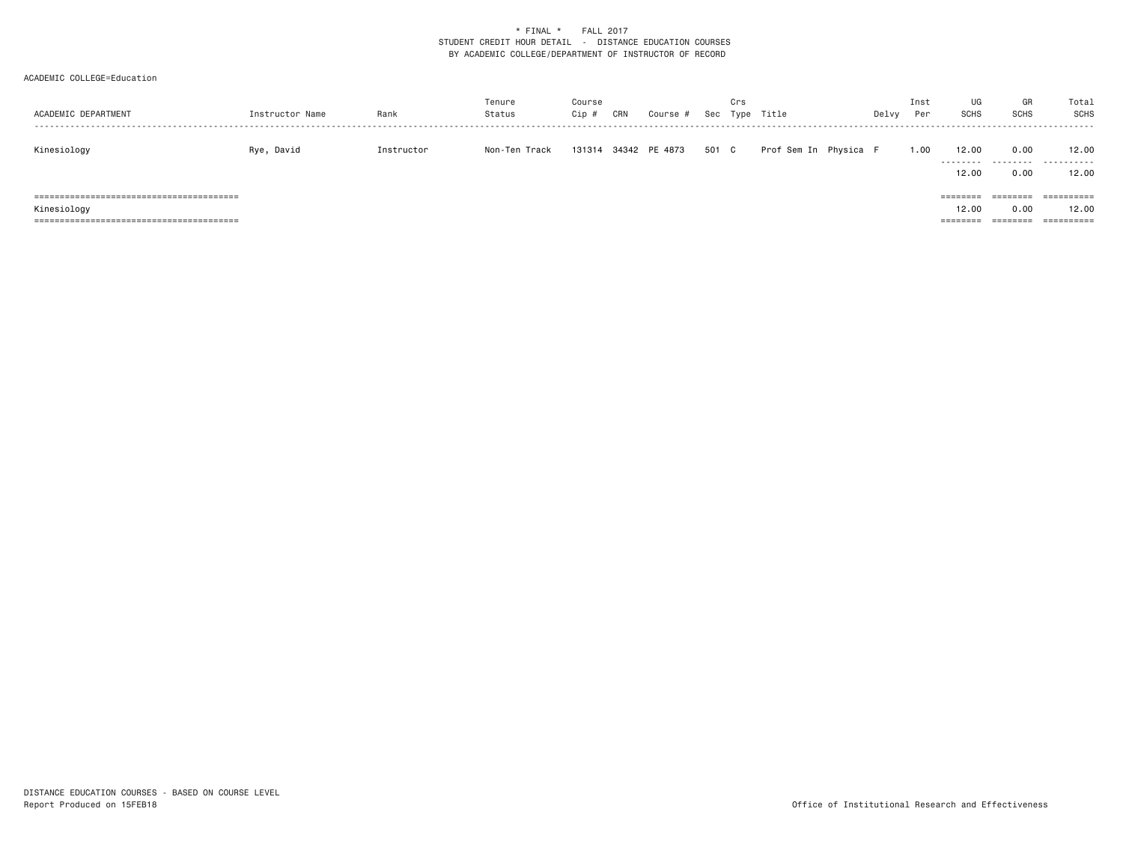| ACADEMIC DEPARTMENT | Instructor Name | Rank       | Tenure<br>Status | Course<br>Cip# | CRN | Course #             |       | Crs | Sec Type Title        | Delvy | Inst<br>Per | UG<br>SCHS                    | GR<br>SCHS                   | Total<br>SCHS                     |
|---------------------|-----------------|------------|------------------|----------------|-----|----------------------|-------|-----|-----------------------|-------|-------------|-------------------------------|------------------------------|-----------------------------------|
| Kinesiology         | Rye, David      | Instructor | Non-Ten Track    |                |     | 131314 34342 PE 4873 | 501 C |     | Prof Sem In Physica F |       | 1.00        | 12.00<br>.<br>12.00           | 0.00<br>.<br>0.00            | 12.00<br>.<br>12.00               |
| Kinesiology         |                 |            |                  |                |     |                      |       |     |                       |       |             | ========<br>12.00<br>======== | ========<br>0.00<br>======== | ==========<br>12.00<br>========== |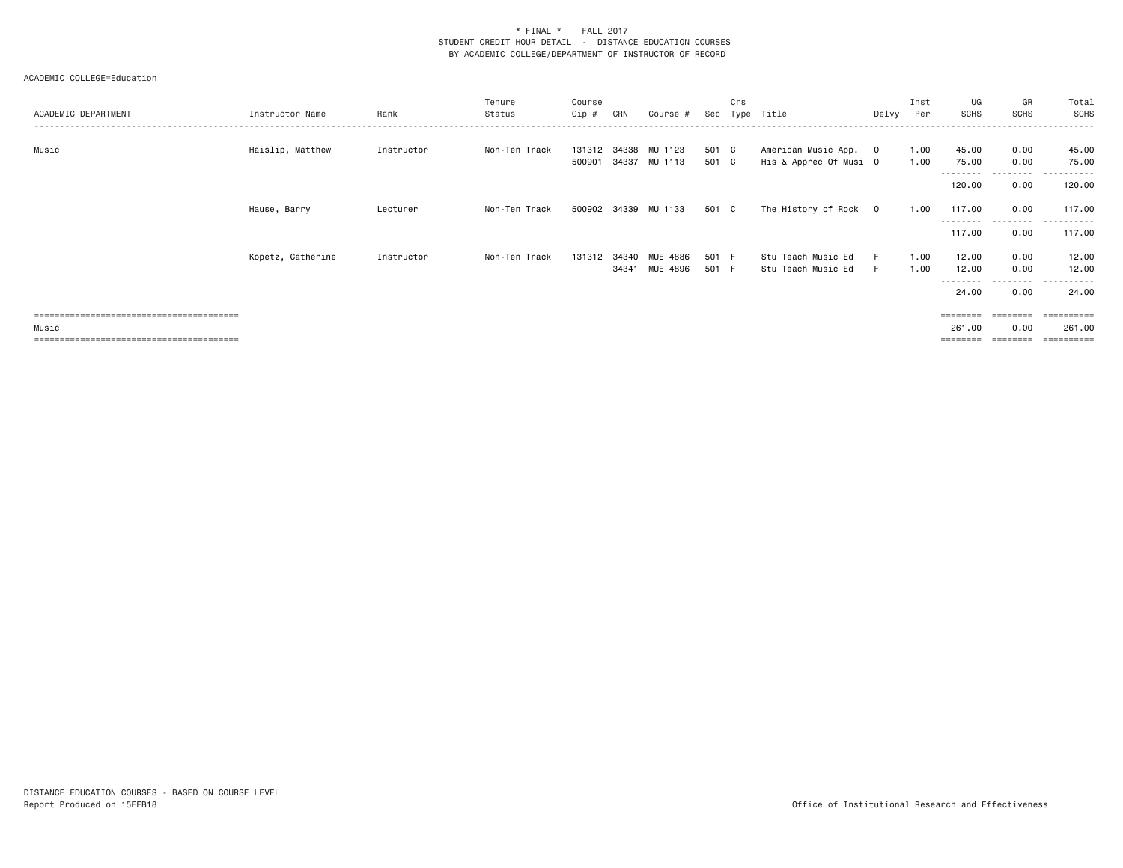| ACADEMIC DEPARTMENT | Instructor Name   | Rank       | Tenure<br>Status | Course<br>Cip # | CRN | Course #                              | Sec            | Crs | Type Title                                      | Delvy | Inst<br>Per  | UG<br>SCHS                 | GR<br><b>SCHS</b>        | Total<br>SCHS                           |
|---------------------|-------------------|------------|------------------|-----------------|-----|---------------------------------------|----------------|-----|-------------------------------------------------|-------|--------------|----------------------------|--------------------------|-----------------------------------------|
| Music               | Haislip, Matthew  | Instructor | Non-Ten Track    | 500901          |     | 131312 34338 MU 1123<br>34337 MU 1113 | 501 C<br>501 C |     | American Music App. 0<br>His & Apprec Of Musi O |       | 1.00<br>1.00 | 45.00<br>75.00             | 0.00<br>0.00             | 45.00<br>75.00                          |
|                     |                   |            |                  |                 |     |                                       |                |     |                                                 |       |              | <u>.</u><br>120.00         | .<br>0.00                | ----------<br>120.00                    |
|                     | Hause, Barry      | Lecturer   | Non-Ten Track    |                 |     | 500902 34339 MU 1133                  | 501 C          |     | The History of Rock 0                           |       | 1.00         | 117.00                     | 0.00                     | 117.00                                  |
|                     |                   |            |                  |                 |     |                                       |                |     |                                                 |       |              | 117.00                     | ---------<br>0.00        | ------<br>117.00                        |
|                     | Kopetz, Catherine | Instructor | Non-Ten Track    | 131312          |     | 34340 MUE 4886<br>34341 MUE 4896      | 501 F<br>501 F |     | Stu Teach Music Ed<br>Stu Teach Music Ed        | F.    | 1.00<br>1.00 | 12.00<br>12.00<br>-------- | 0.00<br>0.00<br>-------- | 12.00<br>12.00<br>. <b>.</b><br>$- - -$ |
|                     |                   |            |                  |                 |     |                                       |                |     |                                                 |       |              | 24.00                      | 0.00                     | 24.00                                   |
|                     |                   |            |                  |                 |     |                                       |                |     |                                                 |       |              | ========                   | ========                 | ==========                              |
| Music               |                   |            |                  |                 |     |                                       |                |     |                                                 |       |              | 261.00                     | 0.00                     | 261.00                                  |
|                     |                   |            |                  |                 |     |                                       |                |     |                                                 |       |              | ========                   | ========                 | ==========                              |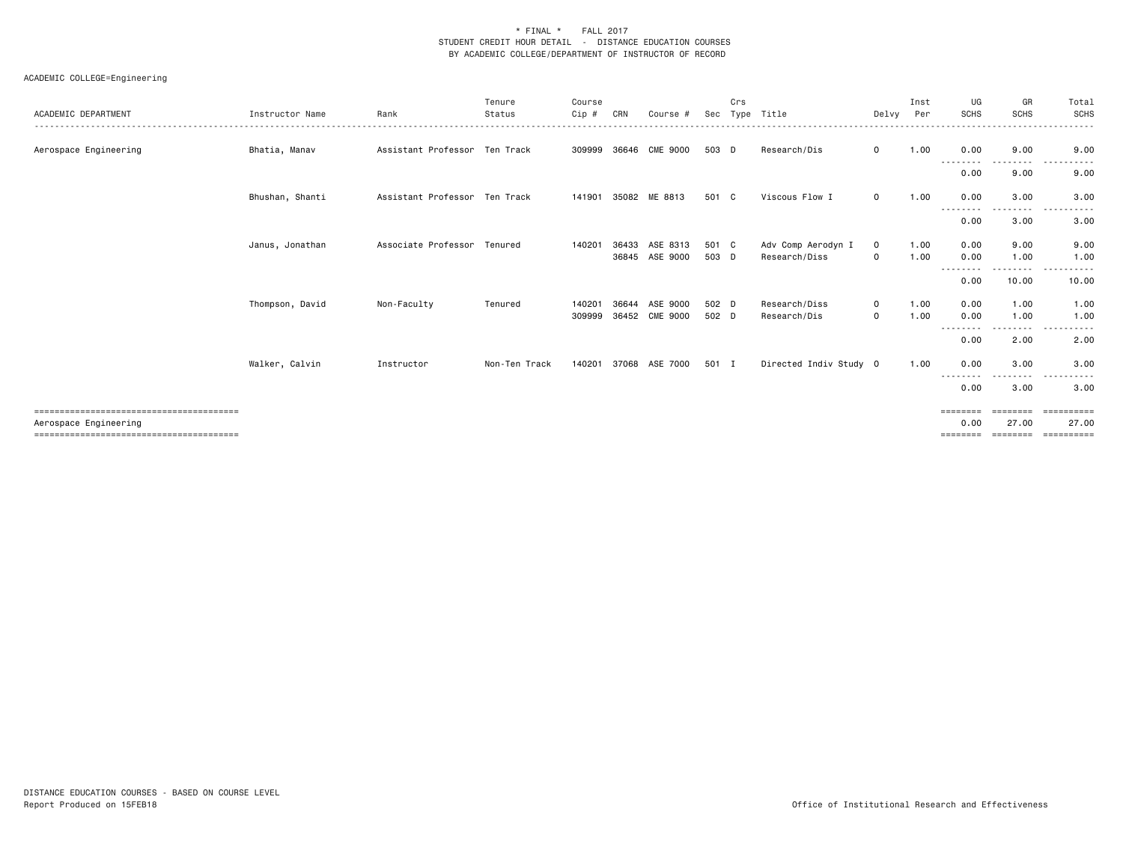| ACADEMIC DEPARTMENT   | Instructor Name | Rank                          | Tenure<br>Status | Course<br>Cip #  | CRN            | Course #                    | Sec            | Crs | Type Title                          | Delvy                        | Inst<br>Per  | UG<br><b>SCHS</b>                     | GR<br><b>SCHS</b>             | Total<br><b>SCHS</b>         |
|-----------------------|-----------------|-------------------------------|------------------|------------------|----------------|-----------------------------|----------------|-----|-------------------------------------|------------------------------|--------------|---------------------------------------|-------------------------------|------------------------------|
| Aerospace Engineering | Bhatia, Manav   | Assistant Professor Ten Track |                  | 309999           | 36646          | CME 9000                    | 503 D          |     | Research/Dis                        | $\mathbf{O}$                 | 1.00         | 0.00                                  | .<br>9.00                     | . <b>.</b><br>9.00           |
|                       |                 |                               |                  |                  |                |                             |                |     |                                     |                              |              | --------<br>0.00                      | --------<br>9.00              | $\cdots$<br>------<br>9.00   |
|                       | Bhushan, Shanti | Assistant Professor Ten Track |                  | 141901           |                | 35082 ME 8813               | 501 C          |     | Viscous Flow I                      | $\mathbf{O}$                 | 1.00         | 0.00                                  | 3.00                          | 3.00                         |
|                       |                 |                               |                  |                  |                |                             |                |     |                                     |                              |              | ----<br>0.00                          | ----<br>3.00                  | 3.00                         |
|                       | Janus, Jonathan | Associate Professor Tenured   |                  | 140201           | 36433          | ASE 8313<br>36845 ASE 9000  | 501 C<br>503 D |     | Adv Comp Aerodyn I<br>Research/Diss | $\mathbf 0$<br>$\mathsf{o}$  | 1.00<br>1.00 | 0.00<br>0.00                          | 9.00<br>1.00                  | 9.00<br>1.00                 |
|                       |                 |                               |                  |                  |                |                             |                |     |                                     |                              |              | --------<br>0.00                      | .<br>10.00                    | ------<br>$\cdots$<br>10.00  |
|                       | Thompson, David | Non-Faculty                   | Tenured          | 140201<br>309999 | 36644<br>36452 | ASE 9000<br><b>CME 9000</b> | 502 D<br>502 D |     | Research/Diss<br>Research/Dis       | $\mathbf{O}$<br>$\mathbf{O}$ | 1.00<br>1.00 | 0.00<br>0.00<br><u>.</u>              | 1.00<br>1.00<br>$\frac{1}{2}$ | 1.00<br>1.00<br>. <b>.</b> . |
|                       |                 |                               |                  |                  |                |                             |                |     |                                     |                              |              | 0.00                                  | 2.00                          | 2.00                         |
|                       | Walker, Calvin  | Instructor                    | Non-Ten Track    | 140201           | 37068          | ASE 7000                    | 501 I          |     | Directed Indiv Study 0              |                              | 1.00         | 0.00                                  | 3.00                          | 3.00                         |
|                       |                 |                               |                  |                  |                |                             |                |     |                                     |                              |              | --------<br>0.00                      | 3.00                          | 3.00                         |
| Aerospace Engineering |                 |                               |                  |                  |                |                             |                |     |                                     |                              |              | ========<br>0.00<br>$=$ = = = = = = = | ========<br>27.00<br>======== | ==========<br>27.00          |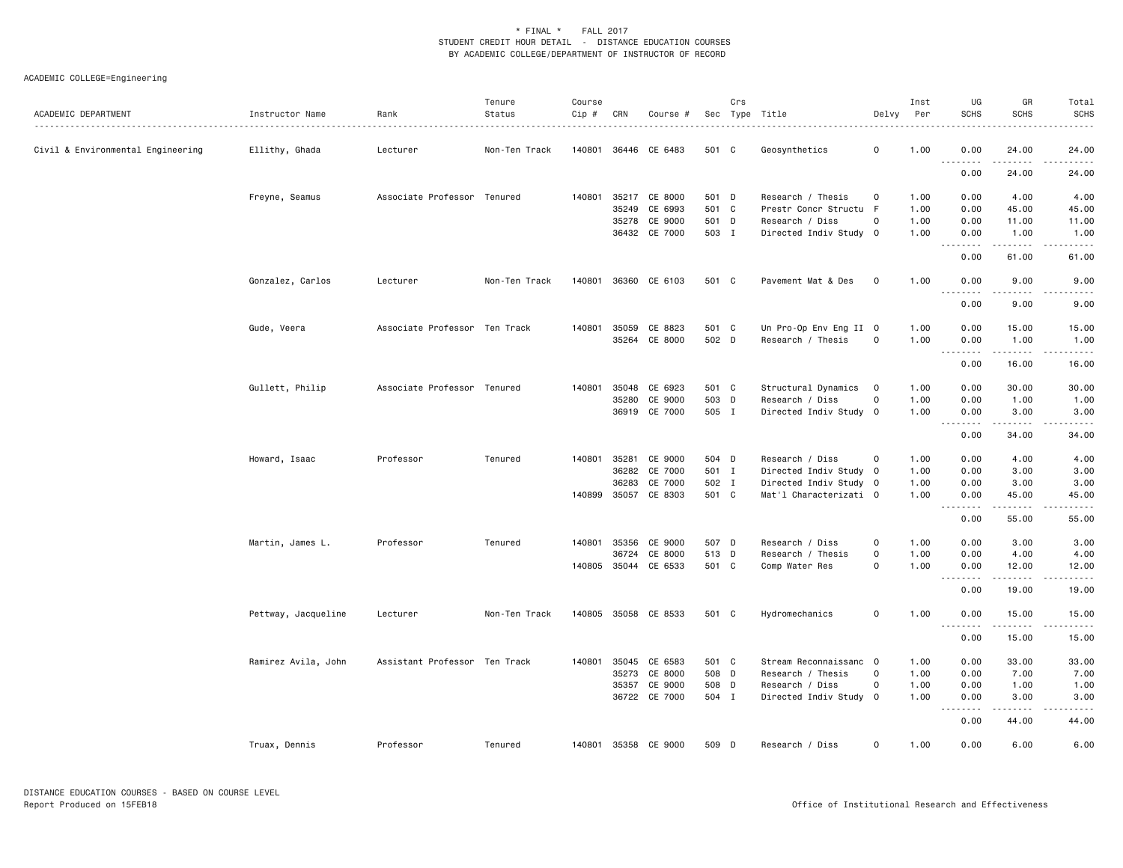| ACADEMIC DEPARTMENT               | Instructor Name     | Rank                          | Tenure<br>Status | Course<br>$Cip \#$ | CRN          | Course #             |       | Crs | Sec Type Title         | Delvy       | Inst<br>Per | UG<br>SCHS                                                  | GR<br>SCHS                                                                                                                                                    | Total<br>SCHS |
|-----------------------------------|---------------------|-------------------------------|------------------|--------------------|--------------|----------------------|-------|-----|------------------------|-------------|-------------|-------------------------------------------------------------|---------------------------------------------------------------------------------------------------------------------------------------------------------------|---------------|
| Civil & Environmental Engineering | Ellithy, Ghada      | Lecturer                      | Non-Ten Track    |                    |              | 140801 36446 CE 6483 | 501 C |     | Geosynthetics          | $\mathbf 0$ | 1.00        | 0.00<br>.                                                   | 24.00<br>. <u>.</u>                                                                                                                                           | 24.00         |
|                                   |                     |                               |                  |                    |              |                      |       |     |                        |             |             | 0.00                                                        | 24.00                                                                                                                                                         | 24.00         |
|                                   | Freyne, Seamus      | Associate Professor Tenured   |                  | 140801             |              | 35217 CE 8000        | 501 D |     | Research / Thesis      | 0           | 1.00        | 0.00                                                        | 4.00                                                                                                                                                          | 4.00          |
|                                   |                     |                               |                  |                    | 35249        | CE 6993              | 501 C |     | Prestr Concr Structu   | - F         | 1.00        | 0.00                                                        | 45.00                                                                                                                                                         | 45.00         |
|                                   |                     |                               |                  |                    |              | 35278 CE 9000        | 501 D |     | Research / Diss        | 0           | 1.00        | 0.00                                                        | 11.00                                                                                                                                                         | 11.00         |
|                                   |                     |                               |                  |                    |              | 36432 CE 7000        | 503 I |     | Directed Indiv Study 0 |             | 1.00        | 0.00                                                        | 1.00                                                                                                                                                          | 1.00          |
|                                   |                     |                               |                  |                    |              |                      |       |     |                        |             |             | .<br>0.00                                                   | 61.00                                                                                                                                                         | 61.00         |
|                                   | Gonzalez, Carlos    | Lecturer                      | Non-Ten Track    | 140801             |              | 36360 CE 6103        | 501 C |     | Pavement Mat & Des     | $\mathbf 0$ | 1.00        | 0.00<br>$\sim$ $\sim$ $\sim$<br>$\sim$ $\sim$ $\sim$ $\sim$ | 9.00<br>$- - - -$                                                                                                                                             | 9.00          |
|                                   |                     |                               |                  |                    |              |                      |       |     |                        |             |             | 0.00                                                        | 9.00                                                                                                                                                          | 9.00          |
|                                   | Gude, Veera         | Associate Professor Ten Track |                  | 140801             | 35059        | CE 8823              | 501 C |     | Un Pro-Op Env Eng II 0 |             | 1.00        | 0.00                                                        | 15.00                                                                                                                                                         | 15.00         |
|                                   |                     |                               |                  |                    |              | 35264 CE 8000        | 502 D |     | Research / Thesis      | $\mathbf 0$ | 1.00        | 0.00                                                        | 1.00                                                                                                                                                          | 1.00          |
|                                   |                     |                               |                  |                    |              |                      |       |     |                        |             |             | 0.00                                                        | 16.00                                                                                                                                                         | 16.00         |
|                                   |                     |                               |                  |                    |              |                      |       |     |                        |             |             |                                                             |                                                                                                                                                               |               |
|                                   | Gullett, Philip     | Associate Professor Tenured   |                  | 140801             | 35048        | CE 6923              | 501 C |     | Structural Dynamics    | $\circ$     | 1.00        | 0.00                                                        | 30.00                                                                                                                                                         | 30.00         |
|                                   |                     |                               |                  |                    | 35280        | CE 9000              | 503 D |     | Research / Diss        | $\circ$     | 1.00        | 0.00                                                        | 1.00                                                                                                                                                          | 1.00          |
|                                   |                     |                               |                  |                    |              | 36919 CE 7000        | 505 I |     | Directed Indiv Study 0 |             | 1.00        | 0.00<br>.                                                   | 3.00                                                                                                                                                          | 3.00          |
|                                   |                     |                               |                  |                    |              |                      |       |     |                        |             |             | 0.00                                                        | 34.00                                                                                                                                                         | 34.00         |
|                                   | Howard, Isaac       | Professor                     | Tenured          |                    | 140801 35281 | CE 9000              | 504 D |     | Research / Diss        | $\Omega$    | 1.00        | 0.00                                                        | 4.00                                                                                                                                                          | 4.00          |
|                                   |                     |                               |                  |                    | 36282        | CE 7000              | 501 I |     | Directed Indiv Study 0 |             | 1.00        | 0.00                                                        | 3.00                                                                                                                                                          | 3.00          |
|                                   |                     |                               |                  |                    | 36283        | CE 7000              | 502 I |     | Directed Indiv Study 0 |             | 1.00        | 0.00                                                        | 3.00                                                                                                                                                          | 3.00          |
|                                   |                     |                               |                  |                    |              | 140899 35057 CE 8303 | 501 C |     | Mat'l Characterizati 0 |             | 1.00        | 0.00                                                        | 45.00<br>$\frac{1}{2} \left( \frac{1}{2} \right) \left( \frac{1}{2} \right) \left( \frac{1}{2} \right) \left( \frac{1}{2} \right) \left( \frac{1}{2} \right)$ | 45.00         |
|                                   |                     |                               |                  |                    |              |                      |       |     |                        |             |             | .<br>0.00                                                   | 55.00                                                                                                                                                         | 55.00         |
|                                   | Martin, James L.    | Professor                     | Tenured          | 140801             | 35356        | CE 9000              | 507 D |     | Research / Diss        | 0           | 1.00        | 0.00                                                        | 3.00                                                                                                                                                          | 3.00          |
|                                   |                     |                               |                  |                    | 36724        | CE 8000              | 513 D |     | Research / Thesis      | $\circ$     | 1.00        | 0.00                                                        | 4.00                                                                                                                                                          | 4.00          |
|                                   |                     |                               |                  |                    |              | 140805 35044 CE 6533 | 501 C |     | Comp Water Res         | $\Omega$    | 1.00        | 0.00                                                        | 12.00                                                                                                                                                         | 12.00<br>.    |
|                                   |                     |                               |                  |                    |              |                      |       |     |                        |             |             | .<br>0.00                                                   | .<br>19.00                                                                                                                                                    | 19.00         |
|                                   | Pettway, Jacqueline | Lecturer                      | Non-Ten Track    |                    |              | 140805 35058 CE 8533 | 501 C |     | Hydromechanics         | $\mathbf 0$ | 1.00        | 0.00                                                        | 15.00                                                                                                                                                         | 15.00         |
|                                   |                     |                               |                  |                    |              |                      |       |     |                        |             |             | .<br>0.00                                                   | 15.00                                                                                                                                                         | 15.00         |
|                                   | Ramirez Avila, John | Assistant Professor Ten Track |                  | 140801             | 35045        | CE 6583              | 501 C |     | Stream Reconnaissanc 0 |             | 1.00        | 0.00                                                        | 33.00                                                                                                                                                         | 33.00         |
|                                   |                     |                               |                  |                    | 35273        | CE 8000              | 508 D |     | Research / Thesis      | 0           | 1.00        | 0.00                                                        | 7.00                                                                                                                                                          | 7.00          |
|                                   |                     |                               |                  |                    | 35357        | CE 9000              | 508 D |     | Research / Diss        | $\Omega$    | 1.00        | 0.00                                                        | 1.00                                                                                                                                                          | 1.00          |
|                                   |                     |                               |                  |                    |              | 36722 CE 7000        | 504 I |     | Directed Indiv Study 0 |             | 1.00        | 0.00                                                        | 3.00                                                                                                                                                          | 3.00          |
|                                   |                     |                               |                  |                    |              |                      |       |     |                        |             |             | $\omega$ $\omega$ $\omega$<br>.<br>0.00                     | 44.00                                                                                                                                                         | 44.00         |
|                                   | Truax, Dennis       | Professor                     | Tenured          |                    |              | 140801 35358 CE 9000 | 509 D |     | Research / Diss        | $\mathbf 0$ | 1.00        | 0.00                                                        | 6.00                                                                                                                                                          | 6.00          |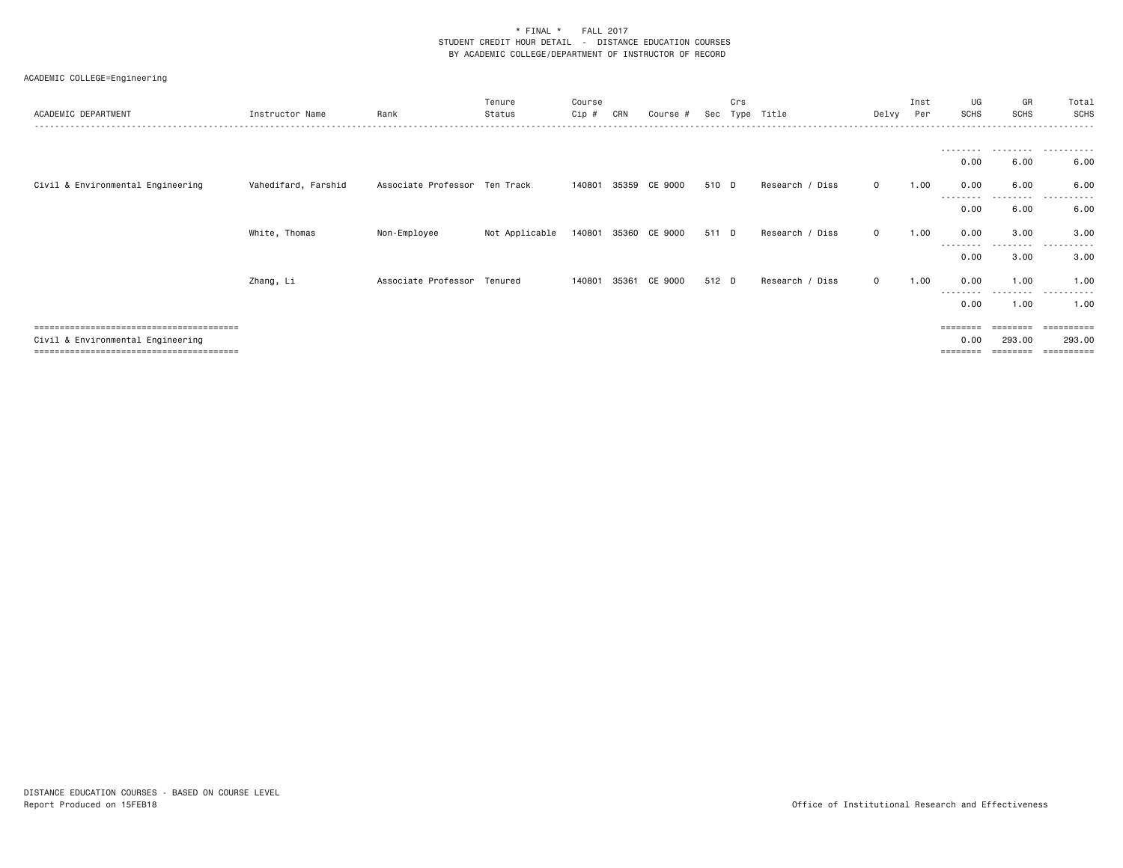| ACADEMIC DEPARTMENT               | Instructor Name     | Rank                          | Tenure<br>Status | Course<br>Cip # | CRN   | Course # | Sec   | Crs | Type Title      | Delvy        | Inst<br>Per | UG<br><b>SCHS</b>         | GR<br><b>SCHS</b>  | Total<br>SCHS                  |
|-----------------------------------|---------------------|-------------------------------|------------------|-----------------|-------|----------|-------|-----|-----------------|--------------|-------------|---------------------------|--------------------|--------------------------------|
|                                   |                     |                               |                  |                 |       |          |       |     |                 |              |             | --------                  | .                  | $  -$                          |
|                                   |                     |                               |                  |                 |       |          |       |     |                 |              |             | 0.00                      | 6.00               | 6.00                           |
| Civil & Environmental Engineering | Vahedifard, Farshid | Associate Professor Ten Track |                  | 140801          | 35359 | CE 9000  | 510 D |     | Research / Diss | $\mathbf{0}$ | 1.00        | 0.00<br>--------          | 6.00<br>.          | 6.00<br>$- - -$<br>.           |
|                                   |                     |                               |                  |                 |       |          |       |     |                 |              |             | 0.00                      | 6.00               | 6.00                           |
|                                   | White, Thomas       | Non-Employee                  | Not Applicable   | 140801          | 35360 | CE 9000  | 511 D |     | Research / Diss | $\circ$      | 1.00        | 0.00                      | 3.00               | 3.00                           |
|                                   |                     |                               |                  |                 |       |          |       |     |                 |              |             | --------<br>0.00          | ---------<br>3.00  | .<br>3.00                      |
|                                   | Zhang, Li           | Associate Professor Tenured   |                  | 140801          | 35361 | CE 9000  | 512 D |     | Research / Diss | $\circ$      | 1.00        | 0.00                      | 1.00               | 1.00                           |
|                                   |                     |                               |                  |                 |       |          |       |     |                 |              |             | --------<br>0.00          | ---------<br>1.00  | .<br>1.00                      |
| Civil & Environmental Engineering |                     |                               |                  |                 |       |          |       |     |                 |              |             | $=$ = = = = = = =<br>0.00 | ========<br>293.00 | ==========<br>293.00<br>====== |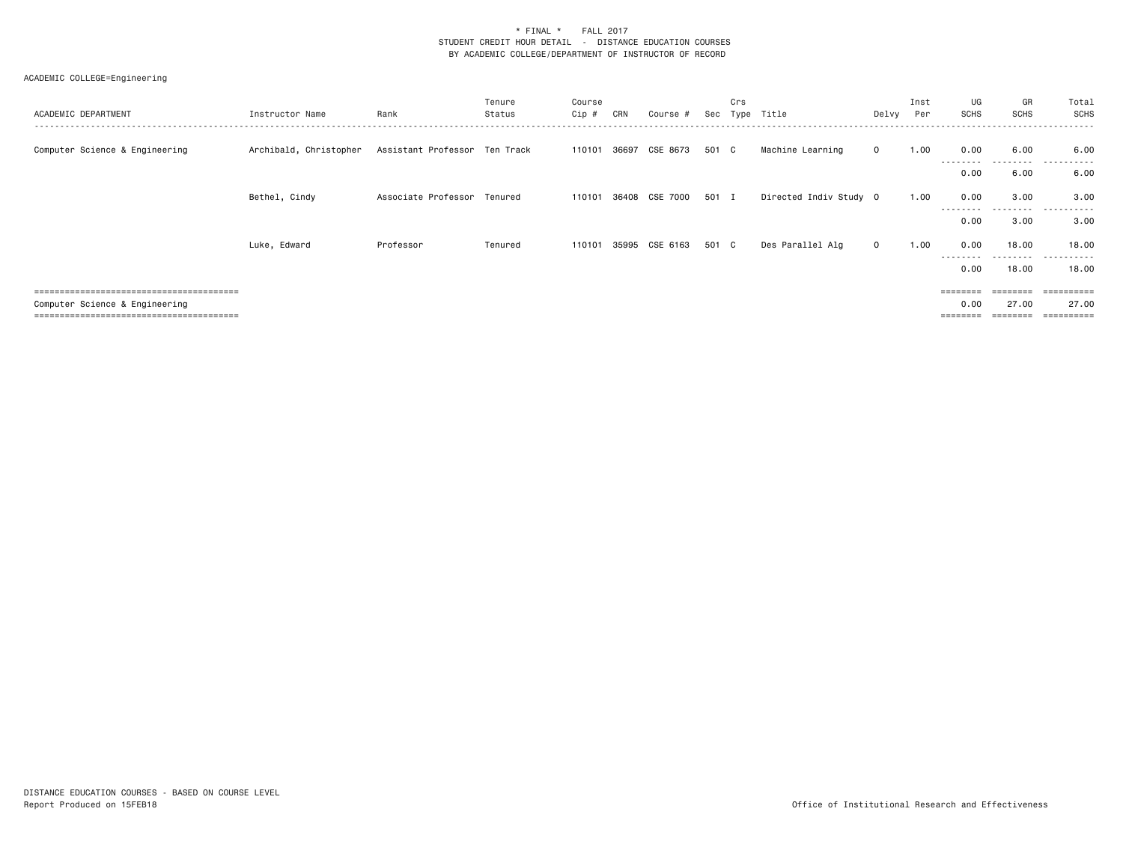| ACADEMIC DEPARTMENT                 | Instructor Name                                      | Rank                        | Tenure<br>Status | Course<br>Cip # | CRN | Course #              | Sec   | Crs<br>Type | Title                  | Delvy        | Inst<br>Per | UG<br>SCHS        | GR<br>SCHS         | Total<br>SCHS |
|-------------------------------------|------------------------------------------------------|-----------------------------|------------------|-----------------|-----|-----------------------|-------|-------------|------------------------|--------------|-------------|-------------------|--------------------|---------------|
| Computer Science & Engineering      | Archibald, Christopher Assistant Professor Ten Track |                             |                  |                 |     | 110101 36697 CSE 8673 | 501 C |             | Machine Learning       | $\mathbf{0}$ | 1.00        | 0.00<br>--------- | 6.00<br>---------  | 6.00<br>.     |
|                                     |                                                      |                             |                  |                 |     |                       |       |             |                        |              |             | 0.00              | 6.00               | 6.00          |
|                                     | Bethel, Cindy                                        | Associate Professor Tenured |                  | 110101          |     | 36408 CSE 7000 501 I  |       |             | Directed Indiv Study 0 |              | 1.00        | 0.00<br>--------  | 3.00<br>------     | 3.00<br>.     |
|                                     |                                                      |                             |                  |                 |     |                       |       |             |                        |              |             | 0.00              | 3.00               | 3.00          |
|                                     | Luke, Edward                                         | Professor                   | Tenured          | 110101          |     | 35995 CSE 6163        | 501 C |             | Des Parallel Alg       | $\mathbf{0}$ | 1.00        | 0.00<br>--------  | 18.00<br>--------- | 18.00<br>.    |
|                                     |                                                      |                             |                  |                 |     |                       |       |             |                        |              |             | 0.00              | 18,00              | 18.00         |
|                                     |                                                      |                             |                  |                 |     |                       |       |             |                        |              |             |                   |                    | ======        |
| Computer Science & Engineering      |                                                      |                             |                  |                 |     |                       |       |             |                        |              |             | 0.00              | 27.00              | 27.00         |
| ;================================== |                                                      |                             |                  |                 |     |                       |       |             |                        |              |             |                   |                    | ========      |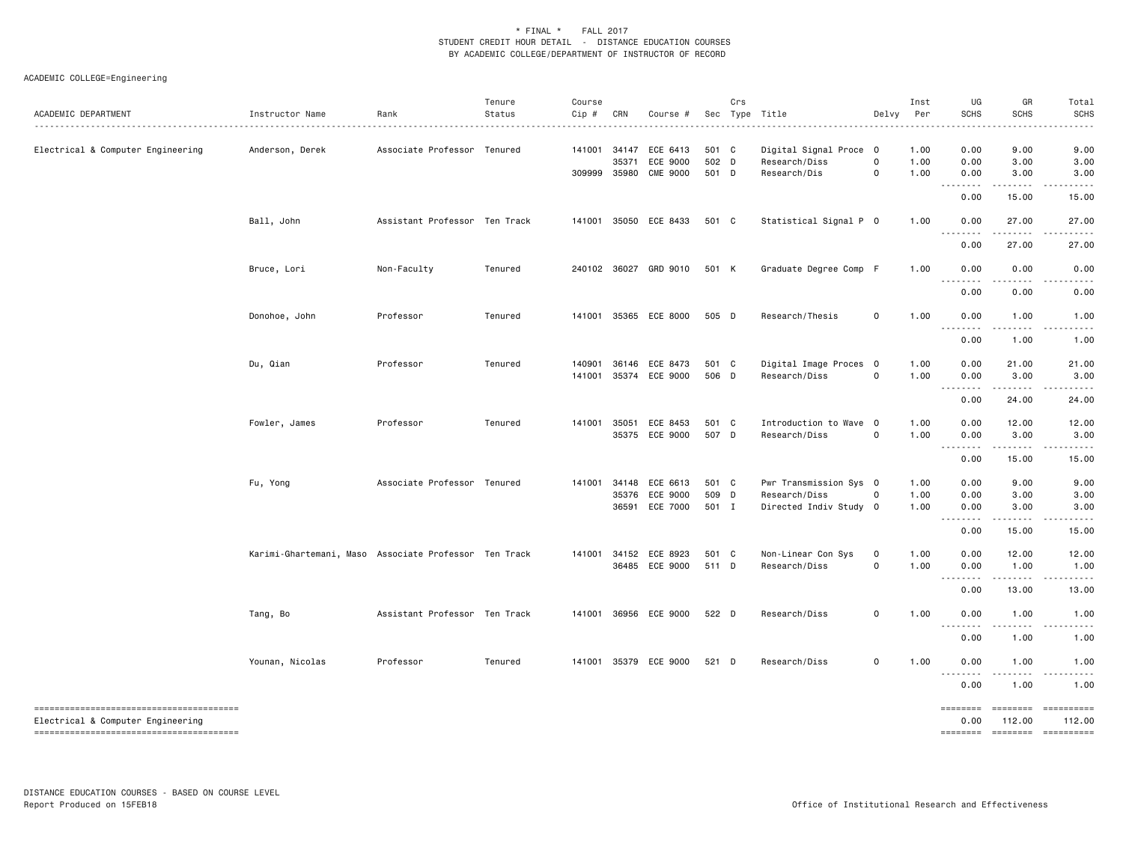| ACADEMIC DEPARTMENT               | Instructor Name                                       | Rank                          | Tenure<br>Status | Course<br>Cip # | CRN          | Course #                                       |                | Crs | Sec Type Title                          | Delvy               | Inst<br>Per  | UG<br>SCHS                            | GR<br><b>SCHS</b>                                                                                                                                                                                                                                                                                                                                                                                               | Total<br><b>SCHS</b> |
|-----------------------------------|-------------------------------------------------------|-------------------------------|------------------|-----------------|--------------|------------------------------------------------|----------------|-----|-----------------------------------------|---------------------|--------------|---------------------------------------|-----------------------------------------------------------------------------------------------------------------------------------------------------------------------------------------------------------------------------------------------------------------------------------------------------------------------------------------------------------------------------------------------------------------|----------------------|
| Electrical & Computer Engineering | Anderson, Derek                                       | Associate Professor Tenured   |                  |                 | 141001 34147 | ECE 6413                                       | 501 C          |     | Digital Signal Proce 0                  |                     | 1.00         | 0.00                                  | 9.00                                                                                                                                                                                                                                                                                                                                                                                                            | 9.00                 |
|                                   |                                                       |                               |                  |                 | 35371        | ECE 9000                                       | 502 D          |     | Research/Diss                           | $\mathsf{O}\xspace$ | 1.00         | 0.00                                  | 3.00                                                                                                                                                                                                                                                                                                                                                                                                            | 3.00                 |
|                                   |                                                       |                               |                  |                 |              | 309999 35980 CME 9000                          | 501 D          |     | Research/Dis                            | $\mathbf 0$         | 1.00         | 0.00<br>.                             | 3.00<br>.                                                                                                                                                                                                                                                                                                                                                                                                       | 3.00                 |
|                                   |                                                       |                               |                  |                 |              |                                                |                |     |                                         |                     |              | 0.00                                  | 15.00                                                                                                                                                                                                                                                                                                                                                                                                           | 15.00                |
|                                   | Ball, John                                            | Assistant Professor Ten Track |                  | 141001          |              | 35050 ECE 8433                                 | 501 C          |     | Statistical Signal P 0                  |                     | 1.00         | 0.00                                  | 27.00                                                                                                                                                                                                                                                                                                                                                                                                           | 27.00<br>.           |
|                                   |                                                       |                               |                  |                 |              |                                                |                |     |                                         |                     |              | .<br>0.00                             | .<br>27.00                                                                                                                                                                                                                                                                                                                                                                                                      | 27.00                |
|                                   | Bruce, Lori                                           | Non-Faculty                   | Tenured          |                 |              | 240102 36027 GRD 9010                          | 501 K          |     | Graduate Degree Comp F                  |                     | 1.00         | 0.00                                  | 0.00                                                                                                                                                                                                                                                                                                                                                                                                            | 0.00                 |
|                                   |                                                       |                               |                  |                 |              |                                                |                |     |                                         |                     |              | .<br>0.00                             | 0.00                                                                                                                                                                                                                                                                                                                                                                                                            | 0.00                 |
|                                   | Donohoe, John                                         | Professor                     | Tenured          |                 |              | 141001 35365 ECE 8000                          | 505 D          |     | Research/Thesis                         | $\mathsf{o}\,$      | 1.00         | 0.00                                  | 1.00                                                                                                                                                                                                                                                                                                                                                                                                            | 1.00                 |
|                                   |                                                       |                               |                  |                 |              |                                                |                |     |                                         |                     |              | .<br>0.00                             | $- - - - -$<br>1.00                                                                                                                                                                                                                                                                                                                                                                                             | .<br>1.00            |
|                                   |                                                       |                               |                  |                 |              |                                                |                |     |                                         |                     |              |                                       |                                                                                                                                                                                                                                                                                                                                                                                                                 |                      |
|                                   | Du, Qian                                              | Professor                     | Tenured          |                 |              | 140901 36146 ECE 8473<br>141001 35374 ECE 9000 | 501 C<br>506 D |     | Digital Image Proces 0<br>Research/Diss | $\mathsf{O}\xspace$ | 1.00<br>1.00 | 0.00<br>0.00                          | 21.00<br>3.00                                                                                                                                                                                                                                                                                                                                                                                                   | 21.00<br>3.00        |
|                                   |                                                       |                               |                  |                 |              |                                                |                |     |                                         |                     |              | .                                     | .                                                                                                                                                                                                                                                                                                                                                                                                               | .                    |
|                                   |                                                       |                               |                  |                 |              |                                                |                |     |                                         |                     |              | 0.00                                  | 24.00                                                                                                                                                                                                                                                                                                                                                                                                           | 24.00                |
|                                   | Fowler, James                                         | Professor                     | Tenured          |                 |              | 141001 35051 ECE 8453                          | 501 C          |     | Introduction to Wave 0                  |                     | 1.00         | 0.00                                  | 12.00                                                                                                                                                                                                                                                                                                                                                                                                           | 12.00                |
|                                   |                                                       |                               |                  |                 |              | 35375 ECE 9000                                 | 507 D          |     | Research/Diss                           | $\mathsf{O}\xspace$ | 1.00         | 0.00<br>.                             | 3.00<br>.                                                                                                                                                                                                                                                                                                                                                                                                       | 3.00<br>.            |
|                                   |                                                       |                               |                  |                 |              |                                                |                |     |                                         |                     |              | 0.00                                  | 15.00                                                                                                                                                                                                                                                                                                                                                                                                           | 15.00                |
|                                   | Fu, Yong                                              | Associate Professor Tenured   |                  | 141001          | 34148        | ECE 6613                                       | 501 C          |     | Pwr Transmission Sys 0                  |                     | 1.00         | 0.00                                  | 9.00                                                                                                                                                                                                                                                                                                                                                                                                            | 9.00                 |
|                                   |                                                       |                               |                  |                 | 35376        | ECE 9000                                       | 509 D          |     | Research/Diss                           | 0                   | 1.00         | 0.00                                  | 3.00                                                                                                                                                                                                                                                                                                                                                                                                            | 3.00                 |
|                                   |                                                       |                               |                  |                 |              | 36591 ECE 7000                                 | 501 I          |     | Directed Indiv Study 0                  |                     | 1.00         | 0.00<br><u>.</u>                      | 3.00<br>$\mathbf{L}^{\mathbf{1}}\mathbf{L}^{\mathbf{2}}\mathbf{L}^{\mathbf{3}}\mathbf{L}^{\mathbf{4}}\mathbf{L}^{\mathbf{5}}\mathbf{L}^{\mathbf{6}}\mathbf{L}^{\mathbf{7}}\mathbf{L}^{\mathbf{8}}\mathbf{L}^{\mathbf{8}}\mathbf{L}^{\mathbf{9}}\mathbf{L}^{\mathbf{1}}\mathbf{L}^{\mathbf{1}}\mathbf{L}^{\mathbf{1}}\mathbf{L}^{\mathbf{1}}\mathbf{L}^{\mathbf{1}}\mathbf{L}^{\mathbf{1}}\mathbf{L}^{\mathbf{1$ | 3.00<br>$- - - - -$  |
|                                   |                                                       |                               |                  |                 |              |                                                |                |     |                                         |                     |              | 0.00                                  | 15.00                                                                                                                                                                                                                                                                                                                                                                                                           | 15.00                |
|                                   | Karimi-Ghartemani, Maso Associate Professor Ten Track |                               |                  |                 |              | 141001 34152 ECE 8923                          | 501 C          |     | Non-Linear Con Sys                      | 0                   | 1.00         | 0.00                                  | 12.00                                                                                                                                                                                                                                                                                                                                                                                                           | 12.00                |
|                                   |                                                       |                               |                  |                 |              | 36485 ECE 9000                                 | 511 D          |     | Research/Diss                           | $\mathbf 0$         | 1.00         | 0.00                                  | 1.00                                                                                                                                                                                                                                                                                                                                                                                                            | 1.00                 |
|                                   |                                                       |                               |                  |                 |              |                                                |                |     |                                         |                     |              | $\cdots \cdots \cdots \cdots$<br>0.00 | .<br>13.00                                                                                                                                                                                                                                                                                                                                                                                                      | ------<br>13.00      |
|                                   | Tang, Bo                                              | Assistant Professor Ten Track |                  |                 |              | 141001 36956 ECE 9000                          | 522 D          |     | Research/Diss                           | $\mathsf{O}\xspace$ | 1.00         | 0.00                                  | 1.00                                                                                                                                                                                                                                                                                                                                                                                                            | 1.00                 |
|                                   |                                                       |                               |                  |                 |              |                                                |                |     |                                         |                     |              | .<br>0.00                             | 1.00                                                                                                                                                                                                                                                                                                                                                                                                            | .<br>1.00            |
|                                   | Younan, Nicolas                                       | Professor                     | Tenured          |                 |              | 141001 35379 ECE 9000                          | 521 D          |     | Research/Diss                           | $\mathsf{O}\xspace$ | 1.00         | 0.00                                  | 1.00                                                                                                                                                                                                                                                                                                                                                                                                            | 1.00                 |
|                                   |                                                       |                               |                  |                 |              |                                                |                |     |                                         |                     |              | .<br>0.00                             | 1.00                                                                                                                                                                                                                                                                                                                                                                                                            | 1.00                 |
|                                   |                                                       |                               |                  |                 |              |                                                |                |     |                                         |                     |              | ========                              |                                                                                                                                                                                                                                                                                                                                                                                                                 | 112.00               |
| Electrical & Computer Engineering |                                                       |                               |                  |                 |              |                                                |                |     |                                         |                     |              | 0.00<br>========                      | 112.00                                                                                                                                                                                                                                                                                                                                                                                                          |                      |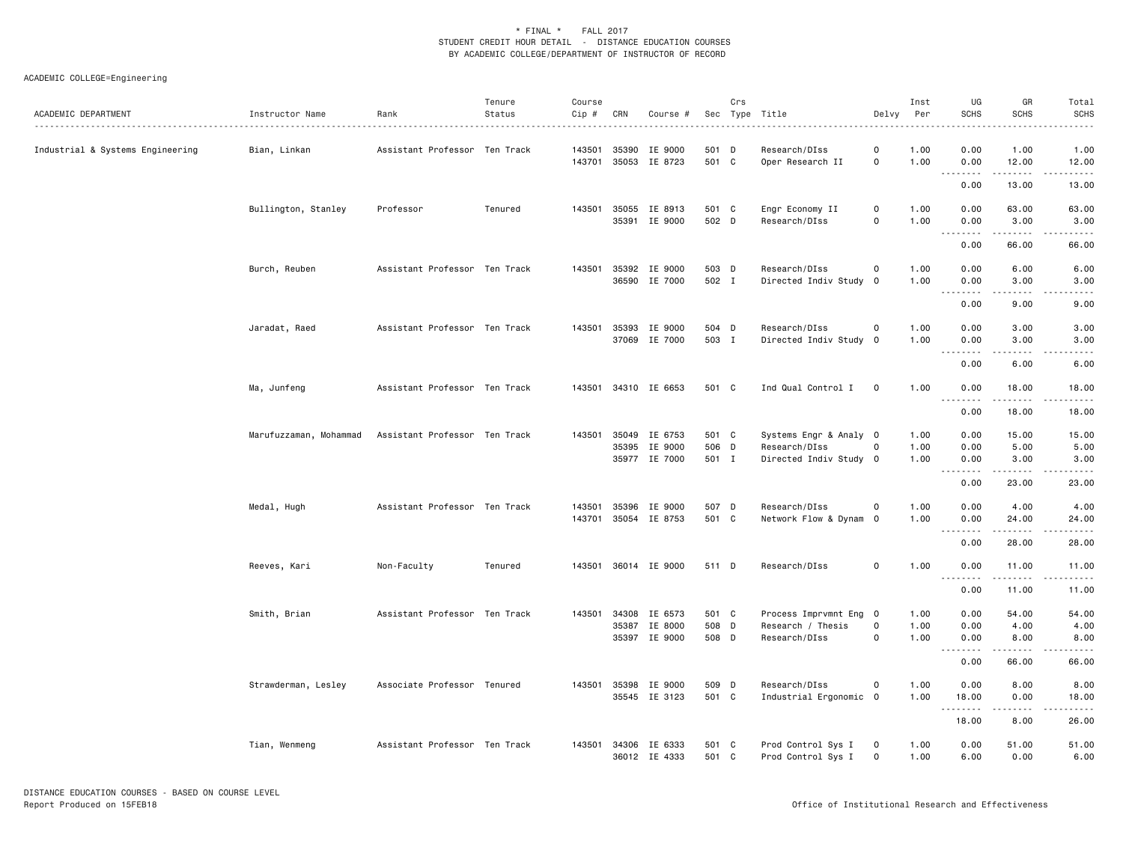| ACADEMIC DEPARTMENT              | Instructor Name        | Rank                          | Tenure<br>Status | Course<br>Cip #  | CRN            | Course #                                  |                         | Crs | Sec Type Title                                                    | Delvy                                      | Inst<br>Per          | UG<br><b>SCHS</b>                           | GR<br>SCHS                                                                                                                                                            | Total<br><b>SCHS</b>                                                                                                                                                  |
|----------------------------------|------------------------|-------------------------------|------------------|------------------|----------------|-------------------------------------------|-------------------------|-----|-------------------------------------------------------------------|--------------------------------------------|----------------------|---------------------------------------------|-----------------------------------------------------------------------------------------------------------------------------------------------------------------------|-----------------------------------------------------------------------------------------------------------------------------------------------------------------------|
| Industrial & Systems Engineering | Bian, Linkan           | Assistant Professor Ten Track |                  | 143501<br>143701 | 35390          | IE 9000<br>35053 IE 8723                  | 501<br>501 C            | D   | Research/DIss<br>Oper Research II                                 | $\mathsf{O}\xspace$<br>0                   | 1.00<br>1.00         | 0.00<br>0.00<br>.                           | 1.00<br>12.00<br>.                                                                                                                                                    | 1.00<br>12.00<br>.                                                                                                                                                    |
|                                  |                        |                               |                  |                  |                |                                           |                         |     |                                                                   |                                            |                      | 0.00                                        | 13.00                                                                                                                                                                 | 13.00                                                                                                                                                                 |
|                                  | Bullington, Stanley    | Professor                     | Tenured          |                  |                | 143501 35055 IE 8913<br>35391 IE 9000     | 501 C<br>502 D          |     | Engr Economy II<br>Research/DIss                                  | $\mathsf{O}\xspace$<br>$\mathsf{o}\xspace$ | 1.00<br>1.00         | 0.00<br>0.00<br>$\sim$ $\sim$ $\sim$<br>.   | 63.00<br>3.00                                                                                                                                                         | 63.00<br>3.00                                                                                                                                                         |
|                                  |                        |                               |                  |                  |                |                                           |                         |     |                                                                   |                                            |                      | 0.00                                        | 66.00                                                                                                                                                                 | 66.00                                                                                                                                                                 |
|                                  | Burch, Reuben          | Assistant Professor Ten Track |                  | 143501           |                | 35392 IE 9000<br>36590 IE 7000            | 503 D<br>502 I          |     | Research/DIss<br>Directed Indiv Study 0                           | 0                                          | 1.00<br>1.00         | 0.00<br>0.00                                | 6.00<br>3.00                                                                                                                                                          | 6.00<br>3.00                                                                                                                                                          |
|                                  |                        |                               |                  |                  |                |                                           |                         |     |                                                                   |                                            |                      | .<br>0.00                                   | 9.00                                                                                                                                                                  | 9.00                                                                                                                                                                  |
|                                  | Jaradat, Raed          | Assistant Professor Ten Track |                  | 143501           | 35393<br>37069 | IE 9000<br>IE 7000                        | 504 D<br>503 I          |     | Research/DIss<br>Directed Indiv Study 0                           | $\mathsf{O}\xspace$                        | 1.00<br>1.00         | 0.00<br>0.00                                | 3.00<br>3.00                                                                                                                                                          | 3.00<br>3.00                                                                                                                                                          |
|                                  |                        |                               |                  |                  |                |                                           |                         |     |                                                                   |                                            |                      | . <b>.</b><br>0.00                          | .<br>6.00                                                                                                                                                             | .<br>6.00                                                                                                                                                             |
|                                  | Ma, Junfeng            | Assistant Professor Ten Track |                  |                  |                | 143501 34310 IE 6653                      | 501 C                   |     | Ind Qual Control I                                                | $\mathbf 0$                                | 1.00                 | 0.00<br>.                                   | 18.00                                                                                                                                                                 | 18.00                                                                                                                                                                 |
|                                  |                        |                               |                  |                  |                |                                           |                         |     |                                                                   |                                            |                      | 0.00                                        | 18.00                                                                                                                                                                 | 18.00                                                                                                                                                                 |
|                                  | Marufuzzaman, Mohammad | Assistant Professor Ten Track |                  | 143501           | 35049<br>35395 | IE 6753<br>IE 9000<br>35977 IE 7000       | 501 C<br>506 D<br>501 I |     | Systems Engr & Analy 0<br>Research/DIss<br>Directed Indiv Study 0 | $\mathsf{O}\xspace$                        | 1.00<br>1.00<br>1.00 | 0.00<br>0.00<br>0.00<br>.                   | 15.00<br>5.00<br>3.00                                                                                                                                                 | 15.00<br>5.00<br>3.00                                                                                                                                                 |
|                                  |                        |                               |                  |                  |                |                                           |                         |     |                                                                   |                                            |                      | 0.00                                        | 23.00                                                                                                                                                                 | 23.00                                                                                                                                                                 |
|                                  | Medal, Hugh            | Assistant Professor Ten Track |                  | 143501<br>143701 | 35396          | IE 9000<br>35054 IE 8753                  | 507 D<br>501 C          |     | Research/DIss<br>Network Flow & Dynam O                           | 0                                          | 1.00<br>1.00         | 0.00<br>0.00<br>$\sim$ $\sim$ $\sim$ $\sim$ | 4.00<br>24.00<br>$\frac{1}{2} \left( \frac{1}{2} \right) \left( \frac{1}{2} \right) \left( \frac{1}{2} \right) \left( \frac{1}{2} \right) \left( \frac{1}{2} \right)$ | 4.00<br>24.00<br>$\frac{1}{2} \left( \frac{1}{2} \right) \left( \frac{1}{2} \right) \left( \frac{1}{2} \right) \left( \frac{1}{2} \right) \left( \frac{1}{2} \right)$ |
|                                  |                        |                               |                  |                  |                |                                           |                         |     |                                                                   |                                            |                      | 0.00                                        | 28.00                                                                                                                                                                 | 28.00                                                                                                                                                                 |
|                                  | Reeves, Kari           | Non-Faculty                   | Tenured          | 143501           |                | 36014 IE 9000                             | 511 D                   |     | Research/DIss                                                     | $\mathsf{O}\xspace$                        | 1.00                 | 0.00<br>.                                   | 11.00<br>.                                                                                                                                                            | 11.00                                                                                                                                                                 |
|                                  |                        |                               |                  |                  |                |                                           |                         |     |                                                                   |                                            |                      | 0.00                                        | 11.00                                                                                                                                                                 | 11.00                                                                                                                                                                 |
|                                  | Smith, Brian           | Assistant Professor Ten Track |                  | 143501           | 34308          | IE 6573<br>35387 IE 8000<br>35397 IE 9000 | 501 C<br>508 D<br>508 D |     | Process Imprvmnt Eng 0<br>Research / Thesis<br>Research/DIss      | $\mathsf{O}\xspace$<br>$\mathsf{O}\xspace$ | 1.00<br>1.00<br>1.00 | 0.00<br>0.00<br>0.00                        | 54.00<br>4.00<br>8.00                                                                                                                                                 | 54.00<br>4.00<br>8.00                                                                                                                                                 |
|                                  |                        |                               |                  |                  |                |                                           |                         |     |                                                                   |                                            |                      | . <b>.</b><br>0.00                          | 66.00                                                                                                                                                                 | 66.00                                                                                                                                                                 |
|                                  | Strawderman, Lesley    | Associate Professor Tenured   |                  | 143501           | 35398          | IE 9000<br>35545 IE 3123                  | 509 D<br>501 C          |     | Research/DIss<br>Industrial Ergonomic 0                           | 0                                          | 1.00<br>1.00         | 0.00<br>18.00                               | 8.00<br>0.00                                                                                                                                                          | 8.00<br>18.00                                                                                                                                                         |
|                                  |                        |                               |                  |                  |                |                                           |                         |     |                                                                   |                                            |                      | .<br>18.00                                  | .<br>8.00                                                                                                                                                             | 26.00                                                                                                                                                                 |
|                                  | Tian, Wenmeng          | Assistant Professor Ten Track |                  | 143501           |                | 34306 IE 6333<br>36012 IE 4333            | 501 C<br>501 C          |     | Prod Control Sys I<br>Prod Control Sys I                          | 0<br>$\mathbf 0$                           | 1.00<br>1.00         | 0.00<br>6.00                                | 51.00<br>0.00                                                                                                                                                         | 51.00<br>6.00                                                                                                                                                         |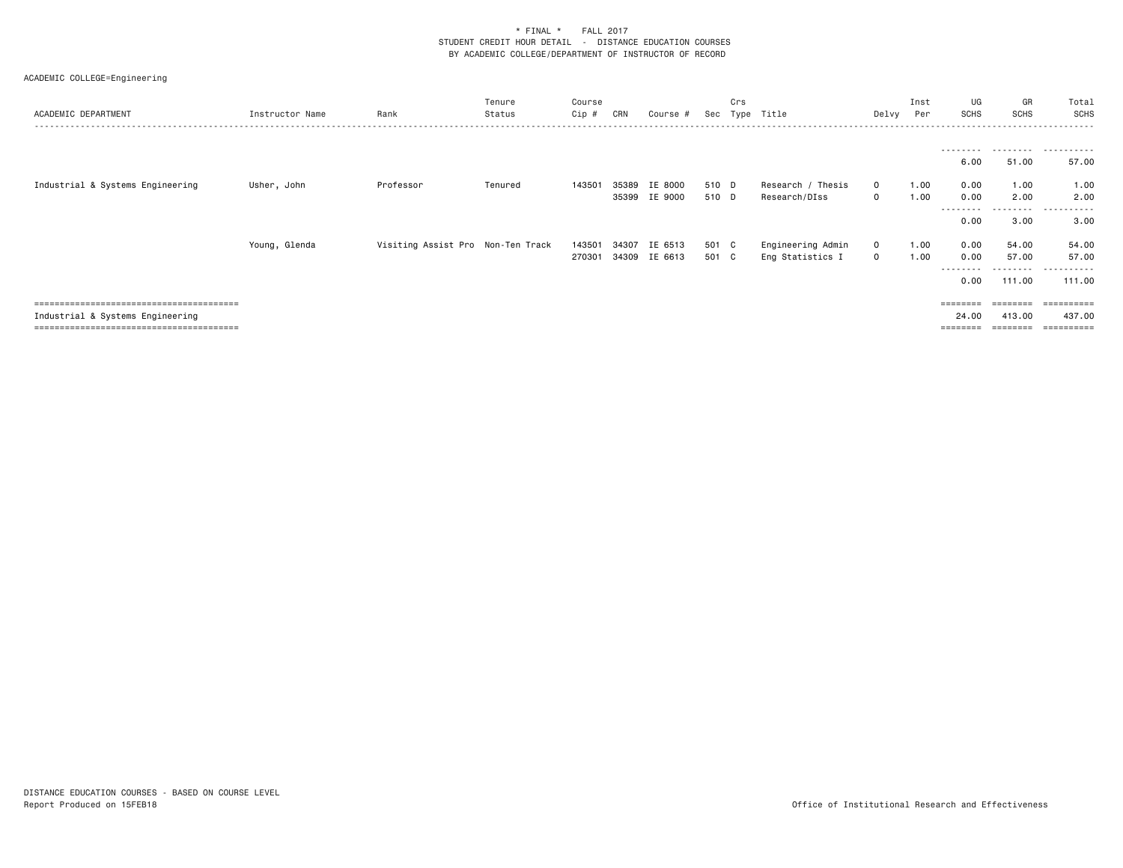| ACADEMIC DEPARTMENT              | Instructor Name | Rank                              | Tenure<br>Status | Course<br>Cip # | CRN   | Course #      | Sec   | Crs<br>Type | Title             | Delvy        | Inst<br>Per | UG<br>SCHS        | GR<br>SCHS | Total<br>SCHS         |
|----------------------------------|-----------------|-----------------------------------|------------------|-----------------|-------|---------------|-------|-------------|-------------------|--------------|-------------|-------------------|------------|-----------------------|
|                                  |                 |                                   |                  |                 |       |               |       |             |                   |              |             | ---------<br>6.00 | 51.00      | 57.00                 |
| Industrial & Systems Engineering | Usher, John     | Professor                         | Tenured          | 143501          |       | 35389 IE 8000 | 510 D |             | Research / Thesis | $\mathbf{0}$ | 1.00        | 0.00              | 1.00       | 1.00                  |
|                                  |                 |                                   |                  |                 |       | 35399 IE 9000 | 510 D |             | Research/DIss     | $\mathbf{O}$ | 1.00        | 0.00              | 2.00       | 2.00                  |
|                                  |                 |                                   |                  |                 |       |               |       |             |                   |              |             | --------          | .          | .                     |
|                                  |                 |                                   |                  |                 |       |               |       |             |                   |              |             | 0.00              | 3.00       | 3.00                  |
|                                  | Young, Glenda   | Visiting Assist Pro Non-Ten Track |                  | 143501          | 34307 | IE 6513       | 501 C |             | Engineering Admin | $\mathbf{0}$ | 1.00        | 0.00              | 54.00      | 54.00                 |
|                                  |                 |                                   |                  | 270301          |       | 34309 IE 6613 | 501 C |             | Eng Statistics I  | $\mathbf{0}$ | 1.00        | 0.00              | 57.00      | 57.00                 |
|                                  |                 |                                   |                  |                 |       |               |       |             |                   |              |             | --------          | .          | .                     |
|                                  |                 |                                   |                  |                 |       |               |       |             |                   |              |             | 0.00              | 111.00     | 111.00                |
|                                  |                 |                                   |                  |                 |       |               |       |             |                   |              |             |                   |            |                       |
|                                  |                 |                                   |                  |                 |       |               |       |             |                   |              |             |                   |            | =========             |
| Industrial & Systems Engineering |                 |                                   |                  |                 |       |               |       |             |                   |              |             | 24.00             | 413,00     | 437.00                |
|                                  |                 |                                   |                  |                 |       |               |       |             |                   |              |             |                   |            | $=$ = = = = = = = = : |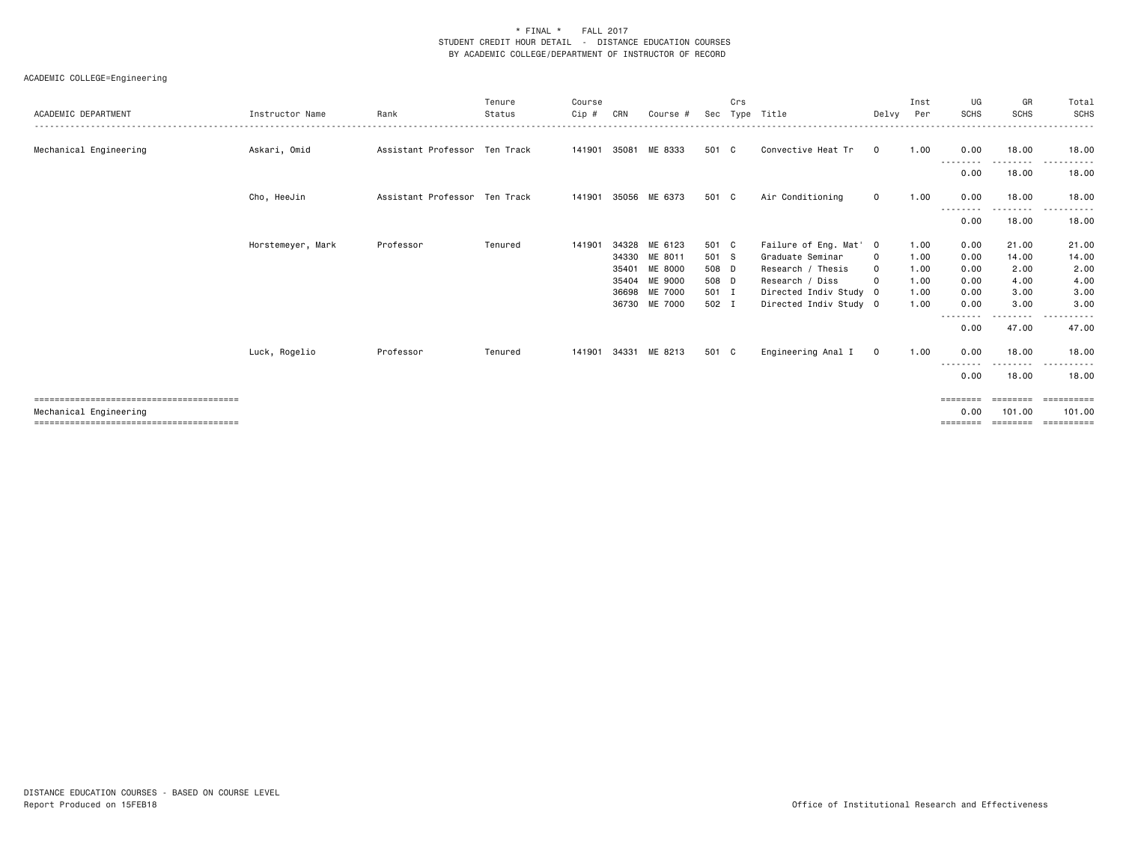| ACADEMIC DEPARTMENT    | Instructor Name   | Rank                          | Tenure<br>Status | Course<br>Cip # | CRN   | Course #      | Sec   | Crs | Type Title             | Delvy       | Inst<br>Per | UG<br><b>SCHS</b> | GR<br><b>SCHS</b>  | Total<br>SCHS |
|------------------------|-------------------|-------------------------------|------------------|-----------------|-------|---------------|-------|-----|------------------------|-------------|-------------|-------------------|--------------------|---------------|
| Mechanical Engineering | Askari, Omid      | Assistant Professor Ten Track |                  | 141901 35081    |       | ME 8333       | 501 C |     | Convective Heat Tr     | $\mathbf 0$ | 1.00        | 0.00              | 18.00              | 18.00         |
|                        |                   |                               |                  |                 |       |               |       |     |                        |             |             | --------<br>0.00  | ---------<br>18.00 | .<br>18.00    |
|                        | Cho, HeeJin       | Assistant Professor Ten Track |                  | 141901          |       | 35056 ME 6373 | 501 C |     | Air Conditioning       | $\circ$     | 1.00        | 0.00<br>-----     | 18.00              | 18.00         |
|                        |                   |                               |                  |                 |       |               |       |     |                        |             |             | 0.00              | 18.00              | 18.00         |
|                        | Horstemeyer, Mark | Professor                     | Tenured          | 141901          | 34328 | ME 6123       | 501 C |     | Failure of Eng. Mat' 0 |             | 1.00        | 0.00              | 21.00              | 21.00         |
|                        |                   |                               |                  |                 |       | 34330 ME 8011 | 501 S |     | Graduate Seminar       | $\circ$     | 1.00        | 0.00              | 14.00              | 14.00         |
|                        |                   |                               |                  |                 | 35401 | ME 8000       | 508 D |     | Research / Thesis      | $\mathbf 0$ | 1.00        | 0.00              | 2.00               | 2.00          |
|                        |                   |                               |                  |                 |       | 35404 ME 9000 | 508 D |     | Research / Diss        | $\circ$     | 1.00        | 0.00              | 4.00               | 4.00          |
|                        |                   |                               |                  |                 |       | 36698 ME 7000 | 501 I |     | Directed Indiv Study 0 |             | 1.00        | 0.00              | 3.00               | 3.00          |
|                        |                   |                               |                  |                 |       | 36730 ME 7000 | 502 I |     | Directed Indiv Study 0 |             | 1.00        | 0.00              | 3.00               | 3.00          |
|                        |                   |                               |                  |                 |       |               |       |     |                        |             |             | ----<br>0.00      | -------<br>47.00   | 47.00         |
|                        | Luck, Rogelio     | Professor                     | Tenured          | 141901          | 34331 | ME 8213       | 501 C |     | Engineering Anal I     | $\mathbf 0$ | 1.00        | 0.00<br>--------  | 18.00<br>.         | 18.00<br>.    |
|                        |                   |                               |                  |                 |       |               |       |     |                        |             |             | 0.00              | 18.00              | 18.00         |
|                        |                   |                               |                  |                 |       |               |       |     |                        |             |             | $=$ = = = = = = = | ========           | ==========    |
| Mechanical Engineering |                   |                               |                  |                 |       |               |       |     |                        |             |             | 0.00              | 101.00             | 101.00        |
|                        |                   |                               |                  |                 |       |               |       |     |                        |             |             |                   |                    | ==========    |